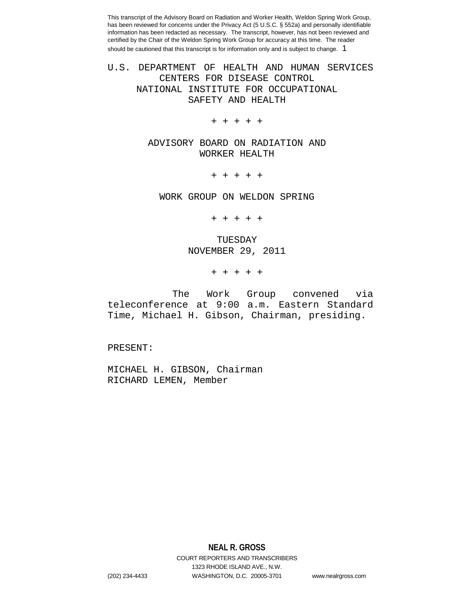U.S. DEPARTMENT OF HEALTH AND HUMAN SERVICES CENTERS FOR DISEASE CONTROL NATIONAL INSTITUTE FOR OCCUPATIONAL SAFETY AND HEALTH

+ + + + +

ADVISORY BOARD ON RADIATION AND WORKER HEALTH

+ + + + +

WORK GROUP ON WELDON SPRING

+ + + + +

TUESDAY NOVEMBER 29, 2011

+ + + + +

 The Work Group convened via teleconference at 9:00 a.m. Eastern Standard Time, Michael H. Gibson, Chairman, presiding.

PRESENT:

MICHAEL H. GIBSON, Chairman RICHARD LEMEN, Member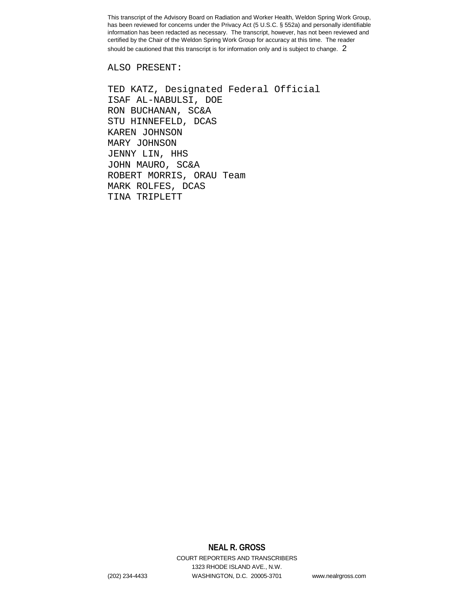### ALSO PRESENT:

TED KATZ, Designated Federal Official ISAF AL-NABULSI, DOE RON BUCHANAN, SC&A STU HINNEFELD, DCAS KAREN JOHNSON MARY JOHNSON JENNY LIN, HHS JOHN MAURO, SC&A ROBERT MORRIS, ORAU Team MARK ROLFES, DCAS TINA TRIPLETT

# **NEAL R. GROSS**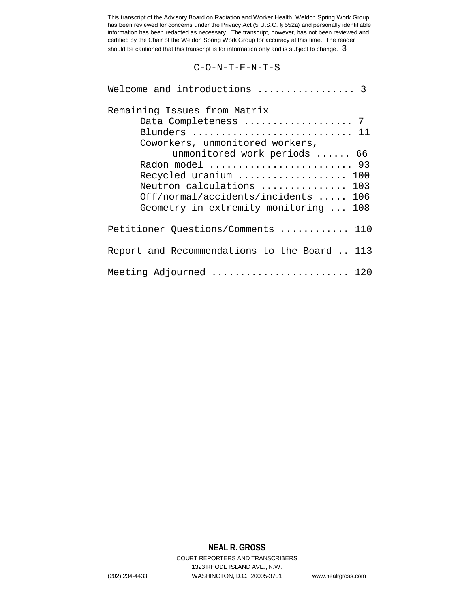#### C-O-N-T-E-N-T-S

| Welcome and introductions  3                 |
|----------------------------------------------|
| Remaining Issues from Matrix                 |
| Data Completeness  7                         |
| Blunders  11                                 |
| Coworkers, unmonitored workers,              |
| unmonitored work periods  66                 |
| Radon model  93                              |
| Recycled uranium  100                        |
| Neutron calculations  103                    |
| Off/normal/accidents/incidents  106          |
| Geometry in extremity monitoring<br>108      |
| Petitioner Questions/Comments  110           |
| Report and Recommendations to the Board  113 |
| Meeting Adjourned  120                       |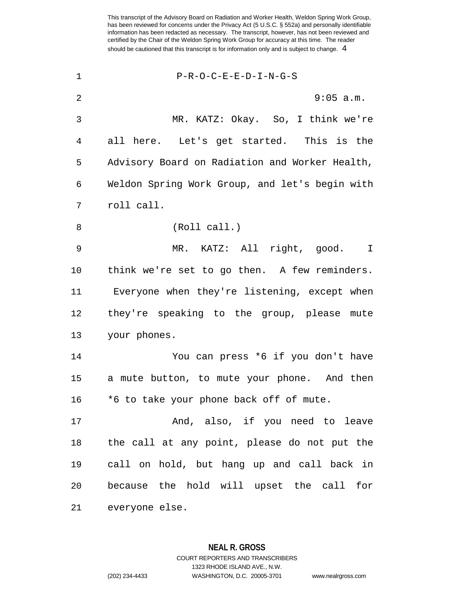| $\mathbf 1$ | $P-R-O-C-E-E-D-I-N-G-S$                        |
|-------------|------------------------------------------------|
| 2           | 9:05 a.m.                                      |
| 3           | MR. KATZ: Okay. So, I think we're              |
| 4           | all here. Let's get started. This is the       |
| 5           | Advisory Board on Radiation and Worker Health, |
| 6           | Weldon Spring Work Group, and let's begin with |
| 7           | roll call.                                     |
| 8           | (Roll call.)                                   |
| 9           | MR. KATZ: All right, good. I                   |
| $10 \,$     | think we're set to go then. A few reminders.   |
| 11          | Everyone when they're listening, except when   |
| 12          | they're speaking to the group, please mute     |
| 13          | your phones.                                   |
| 14          | You can press *6 if you don't have             |
| 15          | a mute button, to mute your phone. And then    |
| 16          | *6 to take your phone back off of mute.        |
| 17          | And, also, if you need to leave                |
| 18          | the call at any point, please do not put the   |
| 19          | call on hold, but hang up and call back in     |
| 20          | because the hold will upset the call for       |
| 21          | everyone else.                                 |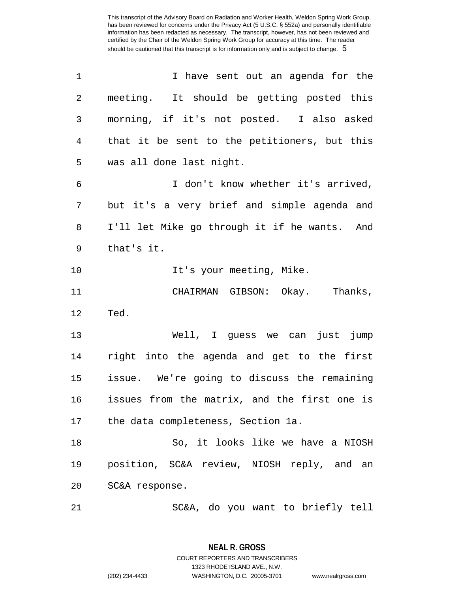| $\mathbf 1$    | I have sent out an agenda for the            |
|----------------|----------------------------------------------|
| $\overline{2}$ | meeting. It should be getting posted this    |
| 3              | morning, if it's not posted. I also asked    |
| $\overline{4}$ | that it be sent to the petitioners, but this |
| 5              | was all done last night.                     |
| 6              | I don't know whether it's arrived,           |
| 7              | but it's a very brief and simple agenda and  |
| 8              | I'll let Mike go through it if he wants. And |
| 9              | that's it.                                   |
| 10             | It's your meeting, Mike.                     |
| 11             | CHAIRMAN GIBSON: Okay. Thanks,               |
| 12             | Ted.                                         |
| 13             | Well, I guess we can just jump               |
| 14             | right into the agenda and get to the first   |
| 15             | issue. We're going to discuss the remaining  |
| 16             | issues from the matrix, and the first one is |
| 17             | the data completeness, Section 1a.           |
| 18             | So, it looks like we have a NIOSH            |
| 19             | position, SC&A review, NIOSH reply, and an   |
| 20             | SC&A response.                               |
| 21             | SC&A, do you want to briefly tell            |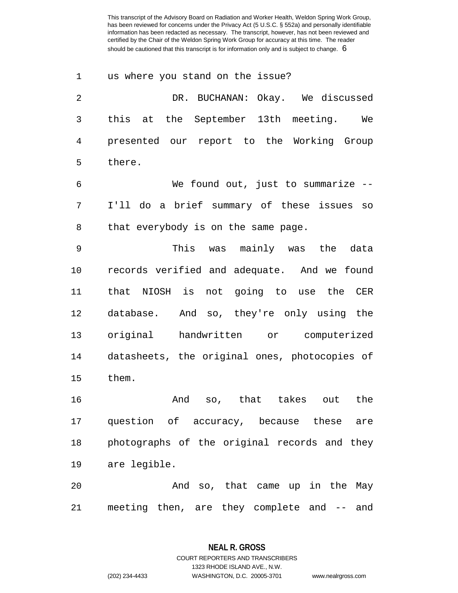1 us where you stand on the issue?

| -2             |        |  |  | DR. BUCHANAN: Okay. We discussed          |    |
|----------------|--------|--|--|-------------------------------------------|----|
|                |        |  |  | this at the September 13th meeting.       | We |
| $\overline{4}$ |        |  |  | presented our report to the Working Group |    |
| $5 -$          | there. |  |  |                                           |    |
|                |        |  |  |                                           |    |

6 We found out, just to summarize -- 7 I'll do a brief summary of these issues so 8 that everybody is on the same page.

9 This was mainly was the data 10 records verified and adequate. And we found 11 that NIOSH is not going to use the CER 12 database. And so, they're only using the 13 original handwritten or computerized 14 datasheets, the original ones, photocopies of 15 them.

16 And so, that takes out the 17 question of accuracy, because these are 18 photographs of the original records and they 19 are legible.

20 And so, that came up in the May 21 meeting then, are they complete and -- and

### **NEAL R. GROSS**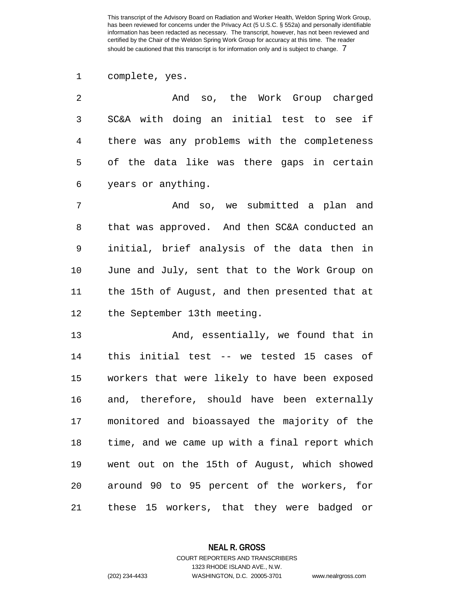1 complete, yes.

| -2.            |                                              | And so, the Work Group charged |  |
|----------------|----------------------------------------------|--------------------------------|--|
| $\overline{3}$ | SC&A with doing an initial test to see if    |                                |  |
| 4              | there was any problems with the completeness |                                |  |
| 5              | of the data like was there gaps in certain   |                                |  |
| $6\overline{}$ | years or anything.                           |                                |  |

7 And so, we submitted a plan and 8 that was approved. And then SC&A conducted an 9 initial, brief analysis of the data then in 10 June and July, sent that to the Work Group on 11 the 15th of August, and then presented that at 12 the September 13th meeting.

13 And, essentially, we found that in 14 this initial test -- we tested 15 cases of 15 workers that were likely to have been exposed 16 and, therefore, should have been externally 17 monitored and bioassayed the majority of the 18 time, and we came up with a final report which 19 went out on the 15th of August, which showed 20 around 90 to 95 percent of the workers, for 21 these 15 workers, that they were badged or

**NEAL R. GROSS**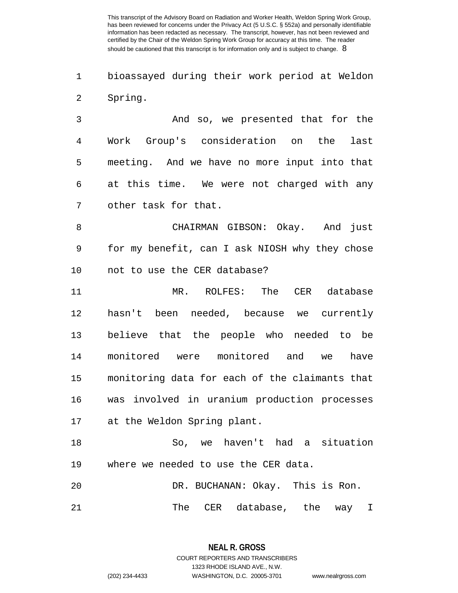1 bioassayed during their work period at Weldon 2 Spring.

3 And so, we presented that for the 4 Work Group's consideration on the last 5 meeting. And we have no more input into that 6 at this time. We were not charged with any 7 other task for that.

8 CHAIRMAN GIBSON: Okay. And just 9 for my benefit, can I ask NIOSH why they chose 10 not to use the CER database?

11 MR. ROLFES: The CER database 12 hasn't been needed, because we currently 13 believe that the people who needed to be 14 monitored were monitored and we have 15 monitoring data for each of the claimants that 16 was involved in uranium production processes 17 at the Weldon Spring plant.

18 So, we haven't had a situation 19 where we needed to use the CER data.

20 DR. BUCHANAN: Okay. This is Ron. 21 The CER database, the way I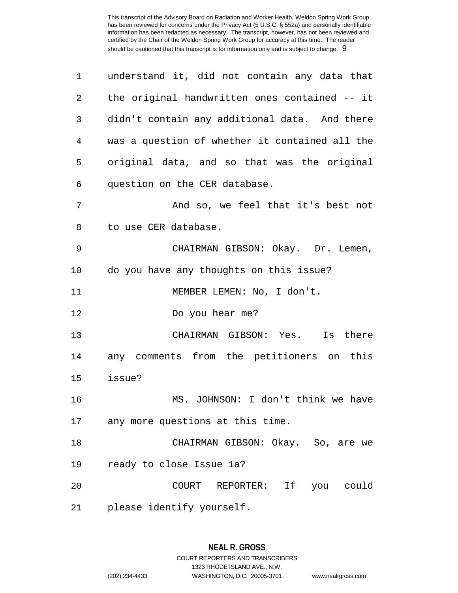| 1  | understand it, did not contain any data that   |
|----|------------------------------------------------|
| 2  | the original handwritten ones contained -- it  |
| 3  | didn't contain any additional data. And there  |
| 4  | was a question of whether it contained all the |
| 5  | original data, and so that was the original    |
| 6  | question on the CER database.                  |
| 7  | And so, we feel that it's best not             |
| 8  | to use CER database.                           |
| 9  | CHAIRMAN GIBSON: Okay. Dr. Lemen,              |
| 10 | do you have any thoughts on this issue?        |
| 11 | MEMBER LEMEN: No, I don't.                     |
| 12 | Do you hear me?                                |
| 13 | CHAIRMAN GIBSON: Yes. Is there                 |
| 14 | any comments from the petitioners on this      |
| 15 | issue?                                         |
| 16 | MS. JOHNSON: I don't think we have             |
| 17 | any more questions at this time.               |
| 18 | CHAIRMAN GIBSON: Okay. So, are we              |
| 19 | ready to close Issue 1a?                       |
| 20 | COURT REPORTER: If you could                   |
| 21 | please identify yourself.                      |

1323 RHODE ISLAND AVE., N.W.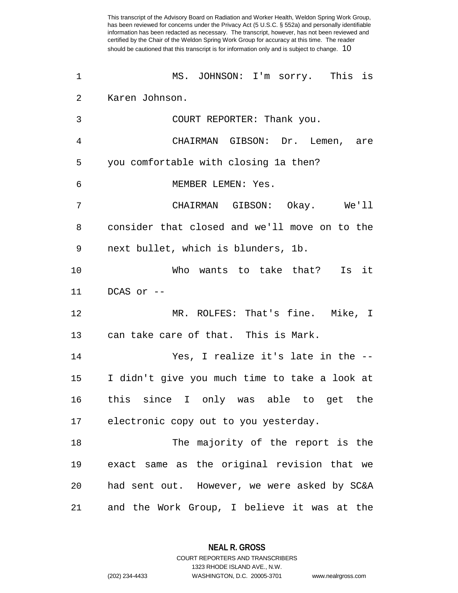1 MS. JOHNSON: I'm sorry. This is 2 Karen Johnson. 3 COURT REPORTER: Thank you. 4 CHAIRMAN GIBSON: Dr. Lemen, are 5 you comfortable with closing 1a then? 6 MEMBER LEMEN: Yes. 7 CHAIRMAN GIBSON: Okay. We'll 8 consider that closed and we'll move on to the 9 next bullet, which is blunders, 1b. 10 Who wants to take that? Is it 11 DCAS or -- 12 MR. ROLFES: That's fine. Mike, I 13 can take care of that. This is Mark. 14 Yes, I realize it's late in the -- 15 I didn't give you much time to take a look at 16 this since I only was able to get the 17 electronic copy out to you yesterday. 18 The majority of the report is the 19 exact same as the original revision that we 20 had sent out. However, we were asked by SC&A 21 and the Work Group, I believe it was at the

> **NEAL R. GROSS** COURT REPORTERS AND TRANSCRIBERS

> > 1323 RHODE ISLAND AVE., N.W.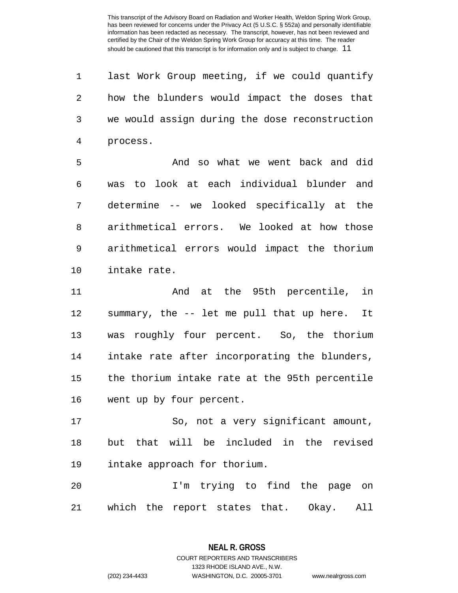1 last Work Group meeting, if we could quantify 2 how the blunders would impact the doses that 3 we would assign during the dose reconstruction 4 process.

5 And so what we went back and did 6 was to look at each individual blunder and 7 determine -- we looked specifically at the 8 arithmetical errors. We looked at how those 9 arithmetical errors would impact the thorium 10 intake rate.

11 And at the 95th percentile, in 12 summary, the -- let me pull that up here. It 13 was roughly four percent. So, the thorium 14 intake rate after incorporating the blunders, 15 the thorium intake rate at the 95th percentile 16 went up by four percent.

17 So, not a very significant amount, 18 but that will be included in the revised 19 intake approach for thorium.

20 I'm trying to find the page on 21 which the report states that. Okay. All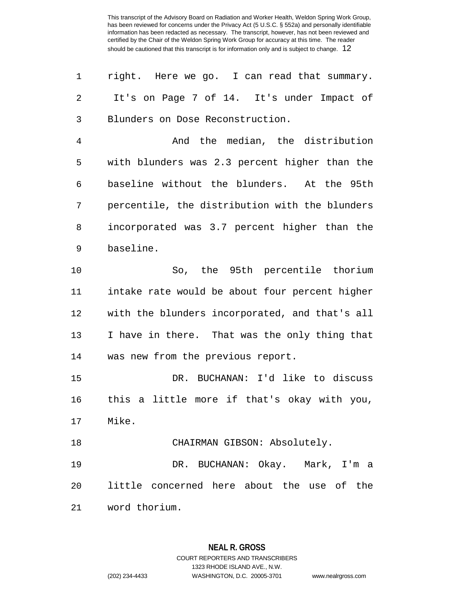1 right. Here we go. I can read that summary. 2 It's on Page 7 of 14. It's under Impact of 3 Blunders on Dose Reconstruction.

4 And the median, the distribution 5 with blunders was 2.3 percent higher than the 6 baseline without the blunders. At the 95th 7 percentile, the distribution with the blunders 8 incorporated was 3.7 percent higher than the 9 baseline.

10 So, the 95th percentile thorium 11 intake rate would be about four percent higher 12 with the blunders incorporated, and that's all 13 I have in there. That was the only thing that 14 was new from the previous report.

15 DR. BUCHANAN: I'd like to discuss 16 this a little more if that's okay with you, 17 Mike.

18 CHAIRMAN GIBSON: Absolutely. 19 DR. BUCHANAN: Okay. Mark, I'm a 20 little concerned here about the use of the 21 word thorium.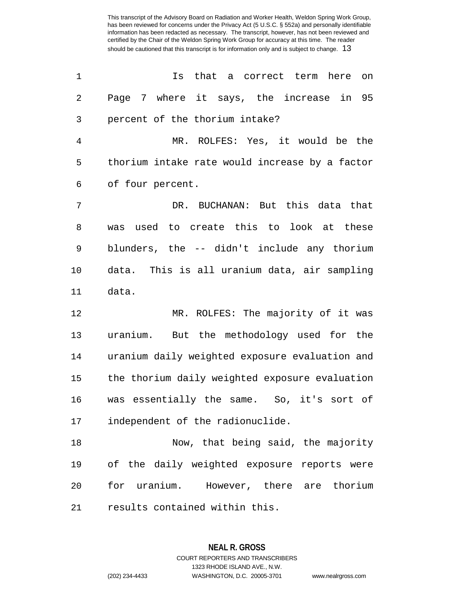| $\mathbf 1$ | that a correct term here on<br>Is              |
|-------------|------------------------------------------------|
| 2           | Page 7 where it says, the increase in 95       |
| 3           | percent of the thorium intake?                 |
| 4           | MR. ROLFES: Yes, it would be the               |
| 5           | thorium intake rate would increase by a factor |
| 6           | of four percent.                               |
| 7           | DR. BUCHANAN: But this data that               |
| 8           | was used to create this to look at these       |
| 9           | blunders, the -- didn't include any thorium    |
| 10          | data. This is all uranium data, air sampling   |
| 11          | data.                                          |
| 12          | MR. ROLFES: The majority of it was             |
| 13          | uranium. But the methodology used for the      |
| 14          | uranium daily weighted exposure evaluation and |
| 15          | the thorium daily weighted exposure evaluation |
| 16          | was essentially the same. So, it's sort of     |
| 17          | independent of the radionuclide.               |
| 18          | Now, that being said, the majority             |
| 19          | of the daily weighted exposure reports were    |
| 20          | for uranium. However, there are thorium        |
| 21          | results contained within this.                 |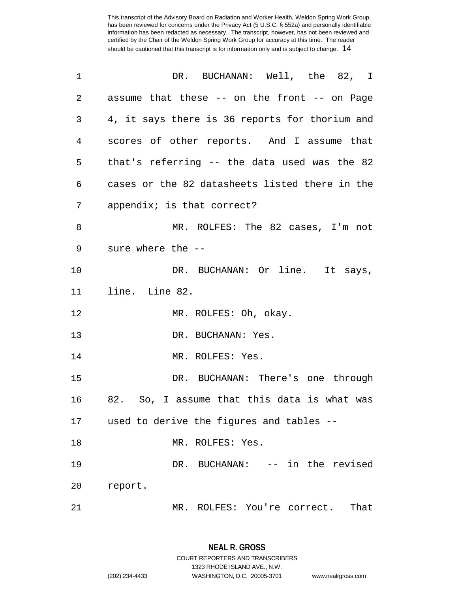| $\mathbf 1$ | DR. BUCHANAN: Well, the 82, I                  |
|-------------|------------------------------------------------|
| 2           | assume that these -- on the front -- on Page   |
| 3           | 4, it says there is 36 reports for thorium and |
| 4           | scores of other reports. And I assume that     |
| 5           | that's referring -- the data used was the 82   |
| 6           | cases or the 82 datasheets listed there in the |
| 7           | appendix; is that correct?                     |
| 8           | MR. ROLFES: The 82 cases, I'm not              |
| 9           | sure where the --                              |
| 10          | DR. BUCHANAN: Or line. It says,                |
| 11          | line. Line 82.                                 |
| 12          | MR. ROLFES: Oh, okay.                          |
| 13          | DR. BUCHANAN: Yes.                             |
| 14          | MR. ROLFES: Yes.                               |
| 15          | DR. BUCHANAN: There's one through              |
| 16          | 82. So, I assume that this data is what was    |
|             | 17 used to derive the figures and tables --    |
| 18          | MR. ROLFES: Yes.                               |
| 19          | DR. BUCHANAN: -- in the revised                |
| 20          | report.                                        |
| 21          | MR. ROLFES: You're correct.<br>That            |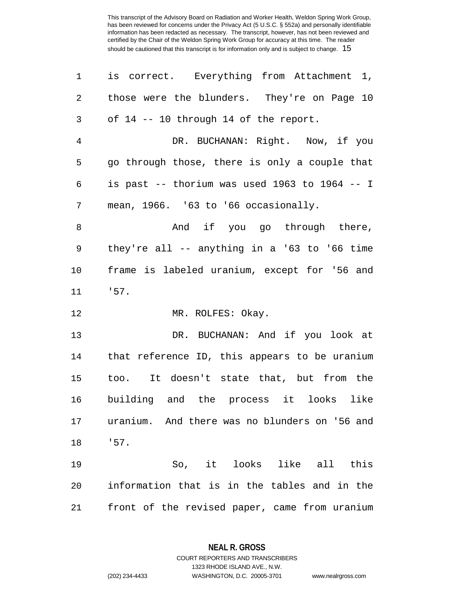| 1          | is correct. Everything from Attachment 1,     |
|------------|-----------------------------------------------|
| 2          | those were the blunders. They're on Page 10   |
| 3          | of 14 -- 10 through 14 of the report.         |
| 4          | DR. BUCHANAN: Right. Now, if you              |
| 5          | go through those, there is only a couple that |
| 6          | is past -- thorium was used 1963 to 1964 -- I |
| $\sqrt{ }$ | mean, 1966. '63 to '66 occasionally.          |
| 8          | And if you go through there,                  |
| 9          | they're all -- anything in a '63 to '66 time  |
| 10         | frame is labeled uranium, except for '56 and  |
| 11         | '57.                                          |
| 12         | MR. ROLFES: Okay.                             |
| 13         | DR. BUCHANAN: And if you look at              |
| 14         | that reference ID, this appears to be uranium |
| 15         | too. It doesn't state that, but from the      |
| 16         | building and the process it looks<br>like     |
| 17         | uranium. And there was no blunders on '56 and |
| 18         | .57.                                          |
| 19         | So, it looks like all this                    |
| 20         | information that is in the tables and in the  |
| 21         | front of the revised paper, came from uranium |

**NEAL R. GROSS** COURT REPORTERS AND TRANSCRIBERS

1323 RHODE ISLAND AVE., N.W.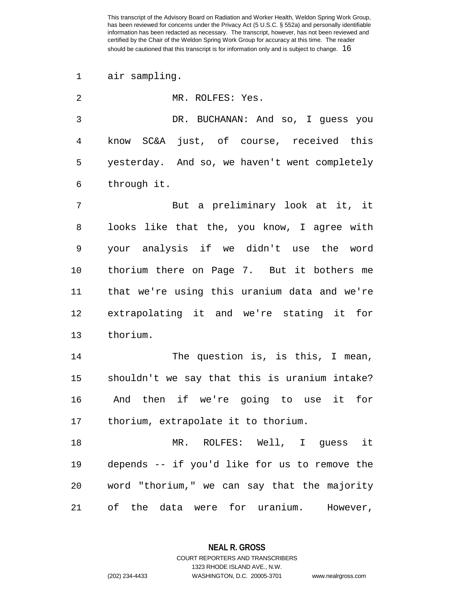1 air sampling.

| $\overline{a}$ | MR. ROLFES: Yes.                              |
|----------------|-----------------------------------------------|
| $\mathfrak{Z}$ | DR. BUCHANAN: And so, I guess you             |
| 4              | know SC&A just, of course, received this      |
| 5              | yesterday. And so, we haven't went completely |
| 6              | through it.                                   |
| 7              | But a preliminary look at it, it              |
| 8              | looks like that the, you know, I agree with   |
| $\mathsf 9$    | your analysis if we didn't use the word       |
| $10 \,$        | thorium there on Page 7. But it bothers me    |
| 11             | that we're using this uranium data and we're  |
| 12             | extrapolating it and we're stating it for     |
| 13             | thorium.                                      |
| 14             | The question is, is this, I mean,             |
| 15             | shouldn't we say that this is uranium intake? |
| 16             | And then if we're going to use it for         |
| 17             | thorium, extrapolate it to thorium.           |
| 18             | MR. ROLFES: Well, I guess it                  |
| 19             | depends -- if you'd like for us to remove the |
| 20             | word "thorium," we can say that the majority  |
| 21             | the data were for uranium. However,<br>of     |

**NEAL R. GROSS** COURT REPORTERS AND TRANSCRIBERS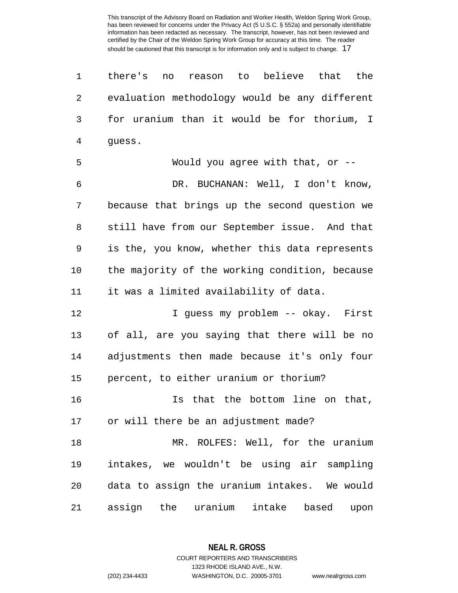| 1  | there's<br>believe that the<br>reason to<br>no   |
|----|--------------------------------------------------|
| 2  | evaluation methodology would be any different    |
| 3  | for uranium than it would be for thorium, I      |
| 4  | guess.                                           |
| 5  | Would you agree with that, or $-$                |
| 6  | DR. BUCHANAN: Well, I don't know,                |
| 7  | because that brings up the second question we    |
| 8  | still have from our September issue. And that    |
| 9  | is the, you know, whether this data represents   |
| 10 | the majority of the working condition, because   |
| 11 | it was a limited availability of data.           |
| 12 | I guess my problem -- okay. First                |
| 13 | of all, are you saying that there will be no     |
| 14 | adjustments then made because it's only four     |
| 15 | percent, to either uranium or thorium?           |
| 16 | Is that the bottom line on that,                 |
| 17 | or will there be an adjustment made?             |
| 18 | MR. ROLFES: Well, for the uranium                |
| 19 | intakes, we wouldn't be using air sampling       |
| 20 | data to assign the uranium intakes. We would     |
| 21 | the uranium<br>intake<br>assign<br>based<br>upon |

**NEAL R. GROSS** COURT REPORTERS AND TRANSCRIBERS

1323 RHODE ISLAND AVE., N.W.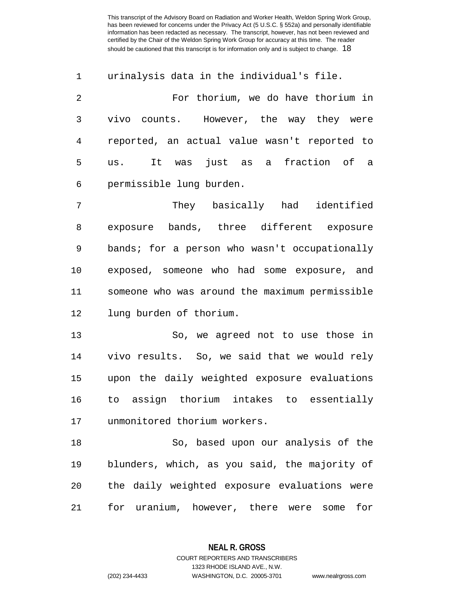| $\mathbf 1$ | urinalysis data in the individual's file.          |
|-------------|----------------------------------------------------|
| 2           | For thorium, we do have thorium in                 |
| 3           | vivo counts. However, the way they were            |
| 4           | reported, an actual value wasn't reported to       |
| 5           | us. It was just as a fraction of a                 |
| 6           | permissible lung burden.                           |
| 7           | They basically had identified                      |
| 8           | exposure bands, three different exposure           |
| $\mathsf 9$ | bands; for a person who wasn't occupationally      |
| 10          | exposed, someone who had some exposure, and        |
| 11          | someone who was around the maximum permissible     |
| 12          | lung burden of thorium.                            |
| 13          | So, we agreed not to use those in                  |
| 14          | vivo results. So, we said that we would rely       |
| 15          | upon the daily weighted exposure evaluations       |
| 16          | to assign thorium intakes to essentially           |
| 17          | unmonitored thorium workers.                       |
| 18          | So, based upon our analysis of the                 |
| 19          | blunders, which, as you said, the majority of      |
| 20          | the daily weighted exposure evaluations were       |
| 21          | for uranium, however, there<br>for<br>were<br>some |

**NEAL R. GROSS** COURT REPORTERS AND TRANSCRIBERS

1323 RHODE ISLAND AVE., N.W.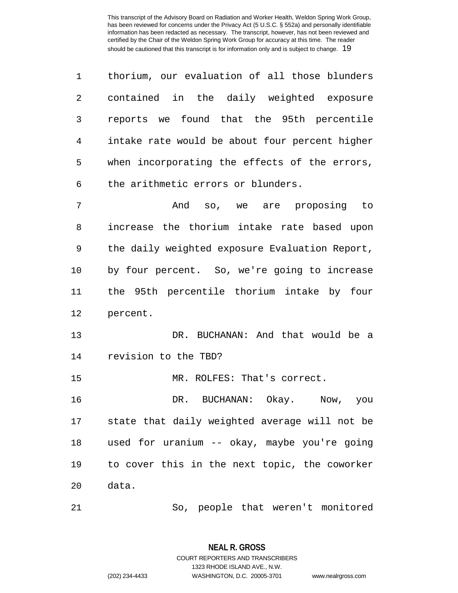| 1    | thorium, our evaluation of all those blunders  |
|------|------------------------------------------------|
| 2    | contained in the daily weighted exposure       |
| 3    | reports we found that the 95th percentile      |
| 4    | intake rate would be about four percent higher |
| 5    | when incorporating the effects of the errors,  |
| 6    | the arithmetic errors or blunders.             |
| 7    | And so, we are proposing to                    |
| 8    | increase the thorium intake rate based upon    |
| 9    | the daily weighted exposure Evaluation Report, |
| $10$ | by four percent. So, we're going to increase   |
| 11   | the 95th percentile thorium intake by four     |
| 12   | percent.                                       |
| 13   | BUCHANAN: And that would be a<br>DR.           |
| 14   | revision to the TBD?                           |
| 15   | MR. ROLFES: That's correct.                    |
| 16   | DR. BUCHANAN: Okay.<br>Now, you                |
| 17   | state that daily weighted average will not be  |
| 18   | used for uranium -- okay, maybe you're going   |
| 19   | to cover this in the next topic, the coworker  |
| 20   | data.                                          |
| 21   | So, people that weren't monitored              |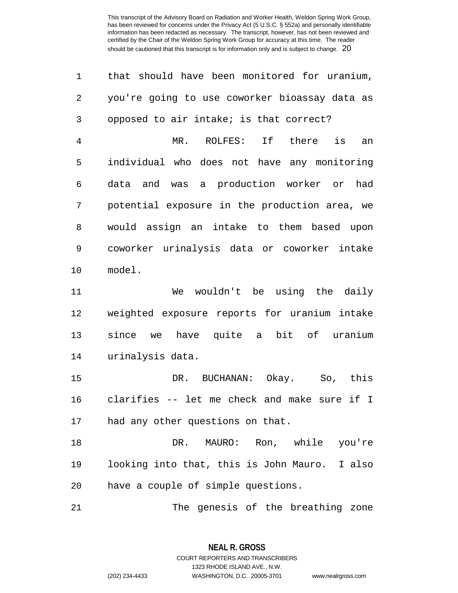| 1  | that should have been monitored for uranium,      |
|----|---------------------------------------------------|
| 2  | you're going to use coworker bioassay data as     |
| 3  | opposed to air intake; is that correct?           |
| 4  | MR.<br>ROLFES:<br>If there<br>is<br>an            |
| 5  | individual who does not have any monitoring       |
| 6  | a production worker or<br>data<br>and was<br>had  |
| 7  | potential exposure in the production area, we     |
| 8  | would assign an intake to them based upon         |
| 9  | coworker urinalysis data or coworker intake       |
| 10 | model.                                            |
| 11 | wouldn't be using the daily<br>We                 |
| 12 | weighted exposure reports for uranium intake      |
| 13 | have quite a bit of uranium<br>since we           |
| 14 | urinalysis data.                                  |
| 15 | BUCHANAN: Okay.<br>DR.<br>SO <sub>1</sub><br>this |
| 16 | clarifies -- let me check and make sure if I      |
| 17 | had any other questions on that.                  |
| 18 | DR. MAURO: Ron, while you're                      |
| 19 | looking into that, this is John Mauro. I also     |
| 20 | have a couple of simple questions.                |
| 21 | The genesis of the breathing zone                 |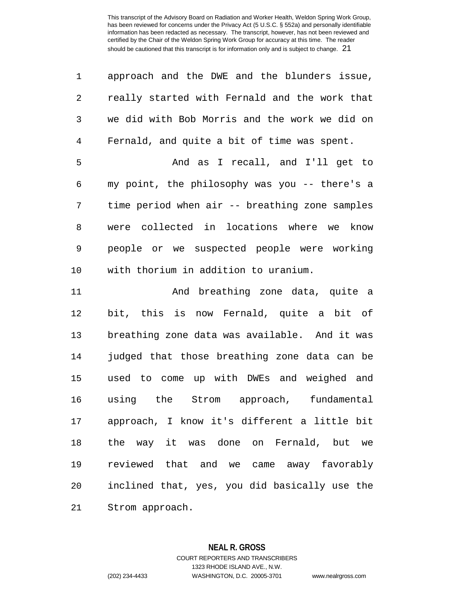| 1  | approach and the DWE and the blunders issue,   |
|----|------------------------------------------------|
| 2  | really started with Fernald and the work that  |
| 3  | we did with Bob Morris and the work we did on  |
| 4  | Fernald, and quite a bit of time was spent.    |
| 5  | And as I recall, and I'll get to               |
| 6  | my point, the philosophy was you -- there's a  |
| 7  | time period when air -- breathing zone samples |
| 8  | were collected in locations where we know      |
| 9  | people or we suspected people were working     |
| 10 | with thorium in addition to uranium.           |
| 11 | And breathing zone data, quite a               |
| 12 | bit, this is now Fernald, quite a bit of       |
| 13 | breathing zone data was available. And it was  |
| 14 | judged that those breathing zone data can be   |
| 15 | used to come up with DWEs and weighed and      |
| 16 | using the Strom approach, fundamental          |
| 17 | approach, I know it's different a little bit   |
| 18 | the way it was done on Fernald, but we         |
| 19 | reviewed that and we came away favorably       |
| 20 | inclined that, yes, you did basically use the  |
| 21 | Strom approach.                                |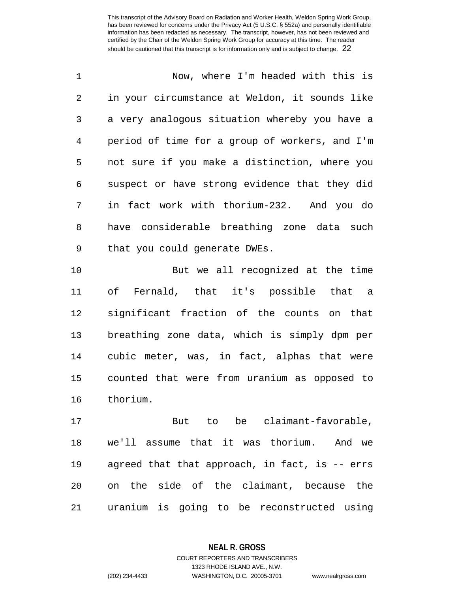1 Now, where I'm headed with this is 2 in your circumstance at Weldon, it sounds like 3 a very analogous situation whereby you have a 4 period of time for a group of workers, and I'm 5 not sure if you make a distinction, where you 6 suspect or have strong evidence that they did 7 in fact work with thorium-232. And you do 8 have considerable breathing zone data such 9 that you could generate DWEs.

10 But we all recognized at the time 11 of Fernald, that it's possible that a 12 significant fraction of the counts on that 13 breathing zone data, which is simply dpm per 14 cubic meter, was, in fact, alphas that were 15 counted that were from uranium as opposed to 16 thorium.

17 But to be claimant-favorable, 18 we'll assume that it was thorium. And we 19 agreed that that approach, in fact, is -- errs 20 on the side of the claimant, because the 21 uranium is going to be reconstructed using

> **NEAL R. GROSS** COURT REPORTERS AND TRANSCRIBERS

> > 1323 RHODE ISLAND AVE., N.W.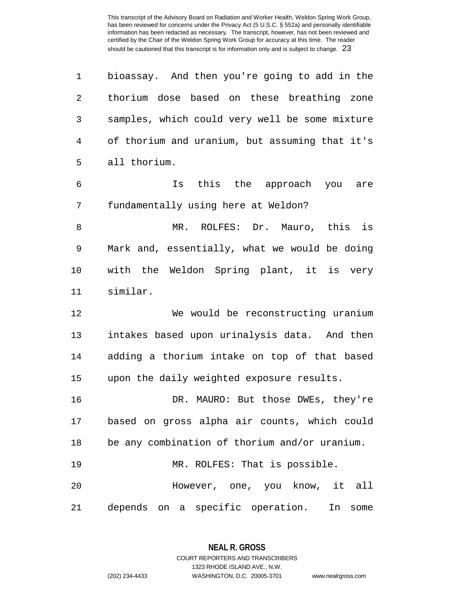| 1              | bioassay. And then you're going to add in the  |
|----------------|------------------------------------------------|
| 2              | thorium dose based on these breathing zone     |
| 3              | samples, which could very well be some mixture |
| $\overline{4}$ | of thorium and uranium, but assuming that it's |
| 5              | all thorium.                                   |
| 6              | Is this the approach you are                   |
| 7              | fundamentally using here at Weldon?            |
| 8              | MR. ROLFES: Dr. Mauro, this is                 |
| 9              | Mark and, essentially, what we would be doing  |
| 10             | with the Weldon Spring plant, it is very       |
| 11             | similar.                                       |
| 12             | We would be reconstructing uranium             |
| 13             | intakes based upon urinalysis data. And then   |
| 14             | adding a thorium intake on top of that based   |
| 15             | upon the daily weighted exposure results.      |
| 16             | DR. MAURO: But those DWEs, they're             |
| 17             | based on gross alpha air counts, which could   |
| 18             | be any combination of thorium and/or uranium.  |
| 19             | MR. ROLFES: That is possible.                  |
| 20             | However, one, you know, it all                 |
| 21             | depends on a specific operation.<br>In<br>some |

**NEAL R. GROSS** COURT REPORTERS AND TRANSCRIBERS

1323 RHODE ISLAND AVE., N.W.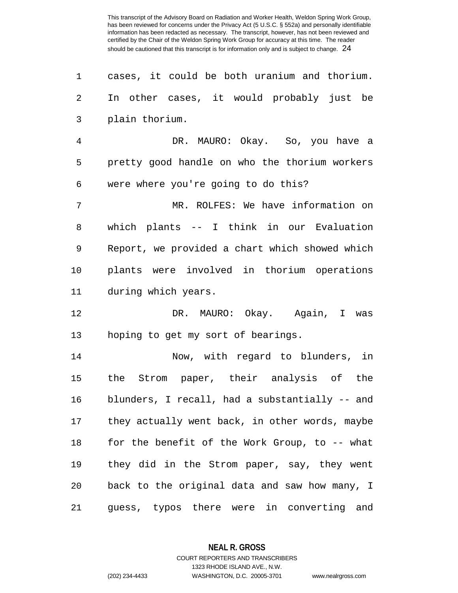1 cases, it could be both uranium and thorium. 2 In other cases, it would probably just be 3 plain thorium. 4 DR. MAURO: Okay. So, you have a 5 pretty good handle on who the thorium workers 6 were where you're going to do this? 7 MR. ROLFES: We have information on 8 which plants -- I think in our Evaluation 9 Report, we provided a chart which showed which 10 plants were involved in thorium operations 11 during which years. 12 DR. MAURO: Okay. Again, I was 13 hoping to get my sort of bearings. 14 Now, with regard to blunders, in 15 the Strom paper, their analysis of the 16 blunders, I recall, had a substantially -- and 17 they actually went back, in other words, maybe 18 for the benefit of the Work Group, to -- what 19 they did in the Strom paper, say, they went 20 back to the original data and saw how many, I 21 guess, typos there were in converting and

> **NEAL R. GROSS** COURT REPORTERS AND TRANSCRIBERS

> > 1323 RHODE ISLAND AVE., N.W.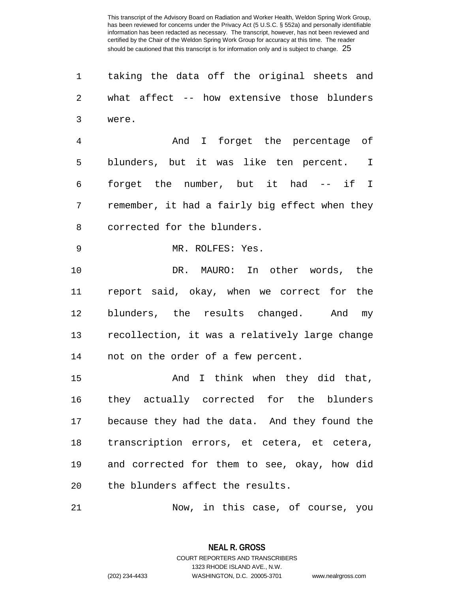1 taking the data off the original sheets and 2 what affect -- how extensive those blunders 3 were.

4 And I forget the percentage of 5 blunders, but it was like ten percent. I 6 forget the number, but it had -- if I 7 remember, it had a fairly big effect when they 8 corrected for the blunders.

9 MR. ROLFES: Yes.

10 DR. MAURO: In other words, the 11 report said, okay, when we correct for the 12 blunders, the results changed. And my 13 recollection, it was a relatively large change 14 not on the order of a few percent.

15 And I think when they did that, 16 they actually corrected for the blunders 17 because they had the data. And they found the 18 transcription errors, et cetera, et cetera, 19 and corrected for them to see, okay, how did 20 the blunders affect the results.

21 Now, in this case, of course, you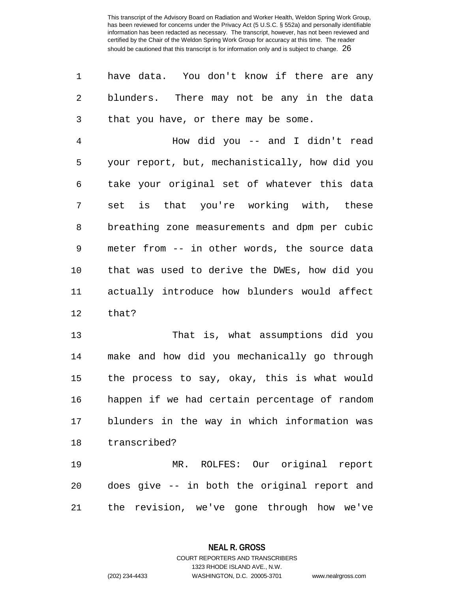1 have data. You don't know if there are any 2 blunders. There may not be any in the data 3 that you have, or there may be some.

4 How did you -- and I didn't read 5 your report, but, mechanistically, how did you 6 take your original set of whatever this data 7 set is that you're working with, these 8 breathing zone measurements and dpm per cubic 9 meter from -- in other words, the source data 10 that was used to derive the DWEs, how did you 11 actually introduce how blunders would affect 12 that?

13 That is, what assumptions did you 14 make and how did you mechanically go through 15 the process to say, okay, this is what would 16 happen if we had certain percentage of random 17 blunders in the way in which information was 18 transcribed?

19 MR. ROLFES: Our original report 20 does give -- in both the original report and 21 the revision, we've gone through how we've

**NEAL R. GROSS**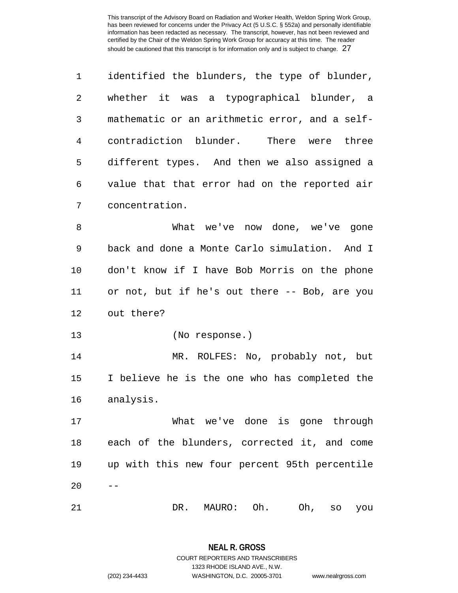| $\mathbf 1$ | identified the blunders, the type of blunder,  |
|-------------|------------------------------------------------|
| 2           | whether it was a typographical blunder, a      |
| 3           | mathematic or an arithmetic error, and a self- |
| 4           | contradiction blunder. There were three        |
| 5           | different types. And then we also assigned a   |
| 6           | value that that error had on the reported air  |
| 7           | concentration.                                 |
| 8           | What we've now done, we've gone                |
| 9           | back and done a Monte Carlo simulation. And I  |
| 10          | don't know if I have Bob Morris on the phone   |
| 11          | or not, but if he's out there -- Bob, are you  |
| 12          | out there?                                     |
| 13          | (No response.)                                 |
| 14          | MR. ROLFES: No, probably not, but              |
| 15          | I believe he is the one who has completed the  |
| 16          | analysis.                                      |
| 17          | What we've done is gone through                |
| 18          | each of the blunders, corrected it, and come   |
| 19          | up with this new four percent 95th percentile  |
| 20          |                                                |
| 21          | MAURO: Oh.<br>DR.<br>Oh, so<br>you             |

**NEAL R. GROSS** COURT REPORTERS AND TRANSCRIBERS 1323 RHODE ISLAND AVE., N.W.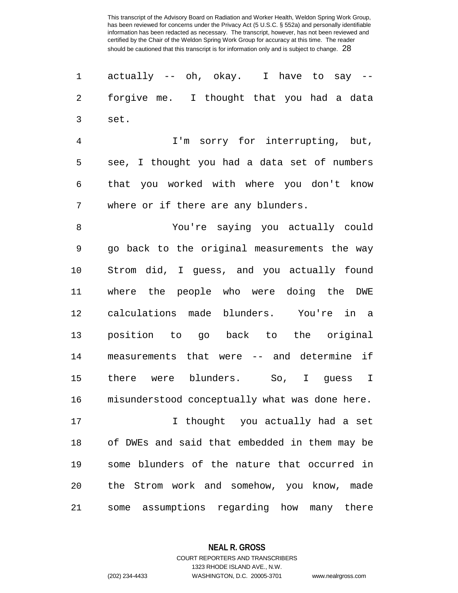1 actually -- oh, okay. I have to say 2 forgive me. I thought that you had a data 3 set.

4 I'm sorry for interrupting, but, 5 see, I thought you had a data set of numbers 6 that you worked with where you don't know 7 where or if there are any blunders.

8 You're saying you actually could 9 go back to the original measurements the way 10 Strom did, I guess, and you actually found 11 where the people who were doing the DWE 12 calculations made blunders. You're in a 13 position to go back to the original 14 measurements that were -- and determine if 15 there were blunders. So, I guess I 16 misunderstood conceptually what was done here. 17 I thought you actually had a set 18 of DWEs and said that embedded in them may be 19 some blunders of the nature that occurred in 20 the Strom work and somehow, you know, made 21 some assumptions regarding how many there

**NEAL R. GROSS**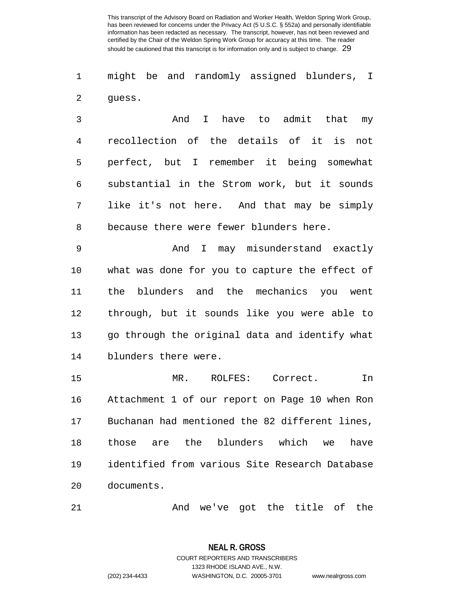1 might be and randomly assigned blunders, I 2 guess.

3 And I have to admit that my 4 recollection of the details of it is not 5 perfect, but I remember it being somewhat 6 substantial in the Strom work, but it sounds 7 like it's not here. And that may be simply 8 because there were fewer blunders here.

9 And I may misunderstand exactly 10 what was done for you to capture the effect of 11 the blunders and the mechanics you went 12 through, but it sounds like you were able to 13 go through the original data and identify what 14 blunders there were.

15 MR. ROLFES: Correct. In 16 Attachment 1 of our report on Page 10 when Ron 17 Buchanan had mentioned the 82 different lines, 18 those are the blunders which we have 19 identified from various Site Research Database 20 documents.

21 And we've got the title of the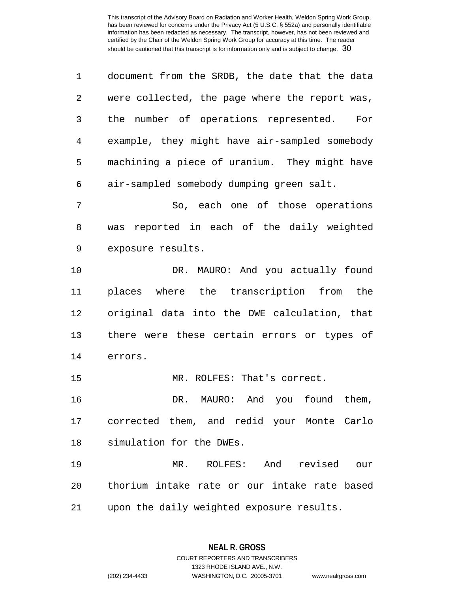| 1  | document from the SRDB, the date that the data |
|----|------------------------------------------------|
| 2  | were collected, the page where the report was, |
| 3  | the number of operations represented. For      |
| 4  | example, they might have air-sampled somebody  |
| 5  | machining a piece of uranium. They might have  |
| 6  | air-sampled somebody dumping green salt.       |
| 7  | So, each one of those operations               |
| 8  | was reported in each of the daily weighted     |
| 9  | exposure results.                              |
| 10 | DR. MAURO: And you actually found              |
| 11 | places where the transcription from the        |
| 12 | original data into the DWE calculation, that   |
| 13 | there were these certain errors or types of    |
| 14 | errors.                                        |
| 15 | MR. ROLFES: That's correct.                    |
| 16 | DR. MAURO: And you found them,                 |
|    | 17 corrected them, and redid your Monte Carlo  |
| 18 | simulation for the DWEs.                       |
| 19 | MR. ROLFES: And revised our                    |
| 20 | thorium intake rate or our intake rate based   |
| 21 | upon the daily weighted exposure results.      |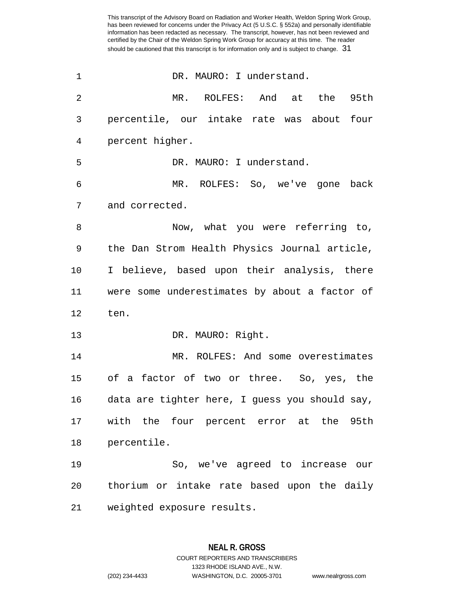| $\mathbf 1$    | DR. MAURO: I understand.                       |
|----------------|------------------------------------------------|
| $\overline{2}$ | MR. ROLFES: And at the<br>95th                 |
| 3              | percentile, our intake rate was about four     |
| $\overline{4}$ | percent higher.                                |
| 5              | DR. MAURO: I understand.                       |
| 6              | MR. ROLFES: So, we've gone back                |
| 7              | and corrected.                                 |
| 8              | Now, what you were referring to,               |
| 9              | the Dan Strom Health Physics Journal article,  |
| $10 \,$        | I believe, based upon their analysis, there    |
| 11             | were some underestimates by about a factor of  |
| 12             | ten.                                           |
| 13             | DR. MAURO: Right.                              |
| 14             | MR. ROLFES: And some overestimates             |
| 15             | of a factor of two or three. So, yes, the      |
| 16             | data are tighter here, I guess you should say, |
|                | 17 with the four percent error at the 95th     |
| 18             | percentile.                                    |
| 19             | So, we've agreed to increase our               |
| 20             | thorium or intake rate based upon the daily    |
| 21             | weighted exposure results.                     |

**NEAL R. GROSS** COURT REPORTERS AND TRANSCRIBERS

1323 RHODE ISLAND AVE., N.W.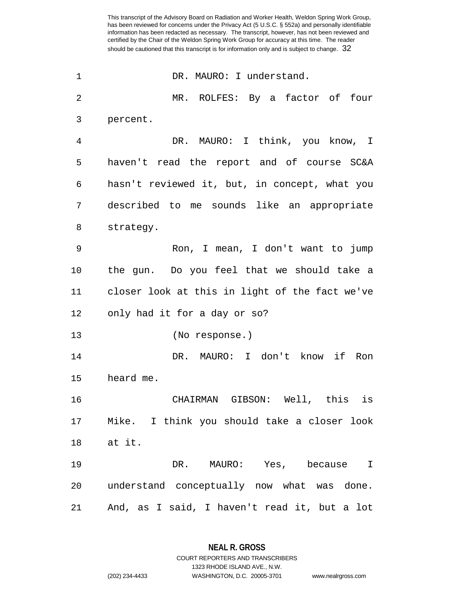1 DR. MAURO: I understand. 2 MR. ROLFES: By a factor of four 3 percent. 4 DR. MAURO: I think, you know, I 5 haven't read the report and of course SC&A 6 hasn't reviewed it, but, in concept, what you 7 described to me sounds like an appropriate 8 strategy. 9 Ron, I mean, I don't want to jump 10 the gun. Do you feel that we should take a 11 closer look at this in light of the fact we've 12 only had it for a day or so? 13 (No response.) 14 DR. MAURO: I don't know if Ron 15 heard me. 16 CHAIRMAN GIBSON: Well, this is 17 Mike. I think you should take a closer look 18 at it. 19 DR. MAURO: Yes, because I 20 understand conceptually now what was done. 21 And, as I said, I haven't read it, but a lot

> **NEAL R. GROSS** COURT REPORTERS AND TRANSCRIBERS

> > 1323 RHODE ISLAND AVE., N.W.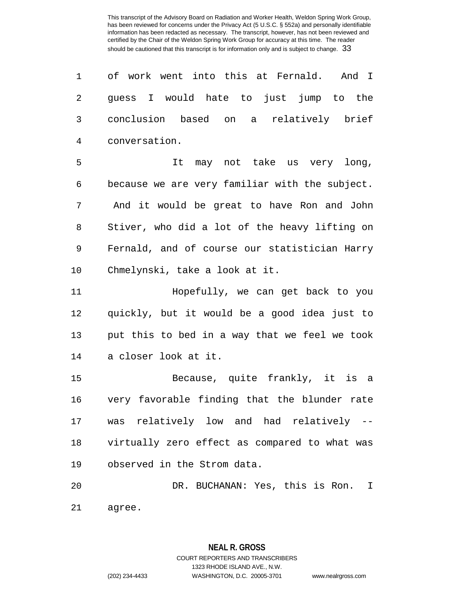| 1  | of work went into this at Fernald.<br>And I    |
|----|------------------------------------------------|
| 2  | guess I would hate to just jump to the         |
| 3  | conclusion based on a relatively brief         |
| 4  | conversation.                                  |
| 5  | It may not take us very long,                  |
| 6  | because we are very familiar with the subject. |
| 7  | And it would be great to have Ron and John     |
| 8  | Stiver, who did a lot of the heavy lifting on  |
| 9  | Fernald, and of course our statistician Harry  |
| 10 | Chmelynski, take a look at it.                 |
| 11 | Hopefully, we can get back to you              |
| 12 | quickly, but it would be a good idea just to   |
| 13 | put this to bed in a way that we feel we took  |
| 14 | a closer look at it.                           |
| 15 | Because, quite frankly, it is a                |
| 16 | very favorable finding that the blunder rate   |
|    | 17 was relatively low and had relatively --    |
| 18 | virtually zero effect as compared to what was  |
| 19 | observed in the Strom data.                    |
| 20 | DR. BUCHANAN: Yes, this is Ron. I              |
| 21 | agree.                                         |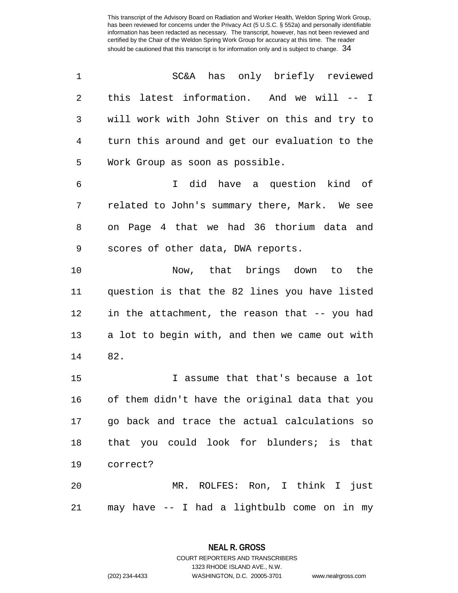| 1              | SC&A has only briefly reviewed                 |
|----------------|------------------------------------------------|
| 2              | this<br>latest information. And we will -- I   |
| 3              | will work with John Stiver on this and try to  |
| $\overline{4}$ | turn this around and get our evaluation to the |
| 5              | Work Group as soon as possible.                |
| 6              | I did have a question kind of                  |
| 7              | related to John's summary there, Mark. We see  |
| 8              | on Page 4 that we had 36 thorium data and      |
| 9              | scores of other data, DWA reports.             |
| 10             | Now, that brings down to the                   |
| 11             | question is that the 82 lines you have listed  |
| 12             | in the attachment, the reason that -- you had  |
| 13             | a lot to begin with, and then we came out with |
| 14             | 82.                                            |
| 15             | I assume that that's because a lot             |
| 16             | of them didn't have the original data that you |
| 17             | go back and trace the actual calculations so   |
| 18             | that you could look for blunders; is that      |
| 19             | correct?                                       |
| 20             | MR. ROLFES: Ron, I think I just                |
| 21             | may have -- I had a lightbulb come on in my    |

**NEAL R. GROSS** COURT REPORTERS AND TRANSCRIBERS

1323 RHODE ISLAND AVE., N.W.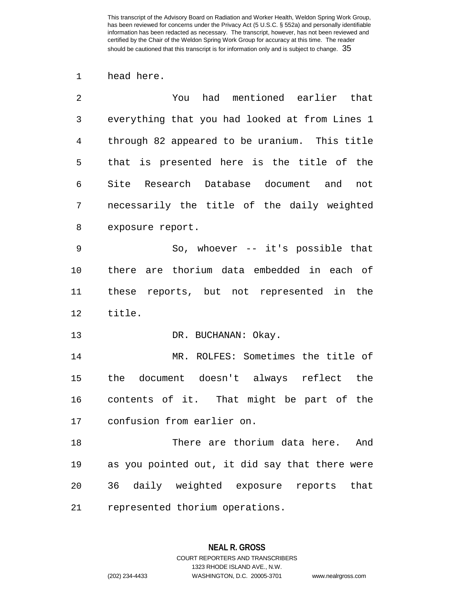# 1 head here.

| 2  | You had mentioned earlier that                 |
|----|------------------------------------------------|
| 3  | everything that you had looked at from Lines 1 |
| 4  | through 82 appeared to be uranium. This title  |
| 5  | that is presented here is the title of the     |
| 6  | Site Research Database document and<br>not     |
| 7  | necessarily the title of the daily weighted    |
| 8  | exposure report.                               |
| 9  | So, whoever $--$ it's possible that            |
| 10 | there are thorium data embedded in each of     |
| 11 | these reports, but not represented in the      |
| 12 | title.                                         |
| 13 | DR. BUCHANAN: Okay.                            |
| 14 | MR. ROLFES: Sometimes the title of             |
| 15 | the document doesn't always reflect the        |
| 16 | contents of it. That might be part of the      |
| 17 | confusion from earlier on.                     |
| 18 | There are thorium data here. And               |
| 19 | as you pointed out, it did say that there were |
| 20 | 36 daily weighted exposure reports that        |
| 21 | represented thorium operations.                |

**NEAL R. GROSS**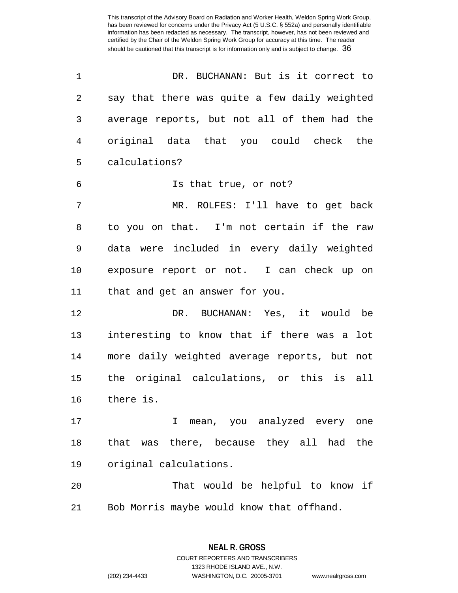| 1  | DR. BUCHANAN: But is it correct to            |
|----|-----------------------------------------------|
| 2  | say that there was quite a few daily weighted |
| 3  | average reports, but not all of them had the  |
| 4  | original data that you could check the        |
| 5  | calculations?                                 |
| 6  | Is that true, or not?                         |
| 7  | MR. ROLFES: I'll have to get back             |
| 8  | to you on that. I'm not certain if the raw    |
| 9  | data were included in every daily weighted    |
| 10 | exposure report or not. I can check up on     |
| 11 | that and get an answer for you.               |
| 12 | DR. BUCHANAN: Yes, it would be                |
| 13 | interesting to know that if there was a lot   |
| 14 | more daily weighted average reports, but not  |
| 15 | the original calculations, or this is all     |
| 16 | there is.                                     |
| 17 | I mean, you analyzed every one                |
| 18 | was there, because they all had the<br>that   |
| 19 | original calculations.                        |
| 20 | That would be helpful to know if              |
| 21 | Bob Morris maybe would know that offhand.     |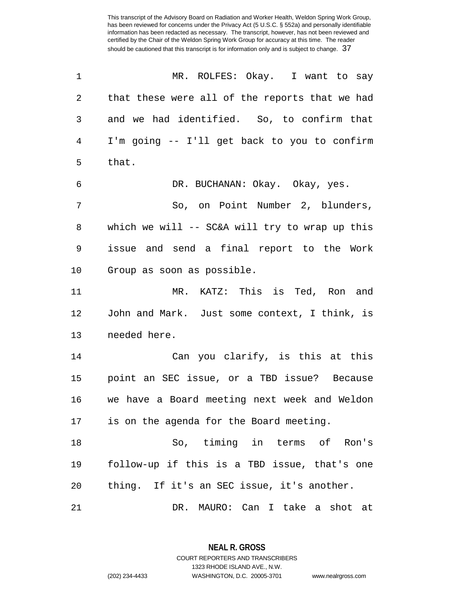| 1  | MR. ROLFES: Okay. I want to say                |
|----|------------------------------------------------|
| 2  | that these were all of the reports that we had |
| 3  | and we had identified. So, to confirm that     |
| 4  | I'm going -- I'll get back to you to confirm   |
| 5  | that.                                          |
| 6  | DR. BUCHANAN: Okay. Okay, yes.                 |
| 7  | So, on Point Number 2, blunders,               |
| 8  | which we will -- SC&A will try to wrap up this |
| 9  | issue and send a final report to the Work      |
| 10 | Group as soon as possible.                     |
| 11 | MR. KATZ: This is Ted, Ron and                 |
| 12 | John and Mark. Just some context, I think, is  |
| 13 | needed here.                                   |
| 14 | Can you clarify, is this at this               |
| 15 | point an SEC issue, or a TBD issue? Because    |
| 16 | we have a Board meeting next week and Weldon   |
| 17 | is on the agenda for the Board meeting.        |
| 18 | So, timing in terms of Ron's                   |
| 19 | follow-up if this is a TBD issue, that's one   |
| 20 | thing. If it's an SEC issue, it's another.     |
| 21 | DR.<br>MAURO: Can I take a<br>shot at          |

**NEAL R. GROSS** COURT REPORTERS AND TRANSCRIBERS 1323 RHODE ISLAND AVE., N.W.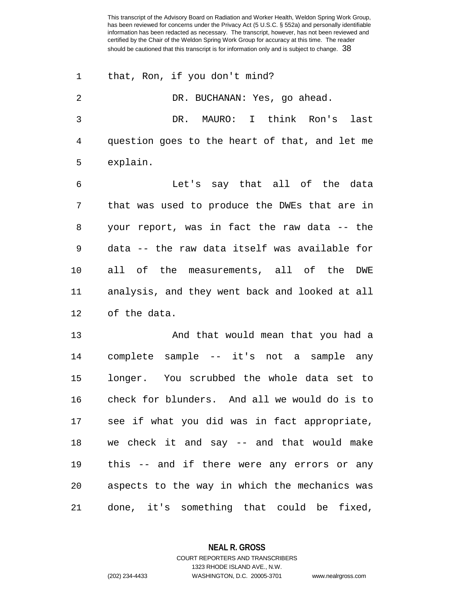1 that, Ron, if you don't mind?

2 DR. BUCHANAN: Yes, go ahead. 3 DR. MAURO: I think Ron's last 4 question goes to the heart of that, and let me 5 explain.

6 Let's say that all of the data 7 that was used to produce the DWEs that are in 8 your report, was in fact the raw data -- the 9 data -- the raw data itself was available for 10 all of the measurements, all of the DWE 11 analysis, and they went back and looked at all 12 of the data.

13 And that would mean that you had a 14 complete sample -- it's not a sample any 15 longer. You scrubbed the whole data set to 16 check for blunders. And all we would do is to 17 see if what you did was in fact appropriate, 18 we check it and say -- and that would make 19 this -- and if there were any errors or any 20 aspects to the way in which the mechanics was 21 done, it's something that could be fixed,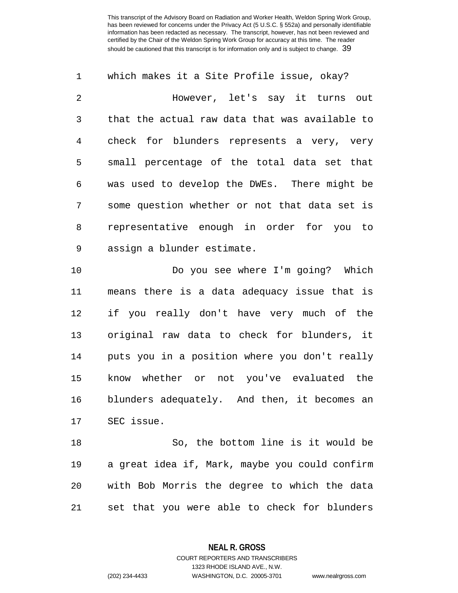1 which makes it a Site Profile issue, okay? 2 However, let's say it turns out 3 that the actual raw data that was available to 4 check for blunders represents a very, very 5 small percentage of the total data set that 6 was used to develop the DWEs. There might be 7 some question whether or not that data set is 8 representative enough in order for you to 9 assign a blunder estimate.

10 Do you see where I'm going? Which 11 means there is a data adequacy issue that is 12 if you really don't have very much of the 13 original raw data to check for blunders, it 14 puts you in a position where you don't really 15 know whether or not you've evaluated the 16 blunders adequately. And then, it becomes an 17 SEC issue.

18 So, the bottom line is it would be 19 a great idea if, Mark, maybe you could confirm 20 with Bob Morris the degree to which the data 21 set that you were able to check for blunders

**NEAL R. GROSS**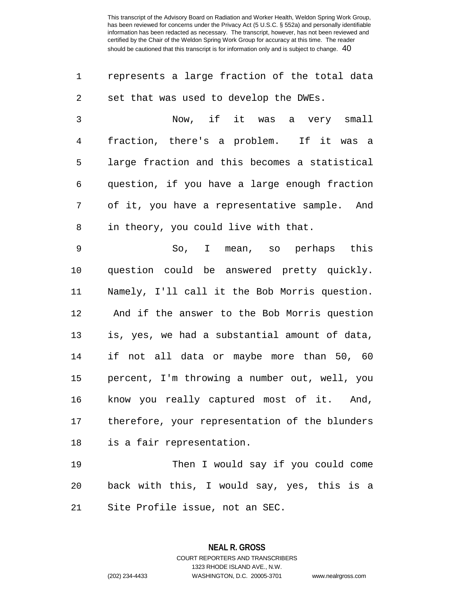| 1              | represents a large fraction of the total data  |
|----------------|------------------------------------------------|
| $\overline{2}$ | set that was used to develop the DWEs.         |
| 3              | Now, if it was a very small                    |
| $\overline{4}$ | fraction, there's a problem. If it was a       |
| 5              | large fraction and this becomes a statistical  |
| 6              | question, if you have a large enough fraction  |
| 7              | of it, you have a representative sample. And   |
| 8              | in theory, you could live with that.           |
| $\mathsf 9$    | So, I mean, so perhaps this                    |
| $10 \,$        | question could be answered pretty quickly.     |
| 11             | Namely, I'll call it the Bob Morris question.  |
| 12             | And if the answer to the Bob Morris question   |
| 13             | is, yes, we had a substantial amount of data,  |
| 14             | if not all data or maybe more than 50, 60      |
| 15             | percent, I'm throwing a number out, well, you  |
| 16             | know you really captured most of it. And,      |
| 17             | therefore, your representation of the blunders |
| 18             | is a fair representation.                      |
| 19             | Then I would say if you could come             |
| 20             | back with this, I would say, yes, this is a    |
|                |                                                |

21 Site Profile issue, not an SEC.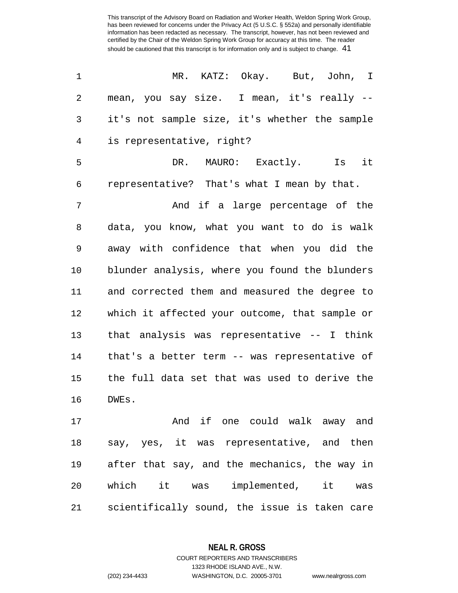| 1  | MR. KATZ: Okay. But, John, I                    |
|----|-------------------------------------------------|
| 2  | mean, you say size. I mean, it's really --      |
| 3  | it's not sample size, it's whether the sample   |
| 4  | is representative, right?                       |
| 5  | Is it<br>DR. MAURO: Exactly.                    |
| 6  | representative? That's what I mean by that.     |
| 7  | And if a large percentage of the                |
| 8  | data, you know, what you want to do is walk     |
| 9  | away with confidence that when you did the      |
| 10 | blunder analysis, where you found the blunders  |
| 11 | and corrected them and measured the degree to   |
| 12 | which it affected your outcome, that sample or  |
| 13 | that analysis was representative -- I think     |
| 14 | that's a better term -- was representative of   |
| 15 | the full data set that was used to derive the   |
| 16 | DWES.                                           |
| 17 | And if one could walk away and                  |
| 18 | say, yes, it was representative, and then       |
| 19 | after that say, and the mechanics, the way in   |
| 20 | which<br>it<br>implemented,<br>it<br>was<br>was |

21 scientifically sound, the issue is taken care

**NEAL R. GROSS** COURT REPORTERS AND TRANSCRIBERS

1323 RHODE ISLAND AVE., N.W.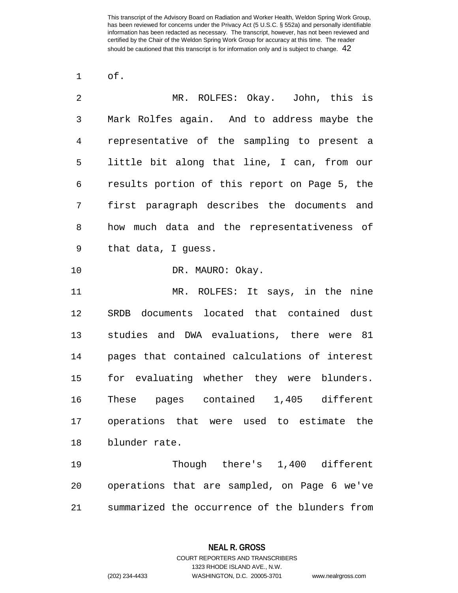1 of.

| $\overline{2}$ | MR. ROLFES: Okay. John, this is                |
|----------------|------------------------------------------------|
| 3              | Mark Rolfes again. And to address maybe the    |
| 4              | representative of the sampling to present a    |
| 5              | little bit along that line, I can, from our    |
| 6              | results portion of this report on Page 5, the  |
| 7              | first paragraph describes the documents and    |
| 8              | how much data and the representativeness of    |
| 9              | that data, I quess.                            |
| 10             | DR. MAURO: Okay.                               |
| 11             | MR. ROLFES: It says, in the nine               |
| 12             | SRDB documents located that contained dust     |
| 13             | studies and DWA evaluations, there were 81     |
| 14             | pages that contained calculations of interest  |
| 15             | for evaluating whether they were blunders.     |
| 16             | These pages contained 1,405 different          |
| 17             | operations that were used to estimate the      |
| 18             | blunder rate.                                  |
| 19             | Though there's 1,400 different                 |
| 20             | operations that are sampled, on Page 6 we've   |
| 21             | summarized the occurrence of the blunders from |

**NEAL R. GROSS**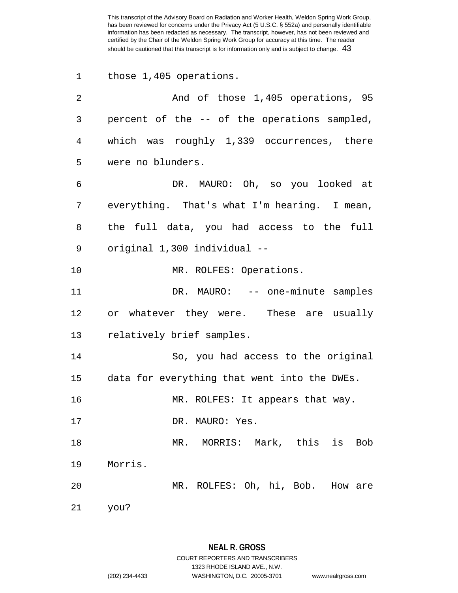1 those 1,405 operations.

| $\overline{2}$ | And of those 1,405 operations, 95            |
|----------------|----------------------------------------------|
| 3              | percent of the -- of the operations sampled, |
| 4              | which was roughly 1,339 occurrences, there   |
| 5              | were no blunders.                            |
| 6              | DR. MAURO: Oh, so you looked at              |
| 7              | everything. That's what I'm hearing. I mean, |
| 8              | the full data, you had access to the full    |
| 9              | original 1,300 individual --                 |
| 10             | MR. ROLFES: Operations.                      |
| 11             | DR. MAURO: -- one-minute samples             |
| 12             | or whatever they were. These are usually     |
| 13             | relatively brief samples.                    |
| 14             | So, you had access to the original           |
| 15             | data for everything that went into the DWEs. |
| 16             | MR. ROLFES: It appears that way.             |
| 17             | DR. MAURO: Yes.                              |
| 18             | MR. MORRIS: Mark, this is Bob                |
| 19             | Morris.                                      |
| 20             | MR. ROLFES: Oh, hi, Bob. How are             |
| 21             | you?                                         |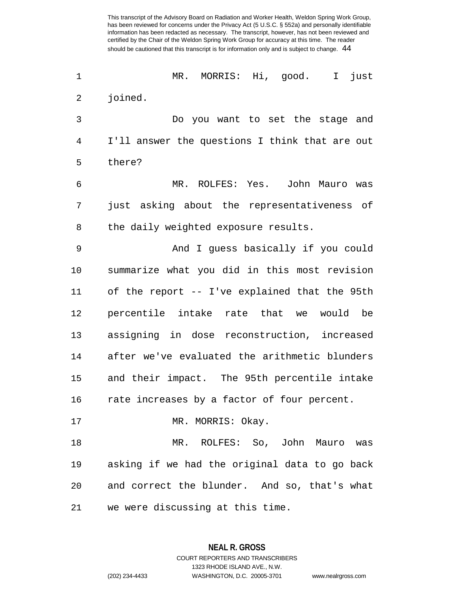1 MR. MORRIS: Hi, good. I just 2 joined.

3 Do you want to set the stage and 4 I'll answer the questions I think that are out 5 there?

6 MR. ROLFES: Yes. John Mauro was 7 just asking about the representativeness of 8 the daily weighted exposure results.

9 And I guess basically if you could 10 summarize what you did in this most revision 11 of the report -- I've explained that the 95th 12 percentile intake rate that we would be 13 assigning in dose reconstruction, increased 14 after we've evaluated the arithmetic blunders 15 and their impact. The 95th percentile intake 16 rate increases by a factor of four percent.

17 MR. MORRIS: Okay.

18 MR. ROLFES: So, John Mauro was 19 asking if we had the original data to go back 20 and correct the blunder. And so, that's what 21 we were discussing at this time.

1323 RHODE ISLAND AVE., N.W.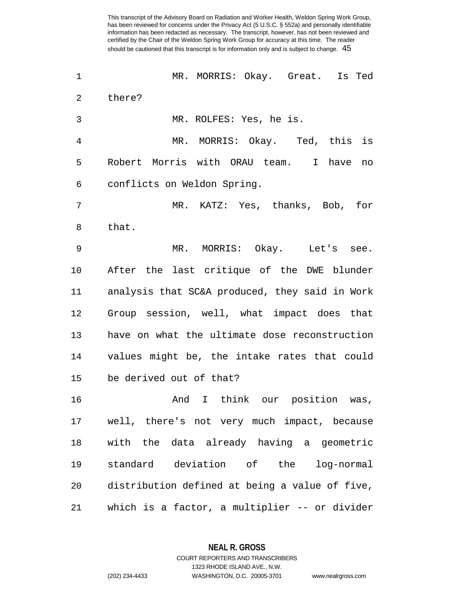| 1  | MR. MORRIS: Okay. Great. Is Ted                |
|----|------------------------------------------------|
| 2  | there?                                         |
| 3  | MR. ROLFES: Yes, he is.                        |
| 4  | MR. MORRIS: Okay. Ted, this is                 |
| 5  | Robert Morris with ORAU team. I have<br>no     |
| 6  | conflicts on Weldon Spring.                    |
| 7  | MR. KATZ: Yes, thanks, Bob, for                |
| 8  | that.                                          |
| 9  | MR. MORRIS: Okay. Let's see.                   |
| 10 | After the last critique of the DWE blunder     |
| 11 | analysis that SC&A produced, they said in Work |
| 12 | Group session, well, what impact does that     |
| 13 | have on what the ultimate dose reconstruction  |
| 14 | values might be, the intake rates that could   |
| 15 | be derived out of that?                        |
| 16 | I think our position was,<br>And               |
| 17 | well, there's not very much impact, because    |
| 18 | with the data already having a geometric       |
| 19 | standard deviation of the<br>log-normal        |
| 20 | distribution defined at being a value of five, |
| 21 | which is a factor, a multiplier -- or divider  |

**NEAL R. GROSS** COURT REPORTERS AND TRANSCRIBERS

1323 RHODE ISLAND AVE., N.W.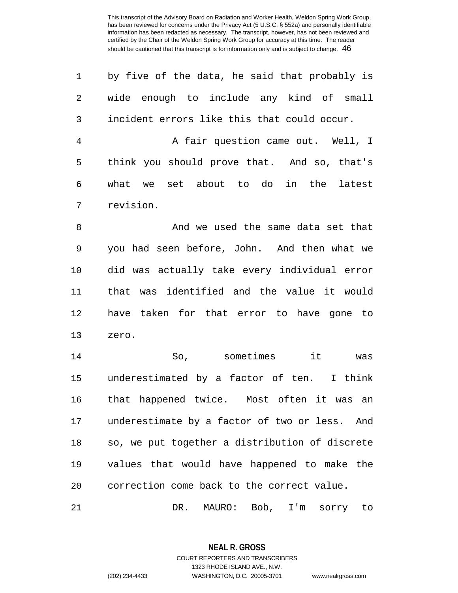| 1              | by five of the data, he said that probably is  |
|----------------|------------------------------------------------|
| $\overline{2}$ | wide enough to include any kind of small       |
| 3              | incident errors like this that could occur.    |
| $\overline{4}$ | A fair question came out. Well, I              |
| 5              | think you should prove that. And so, that's    |
| 6              | what we set about to do in the latest          |
| 7              | revision.                                      |
| 8              | And we used the same data set that             |
| $\mathsf 9$    | you had seen before, John. And then what we    |
| 10             | did was actually take every individual error   |
| 11             | that was identified and the value it would     |
| 12             | have taken for that error to have gone to      |
| 13             | zero.                                          |
| 14             | So,<br>sometimes<br>it<br>was                  |
| 15             | underestimated by a factor of ten. I think     |
| 16             | that happened twice. Most often it was an      |
| 17             | underestimate by a factor of two or less. And  |
| 18             | so, we put together a distribution of discrete |
| 19             | values that would have happened to make the    |
| 20             | correction come back to the correct value.     |
|                |                                                |

**NEAL R. GROSS** COURT REPORTERS AND TRANSCRIBERS 1323 RHODE ISLAND AVE., N.W. (202) 234-4433 WASHINGTON, D.C. 20005-3701 www.nealrgross.com

21 DR. MAURO: Bob, I'm sorry to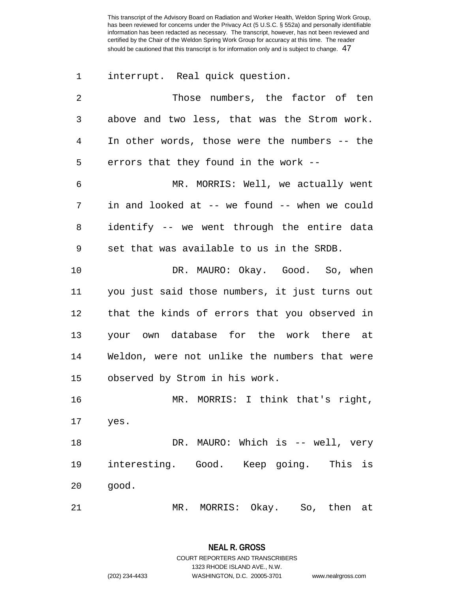1 interrupt. Real quick question.

| $\overline{2}$ | Those numbers, the factor of ten               |
|----------------|------------------------------------------------|
| 3              | above and two less, that was the Strom work.   |
| 4              | In other words, those were the numbers -- the  |
| 5              | errors that they found in the work --          |
| 6              | MR. MORRIS: Well, we actually went             |
| 7              | in and looked at -- we found -- when we could  |
| 8              | identify -- we went through the entire data    |
| 9              | set that was available to us in the SRDB.      |
| 10             | DR. MAURO: Okay. Good. So, when                |
| 11             | you just said those numbers, it just turns out |
| 12             | that the kinds of errors that you observed in  |
| 13             | your own database for the work there at        |
| 14             | Weldon, were not unlike the numbers that were  |
| 15             | observed by Strom in his work.                 |
| 16             | MR. MORRIS: I think that's right,              |
| 17             | yes.                                           |
| 18             | DR. MAURO: Which is -- well, very              |
| 19             | interesting. Good. Keep going. This is         |
| 20             | good.                                          |
| 21             | MR. MORRIS: Okay. So, then at                  |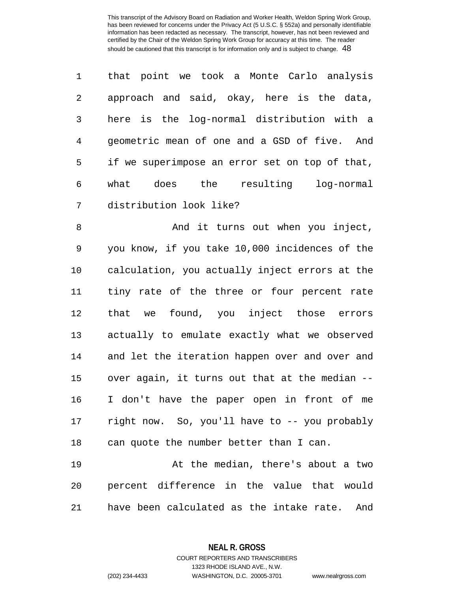| $\mathbf{1}$ | that point we took a Monte Carlo analysis      |
|--------------|------------------------------------------------|
| 2            | approach and said, okay, here is the data,     |
| 3            | here is the log-normal distribution with a     |
| 4            | geometric mean of one and a GSD of five. And   |
| 5            | if we superimpose an error set on top of that, |
| 6            | the resulting<br>log-normal<br>what<br>does    |
| 7            | distribution look like?                        |

8 And it turns out when you inject, 9 you know, if you take 10,000 incidences of the 10 calculation, you actually inject errors at the 11 tiny rate of the three or four percent rate 12 that we found, you inject those errors 13 actually to emulate exactly what we observed 14 and let the iteration happen over and over and 15 over again, it turns out that at the median -- 16 I don't have the paper open in front of me 17 right now. So, you'll have to -- you probably 18 can quote the number better than I can.

19 At the median, there's about a two 20 percent difference in the value that would 21 have been calculated as the intake rate. And

> **NEAL R. GROSS** COURT REPORTERS AND TRANSCRIBERS

1323 RHODE ISLAND AVE., N.W. (202) 234-4433 WASHINGTON, D.C. 20005-3701 www.nealrgross.com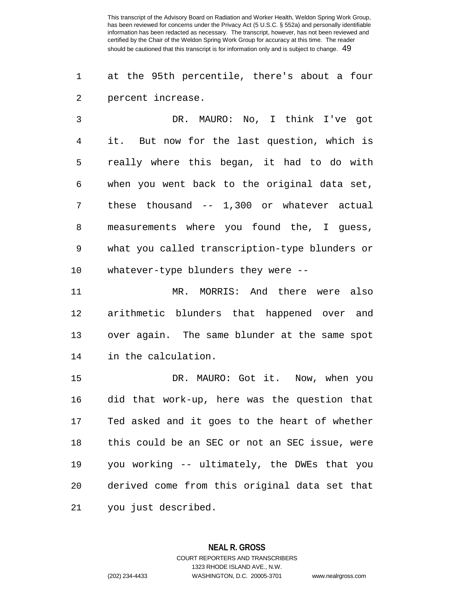1 at the 95th percentile, there's about a four 2 percent increase.

3 DR. MAURO: No, I think I've got 4 it. But now for the last question, which is 5 really where this began, it had to do with 6 when you went back to the original data set, 7 these thousand -- 1,300 or whatever actual 8 measurements where you found the, I guess, 9 what you called transcription-type blunders or 10 whatever-type blunders they were --

11 MR. MORRIS: And there were also 12 arithmetic blunders that happened over and 13 over again. The same blunder at the same spot 14 in the calculation.

15 DR. MAURO: Got it. Now, when you 16 did that work-up, here was the question that 17 Ted asked and it goes to the heart of whether 18 this could be an SEC or not an SEC issue, were 19 you working -- ultimately, the DWEs that you 20 derived come from this original data set that 21 you just described.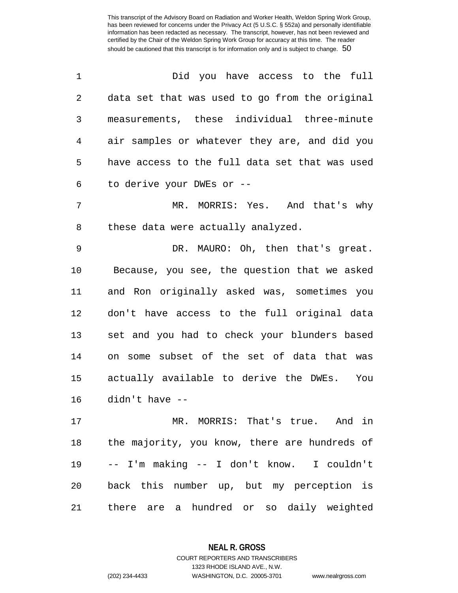| 1              | Did you have access to the full                |
|----------------|------------------------------------------------|
| $\overline{2}$ | data set that was used to go from the original |
| 3              | measurements, these individual three-minute    |
| 4              | air samples or whatever they are, and did you  |
| 5              | have access to the full data set that was used |
| 6              | to derive your DWEs or --                      |
| 7              | MR. MORRIS: Yes. And that's why                |
| 8              | these data were actually analyzed.             |
| 9              | DR. MAURO: Oh, then that's great.              |
| 10             | Because, you see, the question that we asked   |
| 11             | and Ron originally asked was, sometimes you    |
| 12             | don't have access to the full original data    |
| 13             | set and you had to check your blunders based   |
| 14             | on some subset of the set of data that was     |
| 15             | actually available to derive the DWEs.<br>You  |
| 16             | didn't have --                                 |
| 17             | MR. MORRIS: That's true. And in                |
| 18             | the majority, you know, there are hundreds of  |
| 19             | -- I'm making -- I don't know. I couldn't      |
| 20             | back this number up, but my perception is      |

21 there are a hundred or so daily weighted

**NEAL R. GROSS** COURT REPORTERS AND TRANSCRIBERS

1323 RHODE ISLAND AVE., N.W.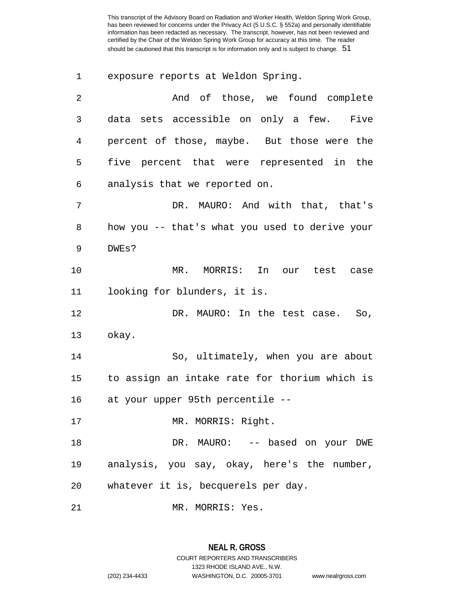1 exposure reports at Weldon Spring.

| 2  | And of those, we found complete                |
|----|------------------------------------------------|
| 3  | data sets accessible on only a few. Five       |
| 4  | percent of those, maybe. But those were the    |
| 5  | five percent that were represented in the      |
| 6  | analysis that we reported on.                  |
| 7  | DR. MAURO: And with that, that's               |
| 8  | how you -- that's what you used to derive your |
| 9  | DWEs?                                          |
| 10 | MR. MORRIS: In our test case                   |
| 11 | looking for blunders, it is.                   |
| 12 | DR. MAURO: In the test case. So,               |
| 13 | okay.                                          |
| 14 | So, ultimately, when you are about             |
| 15 | to assign an intake rate for thorium which is  |
| 16 | at your upper 95th percentile --               |
| 17 | MR. MORRIS: Right.                             |
| 18 | DR. MAURO: -- based on your DWE                |
| 19 | analysis, you say, okay, here's the number,    |
| 20 | whatever it is, becquerels per day.            |
| 21 | MR. MORRIS: Yes.                               |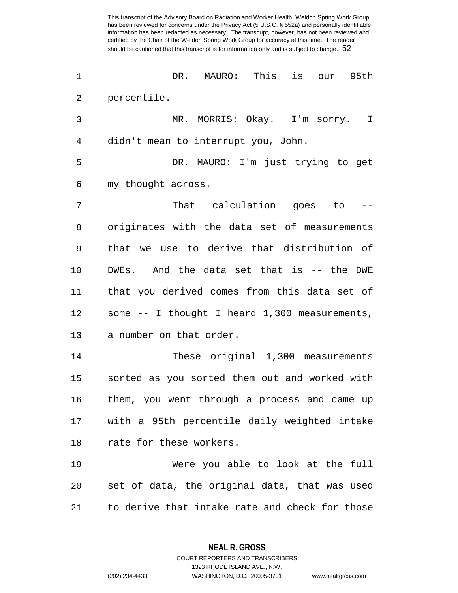1 DR. MAURO: This is our 95th 2 percentile. 3 MR. MORRIS: Okay. I'm sorry. I 4 didn't mean to interrupt you, John. 5 DR. MAURO: I'm just trying to get 6 my thought across. 7 That calculation goes to 8 originates with the data set of measurements 9 that we use to derive that distribution of 10 DWEs. And the data set that is -- the DWE 11 that you derived comes from this data set of 12 some -- I thought I heard 1,300 measurements, 13 a number on that order. 14 These original 1,300 measurements 15 sorted as you sorted them out and worked with 16 them, you went through a process and came up 17 with a 95th percentile daily weighted intake 18 rate for these workers. 19 Were you able to look at the full 20 set of data, the original data, that was used 21 to derive that intake rate and check for those

> **NEAL R. GROSS** COURT REPORTERS AND TRANSCRIBERS

> > 1323 RHODE ISLAND AVE., N.W.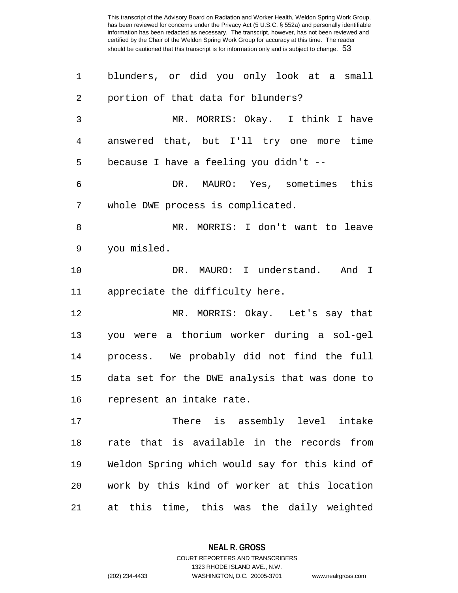| 1      | blunders, or did you only look at a small      |
|--------|------------------------------------------------|
| 2      | portion of that data for blunders?             |
| 3      | MR. MORRIS: Okay. I think I have               |
| 4      | answered that, but I'll try one more time      |
| 5      | because I have a feeling you didn't --         |
| 6      | DR. MAURO: Yes, sometimes this                 |
| 7      | whole DWE process is complicated.              |
| 8      | MR. MORRIS: I don't want to leave              |
| 9      | you misled.                                    |
| 10     | DR. MAURO: I understand. And I                 |
| 11     | appreciate the difficulty here.                |
| 12     | MR. MORRIS: Okay. Let's say that               |
| 13     | you were a thorium worker during a sol-gel     |
| 14     | process. We probably did not find the full     |
| 15     | data set for the DWE analysis that was done to |
| 16     | represent an intake rate.                      |
| 17     | There is assembly level intake                 |
| $18\,$ | rate that is available in the records from     |
| 19     | Weldon Spring which would say for this kind of |
| 20     | work by this kind of worker at this location   |
| 21     | at this time, this was the daily weighted      |

**NEAL R. GROSS**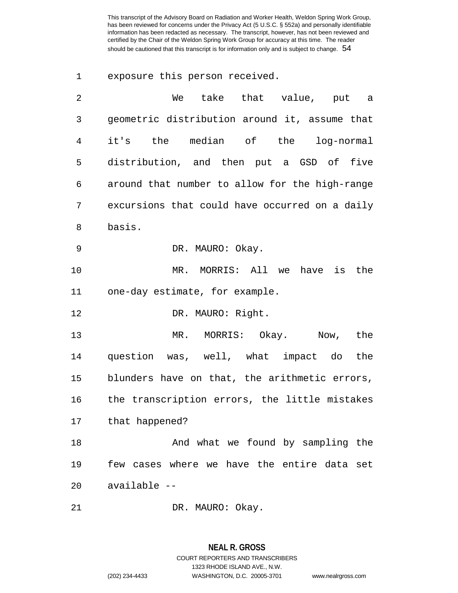1 exposure this person received.

| 2  | take that value, put a<br>We                   |
|----|------------------------------------------------|
| 3  | geometric distribution around it, assume that  |
| 4  | it's the median of the<br>log-normal           |
| 5  | distribution, and then put a GSD of five       |
| 6  | around that number to allow for the high-range |
| 7  | excursions that could have occurred on a daily |
| 8  | basis.                                         |
| 9  | DR. MAURO: Okay.                               |
| 10 | MR. MORRIS: All we<br>is the<br>have           |
| 11 | one-day estimate, for example.                 |
| 12 | DR. MAURO: Right.                              |
| 13 | MR. MORRIS: Okay. Now, the                     |
| 14 | question was, well, what impact do the         |
| 15 | blunders have on that, the arithmetic errors,  |
| 16 | the transcription errors, the little mistakes  |
| 17 | that happened?                                 |
| 18 | And what we found by sampling the              |
| 19 | few cases where we have the entire data set    |
| 20 | available --                                   |

21 DR. MAURO: Okay.

## **NEAL R. GROSS** COURT REPORTERS AND TRANSCRIBERS

1323 RHODE ISLAND AVE., N.W.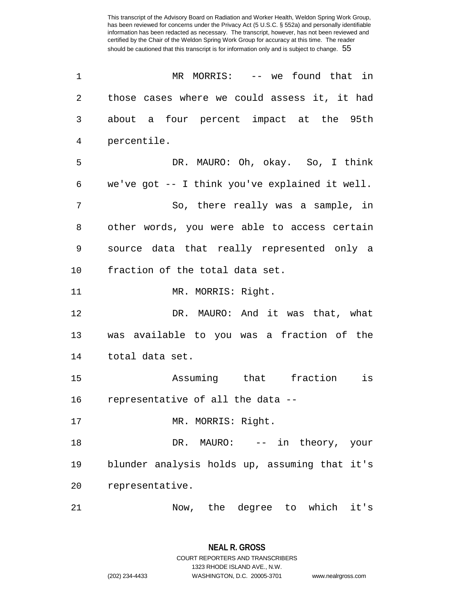| 1  | MR MORRIS: $--$ we found that in               |
|----|------------------------------------------------|
| 2  | those cases where we could assess it, it had   |
| 3  | about a four percent impact at the 95th        |
| 4  | percentile.                                    |
| 5  | DR. MAURO: Oh, okay. So, I think               |
| 6  | we've got -- I think you've explained it well. |
| 7  | So, there really was a sample, in              |
| 8  | other words, you were able to access certain   |
| 9  | source data that really represented only a     |
| 10 | fraction of the total data set.                |
| 11 | MR. MORRIS: Right.                             |
| 12 | DR. MAURO: And it was that, what               |
| 13 | was available to you was a fraction of the     |
| 14 | total data set.                                |
| 15 | Assuming that fraction<br>is                   |
| 16 | representative of all the data --              |
| 17 | MR. MORRIS: Right.                             |
| 18 | DR. MAURO: -- in theory, your                  |
| 19 | blunder analysis holds up, assuming that it's  |
| 20 | representative.                                |
| 21 | Now, the degree to which<br>it's               |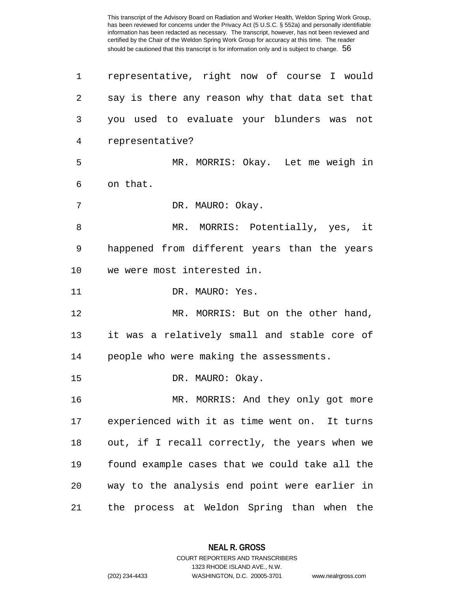| 1  | representative, right now of course I would    |
|----|------------------------------------------------|
| 2  | say is there any reason why that data set that |
| 3  | you used to evaluate your blunders was not     |
| 4  | representative?                                |
| 5  | MR. MORRIS: Okay. Let me weigh in              |
| 6  | on that.                                       |
| 7  | DR. MAURO: Okay.                               |
| 8  | MR. MORRIS: Potentially, yes, it               |
| 9  | happened from different years than the years   |
| 10 | we were most interested in.                    |
| 11 | DR. MAURO: Yes.                                |
| 12 | MR. MORRIS: But on the other hand,             |
| 13 | it was a relatively small and stable core of   |
| 14 | people who were making the assessments.        |
| 15 | DR. MAURO: Okay.                               |
| 16 | MR. MORRIS: And they only got more             |
| 17 | experienced with it as time went on. It turns  |
| 18 | out, if I recall correctly, the years when we  |
| 19 | found example cases that we could take all the |
| 20 | way to the analysis end point were earlier in  |
| 21 | the process at Weldon Spring than when the     |

**NEAL R. GROSS**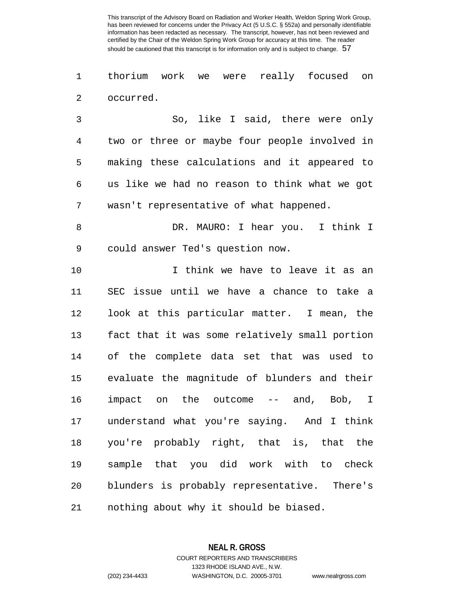1 thorium work we were really focused on 2 occurred.

3 So, like I said, there were only 4 two or three or maybe four people involved in 5 making these calculations and it appeared to 6 us like we had no reason to think what we got 7 wasn't representative of what happened.

8 DR. MAURO: I hear you. I think I 9 could answer Ted's question now.

10 I think we have to leave it as an 11 SEC issue until we have a chance to take a 12 look at this particular matter. I mean, the 13 fact that it was some relatively small portion 14 of the complete data set that was used to 15 evaluate the magnitude of blunders and their 16 impact on the outcome -- and, Bob, I 17 understand what you're saying. And I think 18 you're probably right, that is, that the 19 sample that you did work with to check 20 blunders is probably representative. There's 21 nothing about why it should be biased.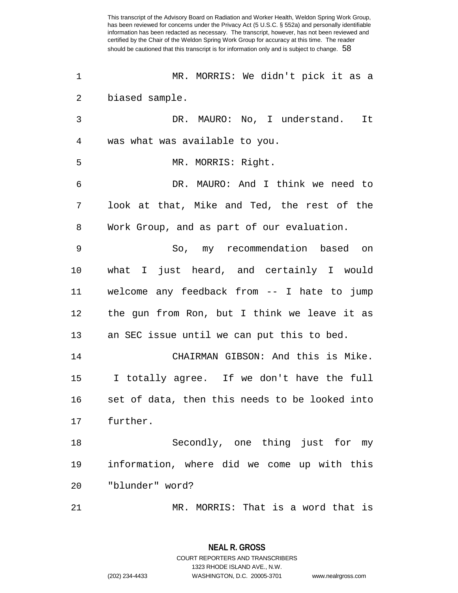| 1  | MR. MORRIS: We didn't pick it as a             |
|----|------------------------------------------------|
| 2  | biased sample.                                 |
| 3  | DR. MAURO: No, I understand.<br>It             |
| 4  | was what was available to you.                 |
| 5  | MR. MORRIS: Right.                             |
| 6  | DR. MAURO: And I think we need to              |
| 7  | look at that, Mike and Ted, the rest of the    |
| 8  | Work Group, and as part of our evaluation.     |
| 9  | So, my recommendation based on                 |
| 10 | what I just heard, and certainly I would       |
| 11 | welcome any feedback from -- I hate to jump    |
| 12 | the gun from Ron, but I think we leave it as   |
| 13 | an SEC issue until we can put this to bed.     |
| 14 | CHAIRMAN GIBSON: And this is Mike.             |
| 15 | I totally agree. If we don't have the full     |
| 16 | set of data, then this needs to be looked into |
| 17 | further.                                       |
| 18 | Secondly, one thing just for my                |
| 19 | information, where did we come up with this    |
| 20 | "blunder" word?                                |
| 21 | MR. MORRIS: That is a word that is             |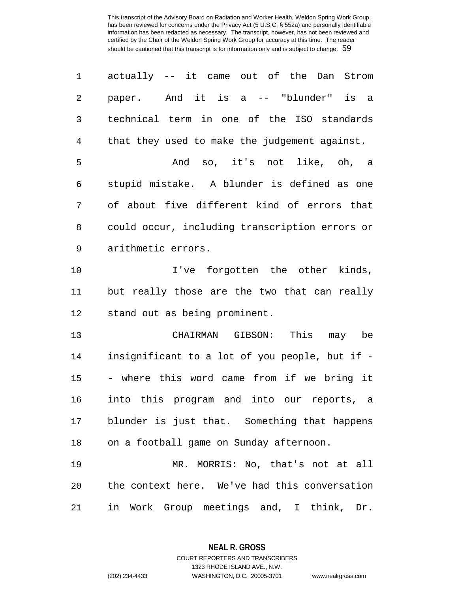| 1  | actually -- it came out of the Dan Strom       |
|----|------------------------------------------------|
| 2  | paper. And it is a -- "blunder" is a           |
| 3  | technical term in one of the ISO standards     |
| 4  | that they used to make the judgement against.  |
| 5  | And so, it's not like, oh, a                   |
| 6  | stupid mistake. A blunder is defined as one    |
| 7  | of about five different kind of errors that    |
| 8  | could occur, including transcription errors or |
| 9  | arithmetic errors.                             |
| 10 | I've forgotten the other kinds,                |
| 11 | but really those are the two that can really   |
| 12 | stand out as being prominent.                  |
| 13 | CHAIRMAN GIBSON: This may be                   |
| 14 | insignificant to a lot of you people, but if - |
| 15 | - where this word came from if we bring it     |
| 16 | into this program and into our reports, a      |
| 17 | blunder is just that. Something that happens   |
| 18 | on a football game on Sunday afternoon.        |
| 19 | MR. MORRIS: No, that's not at all              |
| 20 | the context here. We've had this conversation  |
| 21 | in Work Group meetings and, I think, Dr.       |

**NEAL R. GROSS** COURT REPORTERS AND TRANSCRIBERS

1323 RHODE ISLAND AVE., N.W.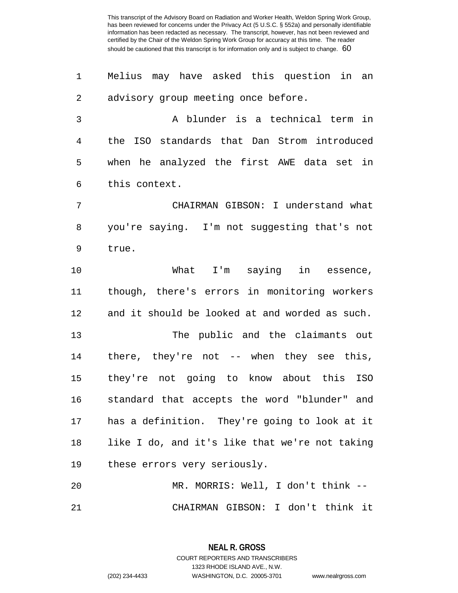1 Melius may have asked this question in an 2 advisory group meeting once before.

3 A blunder is a technical term in 4 the ISO standards that Dan Strom introduced 5 when he analyzed the first AWE data set in 6 this context.

7 CHAIRMAN GIBSON: I understand what 8 you're saying. I'm not suggesting that's not 9 true.

10 What I'm saying in essence, 11 though, there's errors in monitoring workers 12 and it should be looked at and worded as such. 13 The public and the claimants out

14 there, they're not -- when they see this, 15 they're not going to know about this ISO 16 standard that accepts the word "blunder" and 17 has a definition. They're going to look at it 18 like I do, and it's like that we're not taking 19 these errors very seriously.

20 MR. MORRIS: Well, I don't think -- 21 CHAIRMAN GIBSON: I don't think it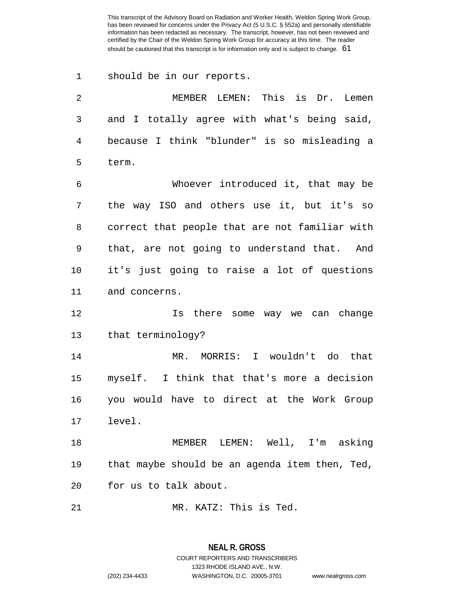1 should be in our reports.

| $\mathfrak{D}$ | MEMBER LEMEN: This is Dr. Lemen              |
|----------------|----------------------------------------------|
| 3              | and I totally agree with what's being said,  |
| 4              | because I think "blunder" is so misleading a |
| 5              | term.                                        |
| 6              | Whoever introduced it, that may be           |
| 7              | the way ISO and others use it, but it's so   |
|                |                                              |

8 correct that people that are not familiar with 9 that, are not going to understand that. And 10 it's just going to raise a lot of questions 11 and concerns.

12 Is there some way we can change 13 that terminology?

14 MR. MORRIS: I wouldn't do that 15 myself. I think that that's more a decision 16 you would have to direct at the Work Group 17 level.

18 MEMBER LEMEN: Well, I'm asking 19 that maybe should be an agenda item then, Ted, 20 for us to talk about.

21 MR. KATZ: This is Ted.

## **NEAL R. GROSS** COURT REPORTERS AND TRANSCRIBERS 1323 RHODE ISLAND AVE., N.W.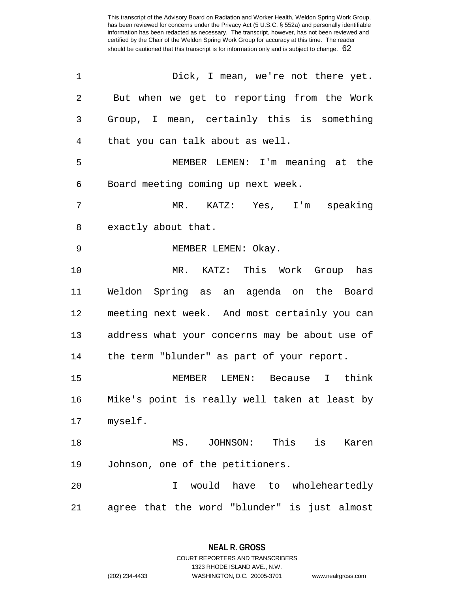| 1  | Dick, I mean, we're not there yet.              |
|----|-------------------------------------------------|
| 2  | But when we get to reporting from the Work      |
| 3  | Group, I mean, certainly this is something      |
| 4  | that you can talk about as well.                |
| 5  | MEMBER LEMEN: I'm meaning at the                |
| 6  | Board meeting coming up next week.              |
| 7  | MR. KATZ: Yes, I'm speaking                     |
| 8  | exactly about that.                             |
| 9  | MEMBER LEMEN: Okay.                             |
| 10 | MR. KATZ: This Work Group has                   |
| 11 | Weldon Spring as an agenda on the Board         |
| 12 | meeting next week. And most certainly you can   |
| 13 | address what your concerns may be about use of  |
| 14 | the term "blunder" as part of your report.      |
| 15 | MEMBER LEMEN: Because I think                   |
| 16 | Mike's point is really well taken at least by   |
| 17 | myself.                                         |
| 18 | This<br>MS.<br>JOHNSON:<br>is<br>Karen          |
| 19 | Johnson, one of the petitioners.                |
| 20 | would have<br>to wholeheartedly<br>I            |
| 21 | agree that the word "blunder" is<br>just almost |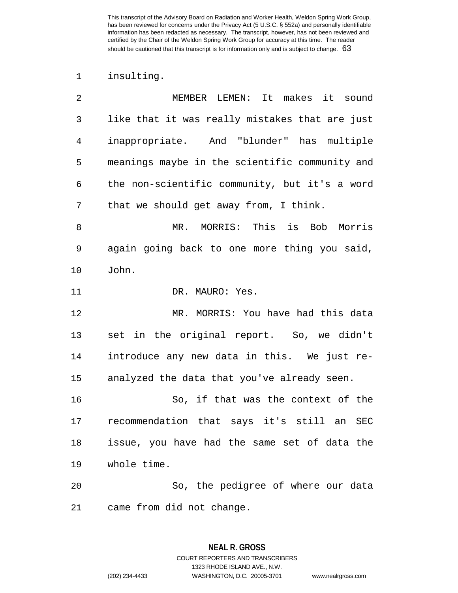## 1 insulting.

| 2  | MEMBER LEMEN: It makes it sound                         |
|----|---------------------------------------------------------|
| 3  | like that it was really mistakes that are just          |
| 4  | inappropriate. And "blunder" has multiple               |
| 5  | meanings maybe in the scientific community and          |
| 6  | the non-scientific community, but it's a word           |
| 7  | that we should get away from, I think.                  |
| 8  | MORRIS: This is Bob Morris<br>MR.                       |
| 9  | again going back to one more thing you said,            |
| 10 | John.                                                   |
| 11 | DR. MAURO: Yes.                                         |
| 12 | MR. MORRIS: You have had this data                      |
| 13 | set in the original report. So, we didn't               |
| 14 | introduce any new data in this. We just re-             |
| 15 | analyzed the data that you've already seen.             |
| 16 | So, if that was the context of the                      |
| 17 | recommendation that says it's still<br><b>SEC</b><br>an |
| 18 | issue, you have had the same set of data the            |
| 19 | whole time.                                             |
| 20 | So, the pedigree of where our data                      |
| 21 | came from did not change.                               |

**NEAL R. GROSS** COURT REPORTERS AND TRANSCRIBERS 1323 RHODE ISLAND AVE., N.W.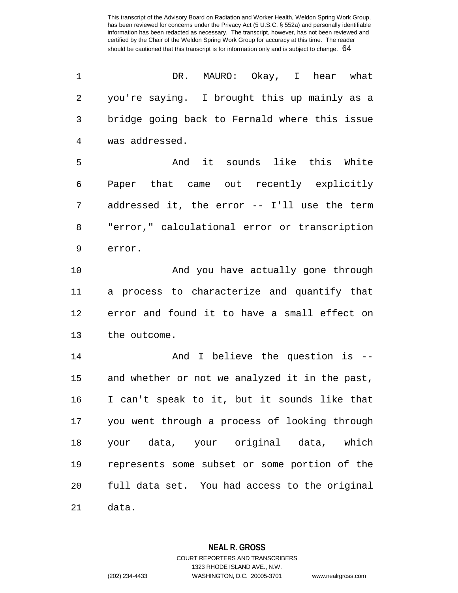| 1              | MAURO: Okay, I hear what<br>DR.                |
|----------------|------------------------------------------------|
| $\overline{2}$ | you're saying. I brought this up mainly as a   |
| 3              | bridge going back to Fernald where this issue  |
| $\overline{4}$ | was addressed.                                 |
| 5              | And it sounds like this White                  |
| 6              | Paper that came out recently explicitly        |
| 7              | addressed it, the error -- I'll use the term   |
| 8              | "error," calculational error or transcription  |
| 9              | error.                                         |
| 10             | And you have actually gone through             |
| 11             | a process to characterize and quantify that    |
| 12             | error and found it to have a small effect on   |
| 13             | the outcome.                                   |
| 14             | And I believe the question is --               |
| 15             | and whether or not we analyzed it in the past, |
| 16             | I can't speak to it, but it sounds like that   |
| 17             | you went through a process of looking through  |
| 18             | your data, your original data, which           |
| 19             | represents some subset or some portion of the  |
| 20             | full data set. You had access to the original  |
| 21             | data.                                          |

**NEAL R. GROSS** COURT REPORTERS AND TRANSCRIBERS

1323 RHODE ISLAND AVE., N.W.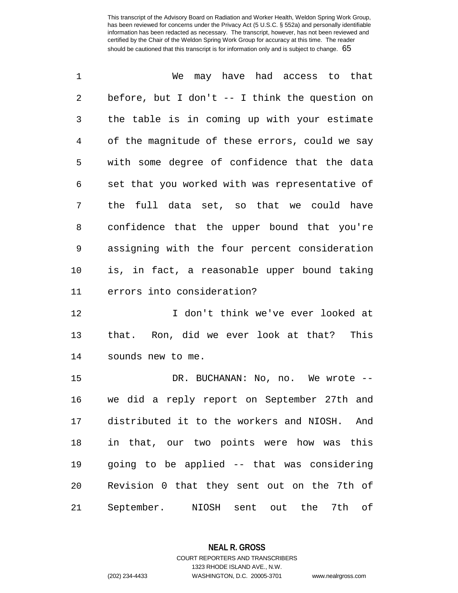1 We may have had access to that 2 before, but I don't -- I think the question on 3 the table is in coming up with your estimate 4 of the magnitude of these errors, could we say 5 with some degree of confidence that the data 6 set that you worked with was representative of 7 the full data set, so that we could have 8 confidence that the upper bound that you're 9 assigning with the four percent consideration 10 is, in fact, a reasonable upper bound taking 11 errors into consideration? 12 I don't think we've ever looked at 13 that. Ron, did we ever look at that? This 14 sounds new to me. 15 DR. BUCHANAN: No, no. We wrote --16 we did a reply report on September 27th and 17 distributed it to the workers and NIOSH. And 18 in that, our two points were how was this 19 going to be applied -- that was considering 20 Revision 0 that they sent out on the 7th of

21 September. NIOSH sent out the 7th of

**NEAL R. GROSS**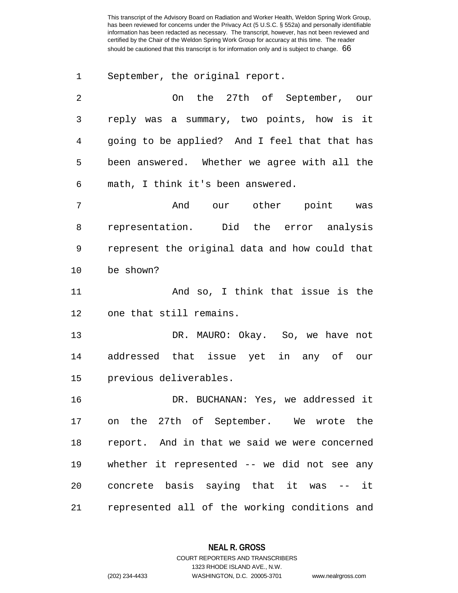1 September, the original report.

2 On the 27th of September, our 3 reply was a summary, two points, how is it 4 going to be applied? And I feel that that has 5 been answered. Whether we agree with all the 6 math, I think it's been answered.

7 And our other point was 8 representation. Did the error analysis 9 represent the original data and how could that 10 be shown?

11 And so, I think that issue is the 12 one that still remains.

13 DR. MAURO: Okay. So, we have not 14 addressed that issue yet in any of our 15 previous deliverables.

16 DR. BUCHANAN: Yes, we addressed it 17 on the 27th of September. We wrote the 18 report. And in that we said we were concerned 19 whether it represented -- we did not see any 20 concrete basis saying that it was -- it 21 represented all of the working conditions and

**NEAL R. GROSS**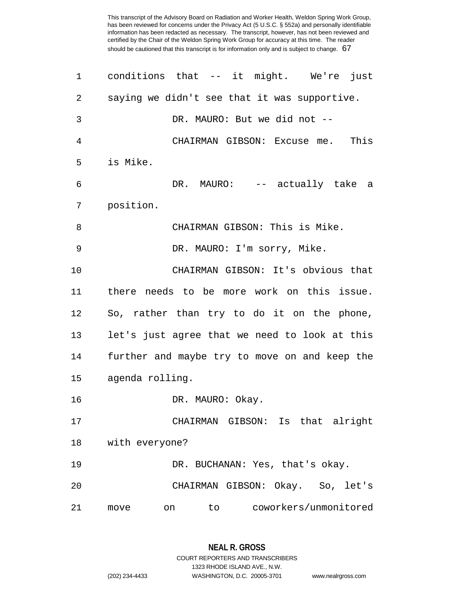| 1              | conditions that -- it might. We're just       |
|----------------|-----------------------------------------------|
| $\overline{a}$ | saying we didn't see that it was supportive.  |
| 3              | DR. MAURO: But we did not --                  |
| 4              | CHAIRMAN GIBSON: Excuse me. This              |
| 5              | is Mike.                                      |
| 6              | DR. MAURO: -- actually take a                 |
| 7              | position.                                     |
| 8              | CHAIRMAN GIBSON: This is Mike.                |
| 9              | DR. MAURO: I'm sorry, Mike.                   |
| 10             | CHAIRMAN GIBSON: It's obvious that            |
| 11             | there needs to be more work on this issue.    |
| 12             | So, rather than try to do it on the phone,    |
| 13             | let's just agree that we need to look at this |
| 14             | further and maybe try to move on and keep the |
| 15             | agenda rolling.                               |
| 16             | DR. MAURO: Okay.                              |
| 17             | CHAIRMAN GIBSON: Is that alright              |
| 18             | with everyone?                                |
| 19             | DR. BUCHANAN: Yes, that's okay.               |
| 20             | CHAIRMAN GIBSON: Okay. So, let's              |
| 21             | coworkers/unmonitored<br>to<br>move<br>on     |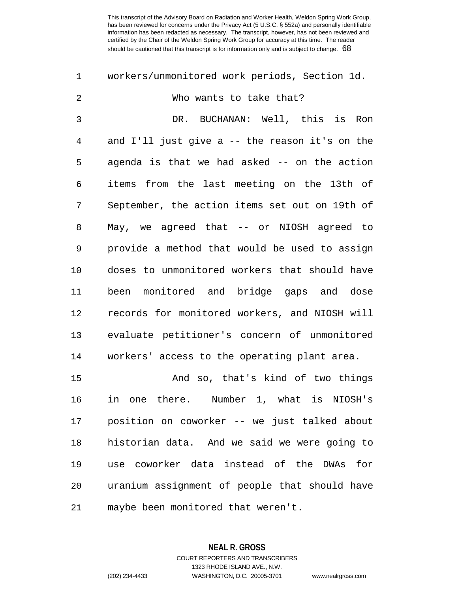| $\mathbf 1$ | workers/unmonitored work periods, Section 1d.  |
|-------------|------------------------------------------------|
| 2           | Who wants to take that?                        |
| 3           | DR. BUCHANAN: Well, this is Ron                |
| 4           | and I'll just give a -- the reason it's on the |
| 5           | agenda is that we had asked -- on the action   |
| 6           | items from the last meeting on the 13th of     |
| 7           | September, the action items set out on 19th of |
| 8           | May, we agreed that -- or NIOSH agreed to      |
| 9           | provide a method that would be used to assign  |
| 10          | doses to unmonitored workers that should have  |
| 11          | been monitored and bridge gaps and dose        |
| 12          | records for monitored workers, and NIOSH will  |
| 13          | evaluate petitioner's concern of unmonitored   |
| 14          | workers' access to the operating plant area.   |
| 15          | And so, that's kind of two things              |
| 16          | in one there. Number 1, what is NIOSH's        |
| 17          | position on coworker -- we just talked about   |
| 18          | historian data. And we said we were going to   |
| 19          | use coworker data instead of the DWAs<br>for   |
| 20          | uranium assignment of people that should have  |
| 21          | maybe been monitored that weren't.             |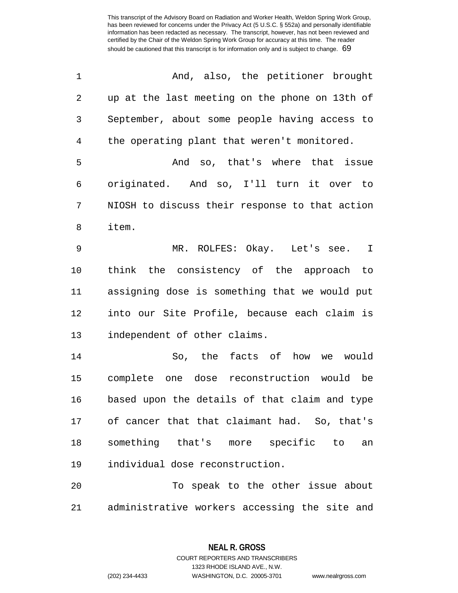| $\mathbf 1$ | And, also, the petitioner brought              |
|-------------|------------------------------------------------|
| 2           | up at the last meeting on the phone on 13th of |
| 3           | September, about some people having access to  |
| 4           | the operating plant that weren't monitored.    |
| 5           | And so, that's where that issue                |
| 6           | originated. And so, I'll turn it over to       |
| 7           | NIOSH to discuss their response to that action |
| 8           | item.                                          |
| $\mathsf 9$ | MR. ROLFES: Okay. Let's see.<br>$\mathbb{I}$   |
| 10          | think the consistency of the approach to       |
| 11          | assigning dose is something that we would put  |
| 12          | into our Site Profile, because each claim is   |
| 13          | independent of other claims.                   |
| 14          | So, the facts of how we would                  |
| 15          | complete one dose reconstruction would be      |
| 16          | based upon the details of that claim and type  |
| 17          | of cancer that that claimant had. So, that's   |
| 18          | something that's more specific to<br>an        |
| 19          | individual dose reconstruction.                |
| 20          | To speak to the other issue about              |
| 21          | administrative workers accessing the site and  |

**NEAL R. GROSS** COURT REPORTERS AND TRANSCRIBERS 1323 RHODE ISLAND AVE., N.W.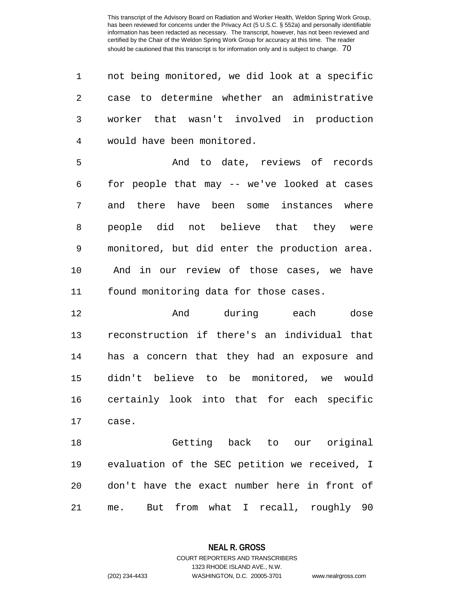| 1              | not being monitored, we did look at a specific  |
|----------------|-------------------------------------------------|
| $\overline{2}$ | case to determine whether an administrative     |
| 3              | worker that wasn't involved in production       |
| $\overline{4}$ | would have been monitored.                      |
| 5              | And to date, reviews of records                 |
| 6              | for people that may -- we've looked at cases    |
| 7              | and there have been some instances where        |
| 8              | people did not believe that they were           |
| 9              | monitored, but did enter the production area.   |
| 10             | And in our review of those cases, we have       |
| 11             | found monitoring data for those cases.          |
| 12             | And during each<br>dose                         |
| 13             | reconstruction if there's an individual that    |
| 14             | has a concern that they had an exposure and     |
| 15             | didn't believe to be monitored, we would        |
| 16             | certainly look into that for each specific      |
| 17             | case.                                           |
| 18             | Getting back to our original                    |
| 19             | evaluation of the SEC petition we received, I   |
| 20             | don't have the exact number here in front of    |
| 21             | from what I<br>But<br>recall, roughly 90<br>me. |

**NEAL R. GROSS** COURT REPORTERS AND TRANSCRIBERS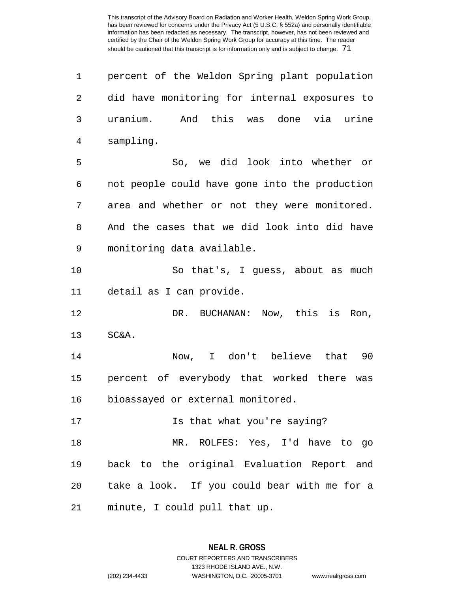| $\mathbf 1$ | percent of the Weldon Spring plant population  |
|-------------|------------------------------------------------|
| 2           | did have monitoring for internal exposures to  |
| 3           | uranium. And this was done via urine           |
| 4           | sampling.                                      |
| 5           | So, we did look into whether or                |
| 6           | not people could have gone into the production |
| 7           | area and whether or not they were monitored.   |
| 8           | And the cases that we did look into did have   |
| 9           | monitoring data available.                     |
| 10          | So that's, I guess, about as much              |
| 11          | detail as I can provide.                       |
| 12          | DR. BUCHANAN: Now, this is<br>Ron,             |
| 13          | SC&A.                                          |
| 14          | Now, I don't believe that 90                   |
| 15          | percent of everybody that worked there was     |
| 16          | bioassayed or external monitored.              |
| 17          | Is that what you're saying?                    |
| 18          | MR. ROLFES: Yes, I'd have to go                |
| 19          | back to the original Evaluation Report and     |
| 20          | take a look. If you could bear with me for a   |
| 21          | minute, I could pull that up.                  |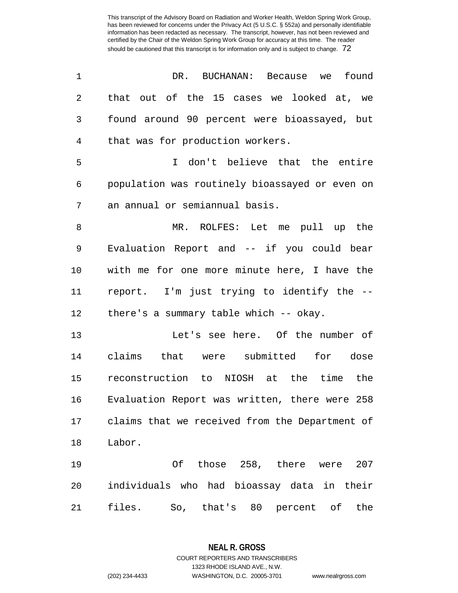| 1               | BUCHANAN: Because we<br>found<br>DR.            |
|-----------------|-------------------------------------------------|
| 2               | that out of the 15 cases we looked at, we       |
| 3               | found around 90 percent were bioassayed, but    |
| 4               | that was for production workers.                |
| 5               | I don't believe that the entire                 |
| 6               | population was routinely bioassayed or even on  |
| 7               | an annual or semiannual basis.                  |
| 8               | MR. ROLFES: Let me pull up the                  |
| 9               | Evaluation Report and -- if you could bear      |
| 10              | with me for one more minute here, I have the    |
| 11              | report. I'm just trying to identify the --      |
| 12              | there's a summary table which -- okay.          |
| 13              | Let's see here. Of the number of                |
| 14              | that were submitted for dose<br>claims          |
| 15              | reconstruction to NIOSH at the time the         |
| 16              | Evaluation Report was written, there were 258   |
| 17 <sub>2</sub> | claims that we received from the Department of  |
| 18              | Labor.                                          |
| 19              | Of those 258, there were<br>207                 |
| 20              | individuals who had bioassay data in their      |
| 21              | files.<br>So, that's<br>80<br>percent of<br>the |

**NEAL R. GROSS** COURT REPORTERS AND TRANSCRIBERS

1323 RHODE ISLAND AVE., N.W.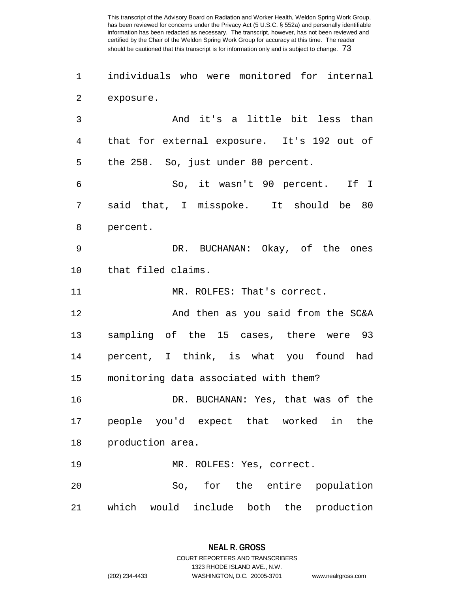1 individuals who were monitored for internal 2 exposure.

3 And it's a little bit less than 4 that for external exposure. It's 192 out of 5 the 258. So, just under 80 percent. 6 So, it wasn't 90 percent. If I 7 said that, I misspoke. It should be 80 8 percent. 9 DR. BUCHANAN: Okay, of the ones 10 that filed claims. 11 MR. ROLFES: That's correct. 12 And then as you said from the SC&A 13 sampling of the 15 cases, there were 93 14 percent, I think, is what you found had 15 monitoring data associated with them? 16 DR. BUCHANAN: Yes, that was of the 17 people you'd expect that worked in the 18 production area. 19 MR. ROLFES: Yes, correct.

20 So, for the entire population 21 which would include both the production

> **NEAL R. GROSS** COURT REPORTERS AND TRANSCRIBERS 1323 RHODE ISLAND AVE., N.W.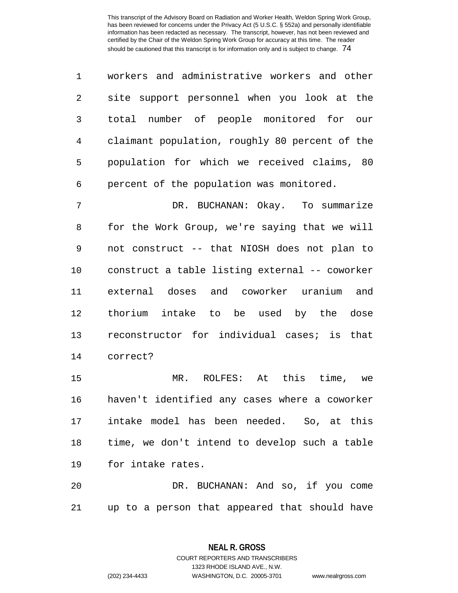| $\mathbf{1}$ | workers and administrative workers and other   |
|--------------|------------------------------------------------|
| 2            | site support personnel when you look at the    |
| 3            | total number of people monitored for our       |
| 4            | claimant population, roughly 80 percent of the |
| 5            | population for which we received claims, 80    |
| 6            | percent of the population was monitored.       |

7 DR. BUCHANAN: Okay. To summarize 8 for the Work Group, we're saying that we will 9 not construct -- that NIOSH does not plan to 10 construct a table listing external -- coworker 11 external doses and coworker uranium and 12 thorium intake to be used by the dose 13 reconstructor for individual cases; is that 14 correct?

15 MR. ROLFES: At this time, we 16 haven't identified any cases where a coworker 17 intake model has been needed. So, at this 18 time, we don't intend to develop such a table 19 for intake rates.

20 DR. BUCHANAN: And so, if you come 21 up to a person that appeared that should have

> **NEAL R. GROSS** COURT REPORTERS AND TRANSCRIBERS 1323 RHODE ISLAND AVE., N.W.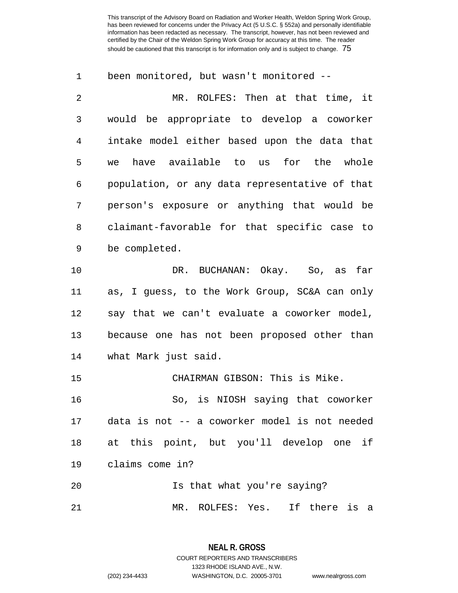1 been monitored, but wasn't monitored --

2 MR. ROLFES: Then at that time, it 3 would be appropriate to develop a coworker 4 intake model either based upon the data that 5 we have available to us for the whole 6 population, or any data representative of that 7 person's exposure or anything that would be 8 claimant-favorable for that specific case to 9 be completed.

10 DR. BUCHANAN: Okay. So, as far 11 as, I guess, to the Work Group, SC&A can only 12 say that we can't evaluate a coworker model, 13 because one has not been proposed other than 14 what Mark just said.

15 CHAIRMAN GIBSON: This is Mike. 16 So, is NIOSH saying that coworker 17 data is not -- a coworker model is not needed 18 at this point, but you'll develop one if 19 claims come in? 20 Is that what you're saying?

21 MR. ROLFES: Yes. If there is a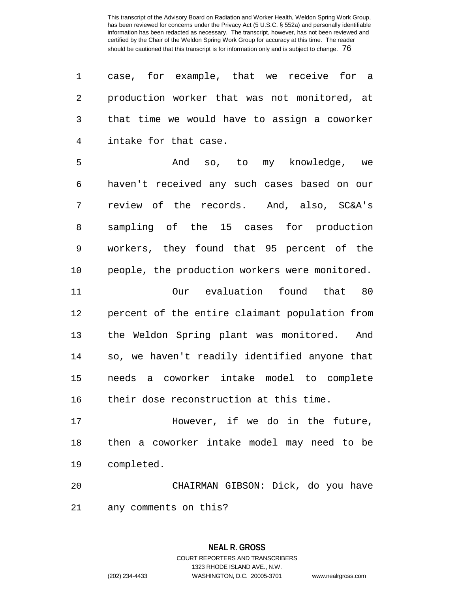| 1 case, for example, that we receive for a     |
|------------------------------------------------|
| 2 production worker that was not monitored, at |
| 3 that time we would have to assign a coworker |
| 4 intake for that case.                        |

5 And so, to my knowledge, we 6 haven't received any such cases based on our 7 review of the records. And, also, SC&A's 8 sampling of the 15 cases for production 9 workers, they found that 95 percent of the 10 people, the production workers were monitored.

11 Our evaluation found that 80 12 percent of the entire claimant population from 13 the Weldon Spring plant was monitored. And 14 so, we haven't readily identified anyone that 15 needs a coworker intake model to complete 16 their dose reconstruction at this time.

17 However, if we do in the future, 18 then a coworker intake model may need to be 19 completed.

20 CHAIRMAN GIBSON: Dick, do you have 21 any comments on this?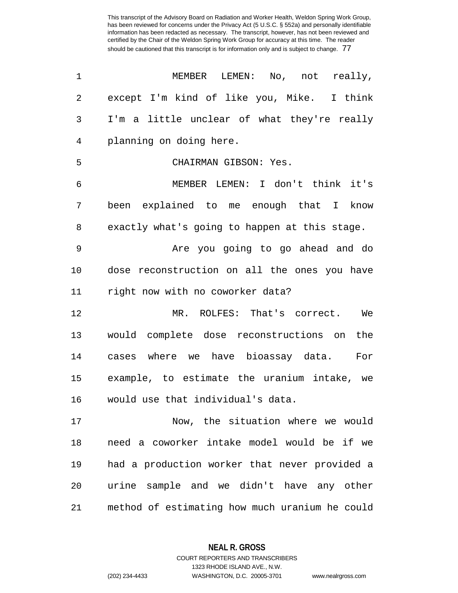| $\mathbf 1$ | MEMBER LEMEN: No, not really,                  |
|-------------|------------------------------------------------|
| 2           | except I'm kind of like you, Mike. I think     |
| 3           | I'm a little unclear of what they're really    |
| 4           | planning on doing here.                        |
| 5           | CHAIRMAN GIBSON: Yes.                          |
| 6           | MEMBER LEMEN: I don't think it's               |
| 7           | explained to me enough that I<br>been<br>know  |
| 8           | exactly what's going to happen at this stage.  |
| 9           | Are you going to go ahead and do               |
| 10          | dose reconstruction on all the ones you have   |
| 11          | right now with no coworker data?               |
| 12          | MR. ROLFES: That's correct. We                 |
| 13          | would complete dose reconstructions on the     |
| 14          | cases where we have bioassay data. For         |
| 15          | example, to estimate the uranium intake, we    |
| 16          | would use that individual's data.              |
| 17          | Now, the situation where we would              |
| 18          | need a coworker intake model would be if we    |
| 19          | had a production worker that never provided a  |
| 20          | urine sample and we didn't have any other      |
| 21          | method of estimating how much uranium he could |

**NEAL R. GROSS**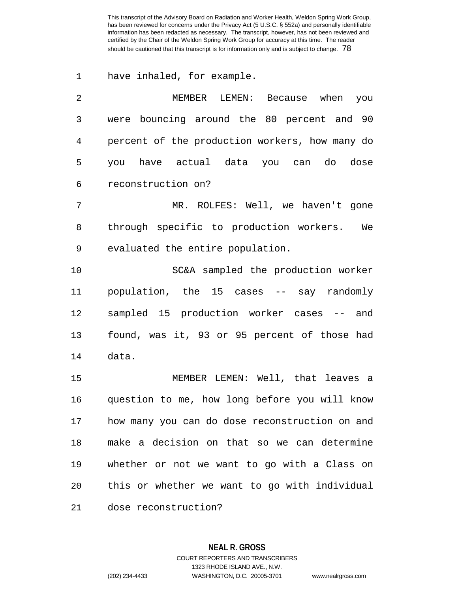1 have inhaled, for example.

| -2 |                                                |  |  | MEMBER LEMEN: Because when you |  |
|----|------------------------------------------------|--|--|--------------------------------|--|
| 3  | were bouncing around the 80 percent and 90     |  |  |                                |  |
| 4  | percent of the production workers, how many do |  |  |                                |  |
| 5. | you have actual data you can do dose           |  |  |                                |  |
| 6  | reconstruction on?                             |  |  |                                |  |

7 MR. ROLFES: Well, we haven't gone 8 through specific to production workers. We 9 evaluated the entire population.

10 SC&A sampled the production worker 11 population, the 15 cases -- say randomly 12 sampled 15 production worker cases -- and 13 found, was it, 93 or 95 percent of those had 14 data.

15 MEMBER LEMEN: Well, that leaves a 16 question to me, how long before you will know 17 how many you can do dose reconstruction on and 18 make a decision on that so we can determine 19 whether or not we want to go with a Class on 20 this or whether we want to go with individual 21 dose reconstruction?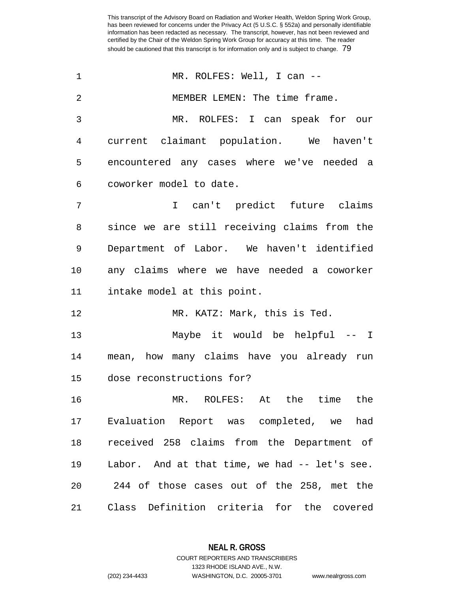1 MR. ROLFES: Well, I can --2 MEMBER LEMEN: The time frame. 3 MR. ROLFES: I can speak for our 4 current claimant population. We haven't 5 encountered any cases where we've needed a 6 coworker model to date. 7 I can't predict future claims 8 since we are still receiving claims from the 9 Department of Labor. We haven't identified 10 any claims where we have needed a coworker 11 intake model at this point. 12 MR. KATZ: Mark, this is Ted. 13 Maybe it would be helpful -- I 14 mean, how many claims have you already run 15 dose reconstructions for? 16 MR. ROLFES: At the time the 17 Evaluation Report was completed, we had 18 received 258 claims from the Department of 19 Labor. And at that time, we had -- let's see. 20 244 of those cases out of the 258, met the 21 Class Definition criteria for the covered

**NEAL R. GROSS**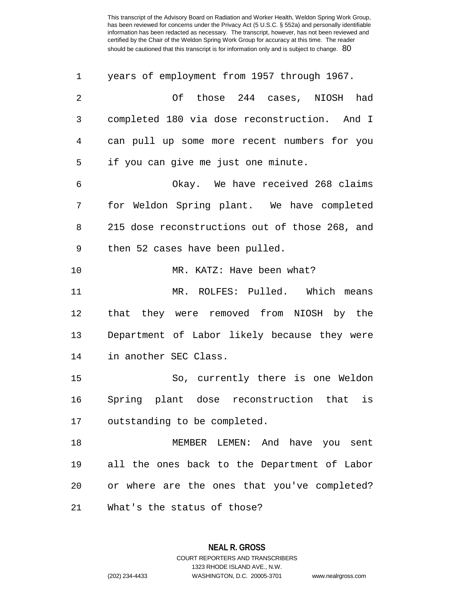| 1  | years of employment from 1957 through 1967.    |
|----|------------------------------------------------|
| 2  | Of those 244 cases, NIOSH had                  |
| 3  | completed 180 via dose reconstruction. And I   |
| 4  | can pull up some more recent numbers for you   |
| 5  | if you can give me just one minute.            |
| 6  | Okay. We have received 268 claims              |
| 7  | for Weldon Spring plant. We have completed     |
| 8  | 215 dose reconstructions out of those 268, and |
| 9  | then 52 cases have been pulled.                |
| 10 | MR. KATZ: Have been what?                      |
| 11 | MR. ROLFES: Pulled. Which means                |
| 12 | that they were removed from NIOSH by the       |
| 13 | Department of Labor likely because they were   |
| 14 | in another SEC Class.                          |
| 15 | So, currently there is one Weldon              |
| 16 | Spring plant dose reconstruction that is       |
| 17 | outstanding to be completed.                   |
| 18 | MEMBER LEMEN: And have you sent                |
| 19 | all the ones back to the Department of Labor   |
| 20 | or where are the ones that you've completed?   |
| 21 | What's the status of those?                    |

**NEAL R. GROSS** COURT REPORTERS AND TRANSCRIBERS

1323 RHODE ISLAND AVE., N.W.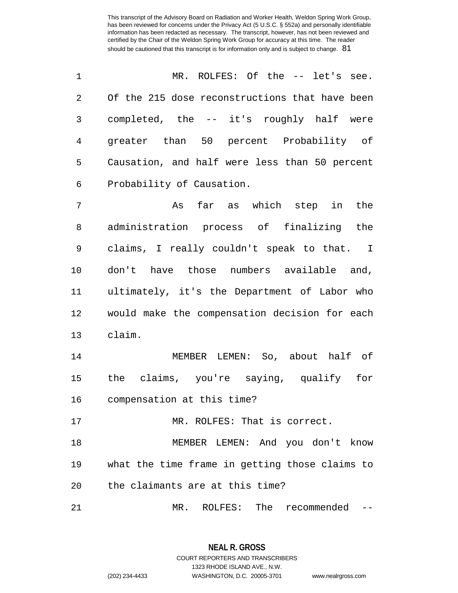| 1  | MR. ROLFES: Of the -- let's see.               |
|----|------------------------------------------------|
| 2  | Of the 215 dose reconstructions that have been |
| 3  | completed, the -- it's roughly half were       |
| 4  | greater than 50 percent Probability of         |
| 5  | Causation, and half were less than 50 percent  |
| 6  | Probability of Causation.                      |
| 7  | As far as which step in the                    |
| 8  | administration process of finalizing the       |
| 9  | claims, I really couldn't speak to that. I     |
| 10 | don't have those numbers available and,        |
| 11 | ultimately, it's the Department of Labor who   |
| 12 | would make the compensation decision for each  |
| 13 | claim.                                         |
| 14 | MEMBER LEMEN: So, about half of                |
| 15 | the claims, you're saying, qualify for         |
| 16 | compensation at this time?                     |
| 17 | MR. ROLFES: That is correct.                   |
| 18 | MEMBER LEMEN: And you don't know               |
| 19 | what the time frame in getting those claims to |
| 20 | the claimants are at this time?                |
| 21 | MR. ROLFES: The recommended                    |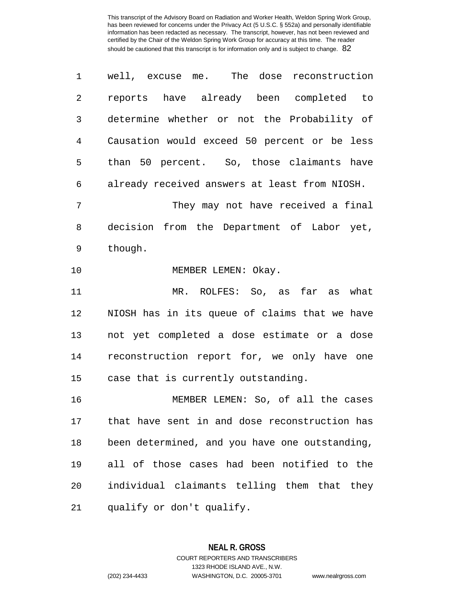| 1  | well, excuse me. The dose reconstruction       |
|----|------------------------------------------------|
| 2  | reports have already been completed to         |
| 3  | determine whether or not the Probability of    |
| 4  | Causation would exceed 50 percent or be less   |
| 5  | than 50 percent. So, those claimants have      |
| 6  | already received answers at least from NIOSH.  |
| 7  | They may not have received a final             |
| 8  | decision from the Department of Labor yet,     |
| 9  | though.                                        |
| 10 | MEMBER LEMEN: Okay.                            |
| 11 | MR. ROLFES: So, as far as what                 |
| 12 | NIOSH has in its queue of claims that we have  |
| 13 | not yet completed a dose estimate or a dose    |
| 14 | reconstruction report for, we only have one    |
| 15 | case that is currently outstanding.            |
| 16 | MEMBER LEMEN: So, of all the cases             |
| 17 | that have sent in and dose reconstruction has  |
| 18 | been determined, and you have one outstanding, |
| 19 | all of those cases had been notified to the    |
| 20 | individual claimants telling them that they    |
| 21 | qualify or don't qualify.                      |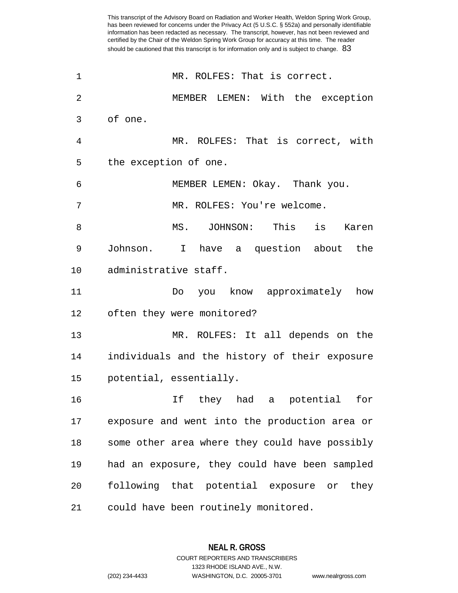| 1  | MR. ROLFES: That is correct.                   |
|----|------------------------------------------------|
| 2  | MEMBER LEMEN: With the exception               |
| 3  | of one.                                        |
| 4  | MR. ROLFES: That is correct, with              |
| 5  | the exception of one.                          |
| 6  | MEMBER LEMEN: Okay. Thank you.                 |
| 7  | MR. ROLFES: You're welcome.                    |
| 8  | MS. JOHNSON: This is<br>Karen                  |
| 9  | Johnson. I have a question about the           |
| 10 | administrative staff.                          |
| 11 | Do you know approximately how                  |
| 12 | often they were monitored?                     |
| 13 | MR. ROLFES: It all depends on the              |
| 14 | individuals and the history of their exposure  |
| 15 | potential, essentially.                        |
| 16 | If they had a potential<br>for                 |
| 17 | exposure and went into the production area or  |
| 18 | some other area where they could have possibly |
| 19 | had an exposure, they could have been sampled  |
| 20 | following that potential exposure or they      |
| 21 | could have been routinely monitored.           |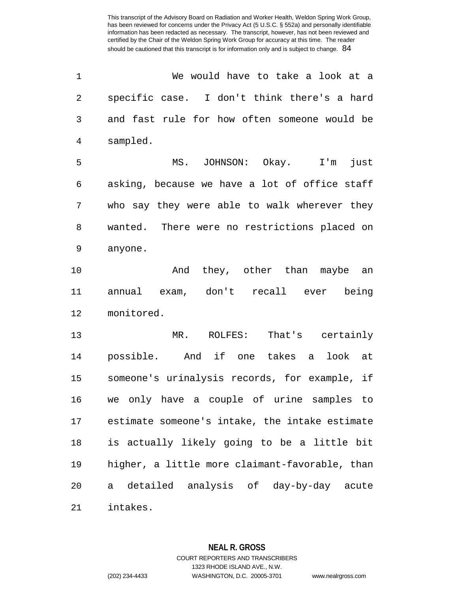| $\mathbf 1$    | We would have to take a look at a              |
|----------------|------------------------------------------------|
| $\overline{2}$ | specific case. I don't think there's a hard    |
| 3              | and fast rule for how often someone would be   |
| 4              | sampled.                                       |
| 5              | MS. JOHNSON: Okay. I'm<br>just                 |
| 6              | asking, because we have a lot of office staff  |
| 7              | who say they were able to walk wherever they   |
| 8              | wanted. There were no restrictions placed on   |
| 9              | anyone.                                        |
| 10             | they, other than maybe an<br>And               |
| 11             | annual exam, don't recall ever being           |
| 12             | monitored.                                     |
| 13             | That's certainly<br>$MR$ .<br>ROLFES:          |
| 14             | possible. And if one takes a<br>look at        |
| 15             | someone's urinalysis records, for example, if  |
| 16             | we only have a couple of urine samples to      |
| 17             | estimate someone's intake, the intake estimate |
| 18             | is actually likely going to be a little bit    |
| 19             | higher, a little more claimant-favorable, than |
| 20             | a detailed analysis of day-by-day acute        |
| 21             | intakes.                                       |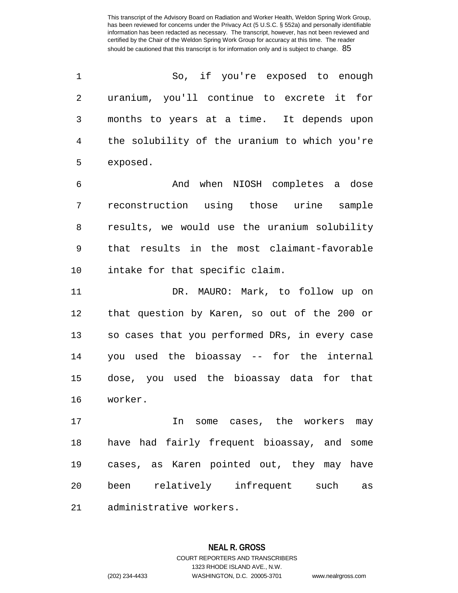| 1              | So, if you're exposed to enough                |
|----------------|------------------------------------------------|
| $\overline{2}$ | uranium, you'll continue to excrete it for     |
| 3              | months to years at a time. It depends upon     |
| $\overline{4}$ | the solubility of the uranium to which you're  |
| 5              | exposed.                                       |
| 6              | And when NIOSH completes a dose                |
| 7              | reconstruction using those urine sample        |
| 8              | results, we would use the uranium solubility   |
| 9              | that results in the most claimant-favorable    |
| 10             | intake for that specific claim.                |
| 11             | DR. MAURO: Mark, to follow up on               |
| 12             | that question by Karen, so out of the 200 or   |
| 13             | so cases that you performed DRs, in every case |
| 14             | you used the bioassay -- for the internal      |
| 15             | dose, you used the bioassay data for that      |
| 16             | worker.                                        |
| 17             | In some cases, the workers may                 |
| 18             | have had fairly frequent bioassay, and some    |
| 19             | cases, as Karen pointed out, they may have     |
| 20             | relatively infrequent such<br>been<br>as       |
|                |                                                |

21 administrative workers.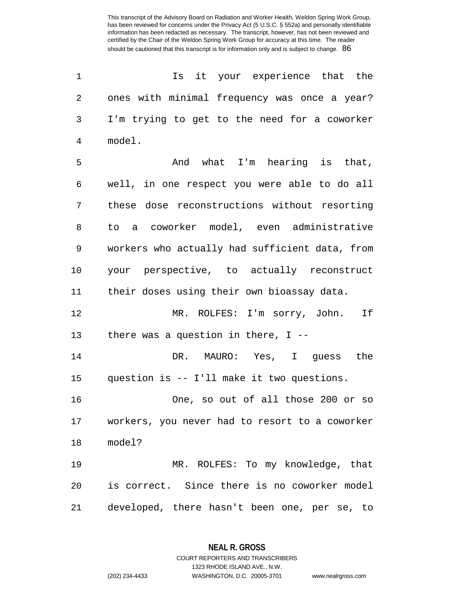| Is it your experience that the                 |
|------------------------------------------------|
| ones with minimal frequency was once a year?   |
| I'm trying to get to the need for a coworker   |
| model.                                         |
| And what I'm hearing is that,                  |
| well, in one respect you were able to do all   |
| these dose reconstructions without resorting   |
| to a coworker model, even administrative       |
| workers who actually had sufficient data, from |
| your perspective, to actually reconstruct      |
| their doses using their own bioassay data.     |
| MR. ROLFES: I'm sorry, John. If                |
| there was a question in there, $I$ --          |
| DR. MAURO: Yes, I guess the                    |
| question is -- I'll make it two questions.     |
| One, so out of all those 200 or so             |
| workers, you never had to resort to a coworker |
|                                                |

18 model?

19 MR. ROLFES: To my knowledge, that 20 is correct. Since there is no coworker model 21 developed, there hasn't been one, per se, to

**NEAL R. GROSS**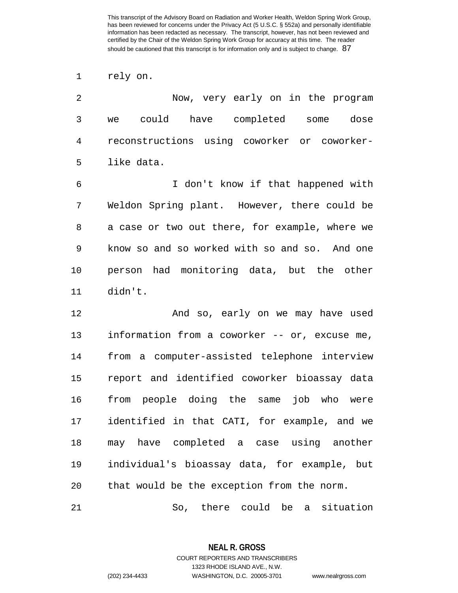1 rely on.

2 Now, very early on in the program 3 we could have completed some dose 4 reconstructions using coworker or coworker-5 like data.

6 I don't know if that happened with 7 Weldon Spring plant. However, there could be 8 a case or two out there, for example, where we 9 know so and so worked with so and so. And one 10 person had monitoring data, but the other 11 didn't.

12 And so, early on we may have used 13 information from a coworker -- or, excuse me, 14 from a computer-assisted telephone interview 15 report and identified coworker bioassay data 16 from people doing the same job who were 17 identified in that CATI, for example, and we 18 may have completed a case using another 19 individual's bioassay data, for example, but 20 that would be the exception from the norm. 21 So, there could be a situation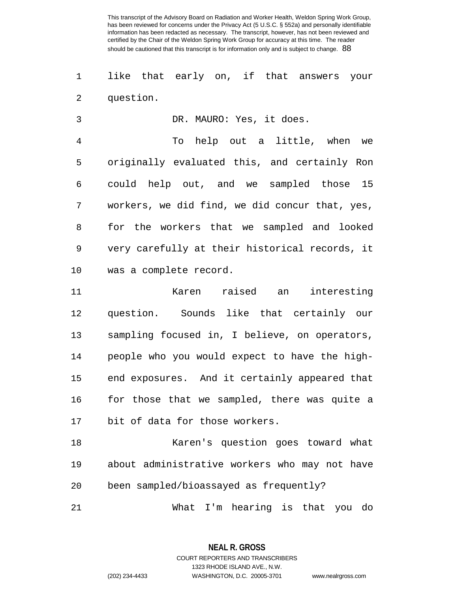1 like that early on, if that answers your 2 question.

3 DR. MAURO: Yes, it does.

4 To help out a little, when we 5 originally evaluated this, and certainly Ron 6 could help out, and we sampled those 15 7 workers, we did find, we did concur that, yes, 8 for the workers that we sampled and looked 9 very carefully at their historical records, it 10 was a complete record.

11 Karen raised an interesting 12 question. Sounds like that certainly our 13 sampling focused in, I believe, on operators, 14 people who you would expect to have the high-15 end exposures. And it certainly appeared that 16 for those that we sampled, there was quite a 17 bit of data for those workers.

18 Karen's question goes toward what 19 about administrative workers who may not have 20 been sampled/bioassayed as frequently?

21 What I'm hearing is that you do

**NEAL R. GROSS** COURT REPORTERS AND TRANSCRIBERS 1323 RHODE ISLAND AVE., N.W.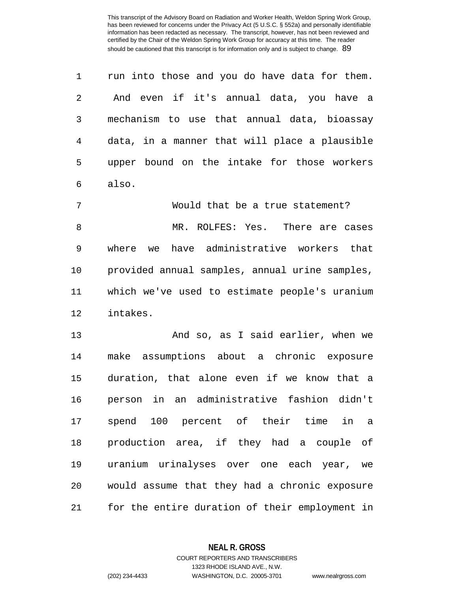1 run into those and you do have data for them. 2 And even if it's annual data, you have a 3 mechanism to use that annual data, bioassay 4 data, in a manner that will place a plausible 5 upper bound on the intake for those workers 6 also. 7 Would that be a true statement? 8 MR. ROLFES: Yes. There are cases 9 where we have administrative workers that 10 provided annual samples, annual urine samples, 11 which we've used to estimate people's uranium

12 intakes.

13 And so, as I said earlier, when we 14 make assumptions about a chronic exposure 15 duration, that alone even if we know that a 16 person in an administrative fashion didn't 17 spend 100 percent of their time in a 18 production area, if they had a couple of 19 uranium urinalyses over one each year, we 20 would assume that they had a chronic exposure 21 for the entire duration of their employment in

**NEAL R. GROSS**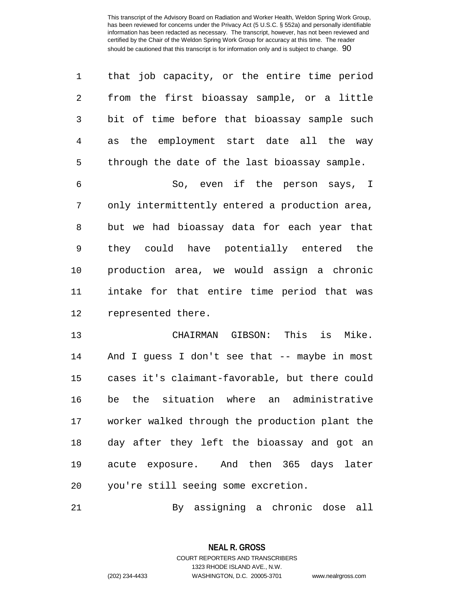| 1          | that job capacity, or the entire time period   |
|------------|------------------------------------------------|
| $\sqrt{2}$ | from the first bioassay sample, or a little    |
| 3          | bit of time before that bioassay sample such   |
| 4          | as the employment start date all the way       |
| 5          | through the date of the last bioassay sample.  |
| 6          | So, even if the person says, I                 |
| 7          | only intermittently entered a production area, |
| 8          | but we had bioassay data for each year that    |
| 9          | they could have potentially entered the        |
| 10         | production area, we would assign a chronic     |
| 11         | intake for that entire time period that was    |
| 12         | represented there.                             |
| 13         | CHAIRMAN GIBSON: This is<br>Mike.              |
| 14         | And I guess I don't see that -- maybe in most  |
| 15         | cases it's claimant-favorable, but there could |
| 16         | be the situation where an administrative       |
| 17         | worker walked through the production plant the |
| 18         | day after they left the bioassay and got an    |
| 19         | acute exposure. And then 365 days later        |
| $20$       | you're still seeing some excretion.            |

21 By assigning a chronic dose all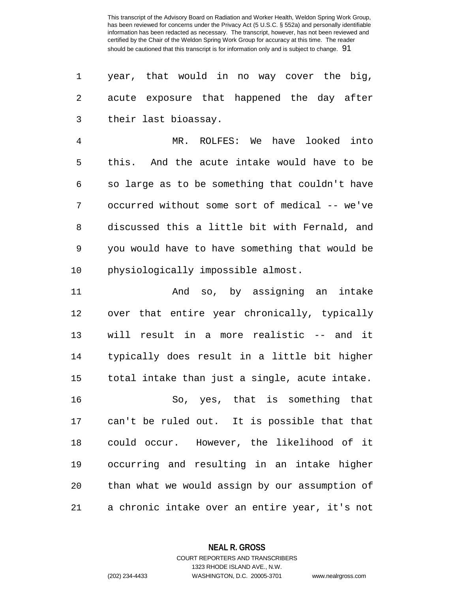1 year, that would in no way cover the big, 2 acute exposure that happened the day after 3 their last bioassay.

4 MR. ROLFES: We have looked into 5 this. And the acute intake would have to be 6 so large as to be something that couldn't have 7 occurred without some sort of medical -- we've 8 discussed this a little bit with Fernald, and 9 you would have to have something that would be 10 physiologically impossible almost.

11 And so, by assigning an intake 12 over that entire year chronically, typically 13 will result in a more realistic -- and it 14 typically does result in a little bit higher 15 total intake than just a single, acute intake. 16 So, yes, that is something that 17 can't be ruled out. It is possible that that 18 could occur. However, the likelihood of it 19 occurring and resulting in an intake higher 20 than what we would assign by our assumption of 21 a chronic intake over an entire year, it's not

**NEAL R. GROSS**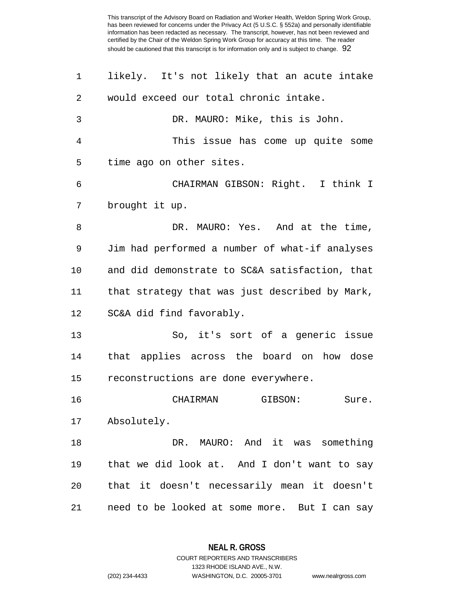| 1       | likely. It's not likely that an acute intake   |
|---------|------------------------------------------------|
| 2       | would exceed our total chronic intake.         |
| 3       | DR. MAURO: Mike, this is John.                 |
| 4       | This issue has come up quite some              |
| 5       | time ago on other sites.                       |
| 6       | CHAIRMAN GIBSON: Right. I think I              |
| 7       | brought it up.                                 |
| 8       | DR. MAURO: Yes. And at the time,               |
| 9       | Jim had performed a number of what-if analyses |
| $10 \,$ | and did demonstrate to SC&A satisfaction, that |
| 11      | that strategy that was just described by Mark, |
| 12      | SC&A did find favorably.                       |
| 13      | So, it's sort of a generic issue               |
| 14      | that applies across the board on how dose      |
| 15      | reconstructions are done everywhere.           |
| 16      | CHAIRMAN<br>GIBSON:<br>Sure.                   |
|         | 17 Absolutely.                                 |
| 18      | DR. MAURO: And it was something                |
| 19      | that we did look at. And I don't want to say   |
| 20      | that it doesn't necessarily mean it doesn't    |
| 21      | need to be looked at some more. But I can say  |

**NEAL R. GROSS** COURT REPORTERS AND TRANSCRIBERS

1323 RHODE ISLAND AVE., N.W.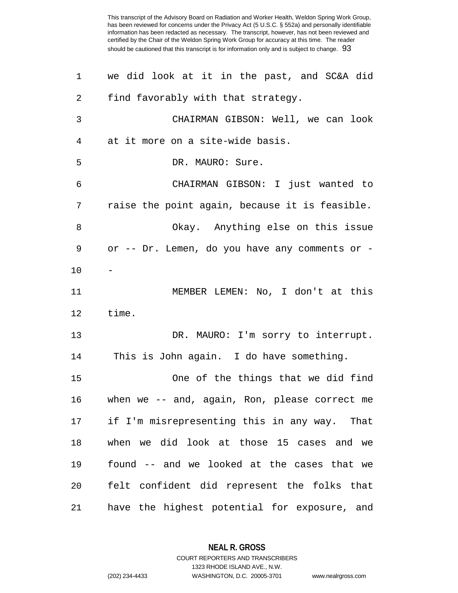| 1          | we did look at it in the past, and SC&A did    |
|------------|------------------------------------------------|
| $\sqrt{2}$ | find favorably with that strategy.             |
| 3          | CHAIRMAN GIBSON: Well, we can look             |
| 4          | at it more on a site-wide basis.               |
| 5          | DR. MAURO: Sure.                               |
| 6          | CHAIRMAN GIBSON: I just wanted to              |
| 7          | raise the point again, because it is feasible. |
| 8          | Okay. Anything else on this issue              |
| 9          | or -- Dr. Lemen, do you have any comments or - |
| 10         |                                                |
| 11         | MEMBER LEMEN: No, I don't at this              |
| 12         | time.                                          |
| 13         | DR. MAURO: I'm sorry to interrupt.             |
| 14         | This is John again. I do have something.       |
| 15         | One of the things that we did find             |
| 16         | when we -- and, again, Ron, please correct me  |
| 17         | if I'm misrepresenting this in any way. That   |
| 18         | when we did look at those 15 cases and we      |
| 19         | found -- and we looked at the cases that we    |
| 20         | felt confident did represent the folks that    |
| 21         | have the highest potential for exposure, and   |

**NEAL R. GROSS** COURT REPORTERS AND TRANSCRIBERS

1323 RHODE ISLAND AVE., N.W. (202) 234-4433 WASHINGTON, D.C. 20005-3701 www.nealrgross.com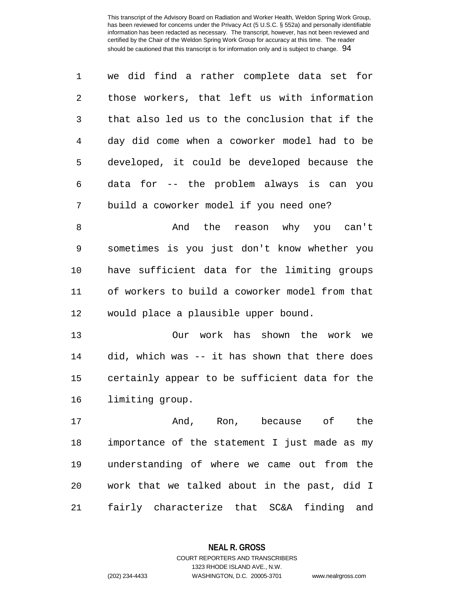| 1 | we did find a rather complete data set for     |
|---|------------------------------------------------|
| 2 | those workers, that left us with information   |
| 3 | that also led us to the conclusion that if the |
| 4 | day did come when a coworker model had to be   |
| 5 | developed, it could be developed because the   |
| 6 | data for -- the problem always is can you      |
| 7 | build a coworker model if you need one?        |

8 And the reason why you can't 9 sometimes is you just don't know whether you 10 have sufficient data for the limiting groups 11 of workers to build a coworker model from that 12 would place a plausible upper bound.

13 Our work has shown the work we 14 did, which was -- it has shown that there does 15 certainly appear to be sufficient data for the 16 limiting group.

17 And, Ron, because of the 18 importance of the statement I just made as my 19 understanding of where we came out from the 20 work that we talked about in the past, did I 21 fairly characterize that SC&A finding and

> **NEAL R. GROSS** COURT REPORTERS AND TRANSCRIBERS

> > 1323 RHODE ISLAND AVE., N.W.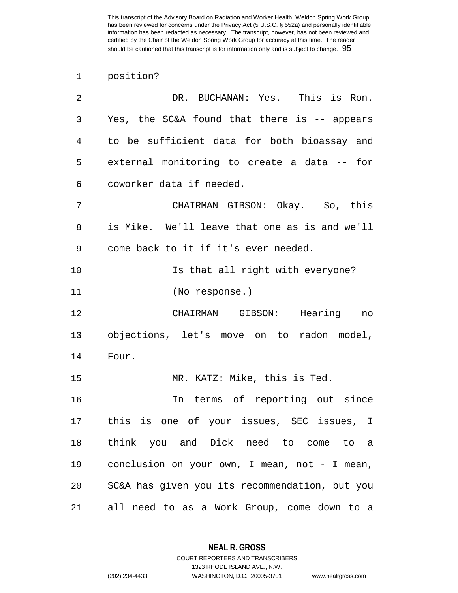## 1 position?

| 2  | DR. BUCHANAN: Yes. This is Ron.                |
|----|------------------------------------------------|
| 3  | Yes, the SC&A found that there is -- appears   |
| 4  | to be sufficient data for both bioassay and    |
| 5  | external monitoring to create a data -- for    |
| 6  | coworker data if needed.                       |
| 7  | CHAIRMAN GIBSON: Okay. So, this                |
| 8  | is Mike. We'll leave that one as is and we'll  |
| 9  | come back to it if it's ever needed.           |
| 10 | Is that all right with everyone?               |
| 11 | (No response.)                                 |
| 12 | CHAIRMAN GIBSON: Hearing<br>no                 |
| 13 | objections, let's move on to radon model,      |
| 14 | Four.                                          |
| 15 | MR. KATZ: Mike, this is Ted.                   |
| 16 | In terms of reporting out since                |
| 17 | this is one of your issues, SEC issues, I      |
| 18 | think you and Dick need to come to a           |
| 19 | conclusion on your own, I mean, not - I mean,  |
| 20 | SC&A has given you its recommendation, but you |
| 21 | all need to as a Work Group, come down to a    |

**NEAL R. GROSS** COURT REPORTERS AND TRANSCRIBERS

1323 RHODE ISLAND AVE., N.W.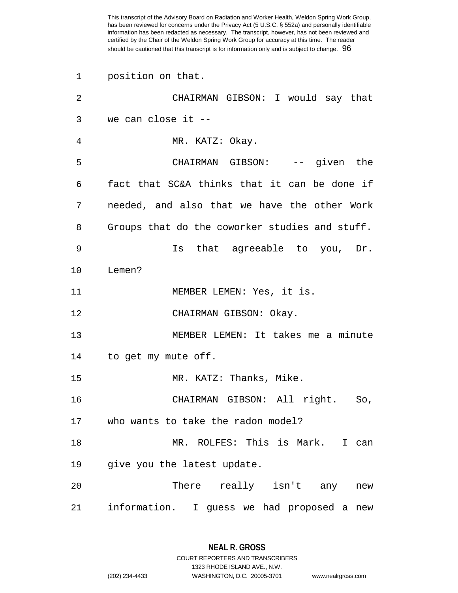1 position on that.

| $\overline{2}$ | CHAIRMAN GIBSON: I would say that              |
|----------------|------------------------------------------------|
| 3              | we can close it --                             |
| 4              | MR. KATZ: Okay.                                |
| 5              | CHAIRMAN GIBSON: -- given the                  |
| 6              | fact that SC&A thinks that it can be done if   |
| 7              | needed, and also that we have the other Work   |
| 8              | Groups that do the coworker studies and stuff. |
| 9              | Is that agreeable to you, Dr.                  |
| 10             | Lemen?                                         |
| 11             | MEMBER LEMEN: Yes, it is.                      |
| 12             | CHAIRMAN GIBSON: Okay.                         |
| 13             | MEMBER LEMEN: It takes me a minute             |
|                | 14 to get my mute off.                         |
| 15             | MR. KATZ: Thanks, Mike.                        |
| 16             | CHAIRMAN GIBSON: All right. So,                |
| 17             | who wants to take the radon model?             |
| 18             | MR. ROLFES: This is Mark. I can                |
| 19             | give you the latest update.                    |
| 20             | There really isn't any<br>new                  |
| 21             | information. I guess we had proposed a new     |

1323 RHODE ISLAND AVE., N.W.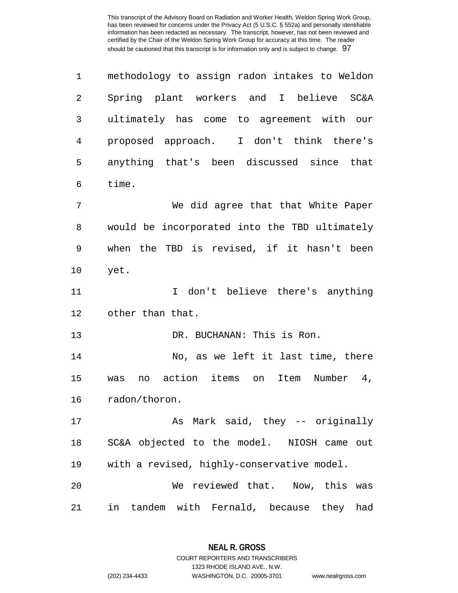| 1  | methodology to assign radon intakes to Weldon        |
|----|------------------------------------------------------|
| 2  | Spring plant workers and I believe SC&A              |
| 3  | ultimately has come to agreement with our            |
| 4  | proposed approach. I don't think there's             |
| 5  | anything that's been discussed since that            |
| 6  | time.                                                |
| 7  | We did agree that that White Paper                   |
| 8  | would be incorporated into the TBD ultimately        |
| 9  | when the TBD is revised, if it hasn't been           |
| 10 | yet.                                                 |
| 11 | I don't believe there's anything                     |
| 12 | other than that.                                     |
| 13 | DR. BUCHANAN: This is Ron.                           |
| 14 | No, as we left it last time, there                   |
| 15 | items on<br>action<br>Item Number<br>4,<br>no<br>was |
| 16 | radon/thoron.                                        |
| 17 | As Mark said, they -- originally                     |
| 18 | SC&A objected to the model. NIOSH came out           |
| 19 | with a revised, highly-conservative model.           |
| 20 | We reviewed that. Now, this was                      |
| 21 | in tandem with Fernald, because they had             |

**NEAL R. GROSS** COURT REPORTERS AND TRANSCRIBERS

1323 RHODE ISLAND AVE., N.W.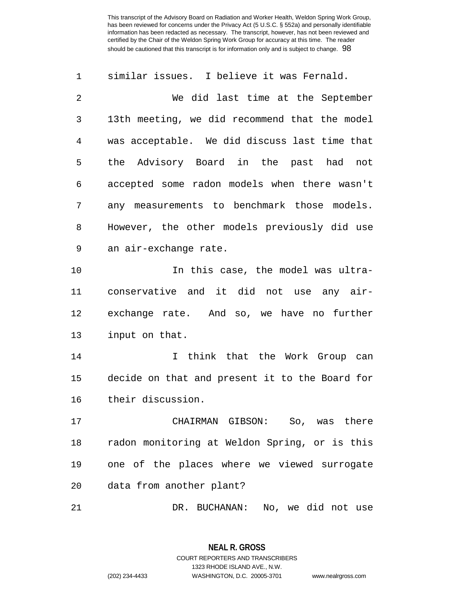| 1  | similar issues. I believe it was Fernald.      |
|----|------------------------------------------------|
| 2  | We did last time at the September              |
| 3  | 13th meeting, we did recommend that the model  |
| 4  | was acceptable. We did discuss last time that  |
| 5  | the Advisory Board in the past had not         |
| 6  | accepted some radon models when there wasn't   |
| 7  | any measurements to benchmark those models.    |
| 8  | However, the other models previously did use   |
| 9  | an air-exchange rate.                          |
| 10 | In this case, the model was ultra-             |
| 11 | conservative and it did not use any air-       |
| 12 | exchange rate. And so, we have no further      |
| 13 | input on that.                                 |
| 14 | I think that the Work Group can                |
| 15 | decide on that and present it to the Board for |
| 16 | their discussion.                              |
| 17 | CHAIRMAN GIBSON: So, was there                 |
| 18 | radon monitoring at Weldon Spring, or is this  |
| 19 | one of the places where we viewed surrogate    |
| 20 | data from another plant?                       |
| 21 | DR. BUCHANAN: No, we did not use               |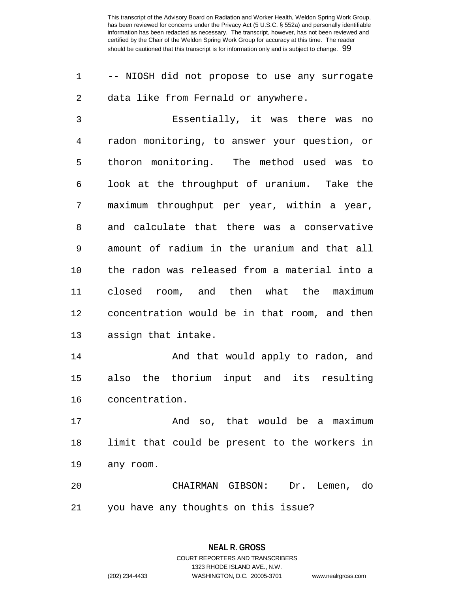| 1              | -- NIOSH did not propose to use any surrogate |
|----------------|-----------------------------------------------|
| $\overline{2}$ | data like from Fernald or anywhere.           |
| 3              | Essentially, it was there was<br>no           |
| 4              | radon monitoring, to answer your question, or |
| 5              | thoron monitoring. The method used was to     |
| 6              | look at the throughput of uranium. Take the   |
| 7              | maximum throughput per year, within a year,   |
| 8              | and calculate that there was a conservative   |
| 9              | amount of radium in the uranium and that all  |
| 10             | the radon was released from a material into a |
| 11             | closed room, and then what the maximum        |
| 12             | concentration would be in that room, and then |
| 13             | assign that intake.                           |
| 14             | And that would apply to radon, and            |
| 15             | also the thorium input and its resulting      |
| 16             | concentration.                                |
| 17             | And so, that would be a maximum               |
| 18             | limit that could be present to the workers in |
| 19             | any room.                                     |
| 20             | CHAIRMAN GIBSON: Dr. Lemen, do                |
| 21             | you have any thoughts on this issue?          |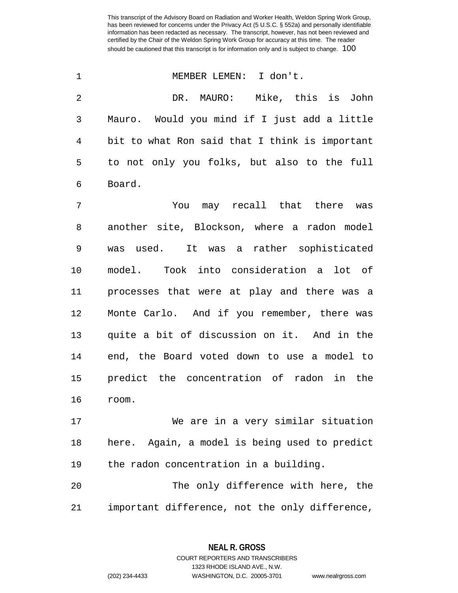1 MEMBER LEMEN: I don't. 2 DR. MAURO: Mike, this is John 3 Mauro. Would you mind if I just add a little 4 bit to what Ron said that I think is important 5 to not only you folks, but also to the full 6 Board.

7 You may recall that there was 8 another site, Blockson, where a radon model 9 was used. It was a rather sophisticated 10 model. Took into consideration a lot of 11 processes that were at play and there was a 12 Monte Carlo. And if you remember, there was 13 quite a bit of discussion on it. And in the 14 end, the Board voted down to use a model to 15 predict the concentration of radon in the 16 room.

17 We are in a very similar situation 18 here. Again, a model is being used to predict 19 the radon concentration in a building.

20 The only difference with here, the 21 important difference, not the only difference,

> **NEAL R. GROSS** COURT REPORTERS AND TRANSCRIBERS

> > 1323 RHODE ISLAND AVE., N.W.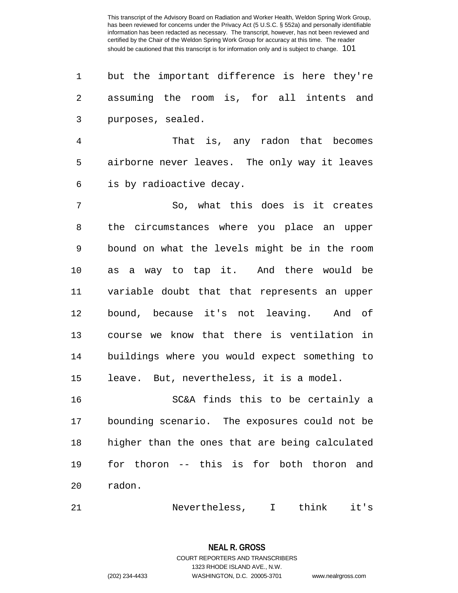1 but the important difference is here they're 2 assuming the room is, for all intents and 3 purposes, sealed.

4 That is, any radon that becomes 5 airborne never leaves. The only way it leaves 6 is by radioactive decay.

7 So, what this does is it creates 8 the circumstances where you place an upper 9 bound on what the levels might be in the room 10 as a way to tap it. And there would be 11 variable doubt that that represents an upper 12 bound, because it's not leaving. And of 13 course we know that there is ventilation in 14 buildings where you would expect something to 15 leave. But, nevertheless, it is a model.

16 SC&A finds this to be certainly a 17 bounding scenario. The exposures could not be 18 higher than the ones that are being calculated 19 for thoron -- this is for both thoron and 20 radon.

21 Nevertheless, I think it's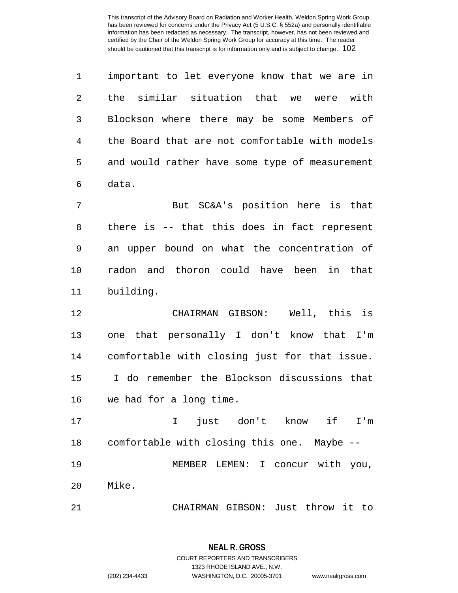1 important to let everyone know that we are in 2 the similar situation that we were with 3 Blockson where there may be some Members of 4 the Board that are not comfortable with models 5 and would rather have some type of measurement 6 data.

7 But SC&A's position here is that 8 there is -- that this does in fact represent 9 an upper bound on what the concentration of 10 radon and thoron could have been in that 11 building.

12 CHAIRMAN GIBSON: Well, this is 13 one that personally I don't know that I'm 14 comfortable with closing just for that issue. 15 I do remember the Blockson discussions that 16 we had for a long time.

17 I just don't know if I'm 18 comfortable with closing this one. Maybe -- 19 MEMBER LEMEN: I concur with you, 20 Mike.

21 CHAIRMAN GIBSON: Just throw it to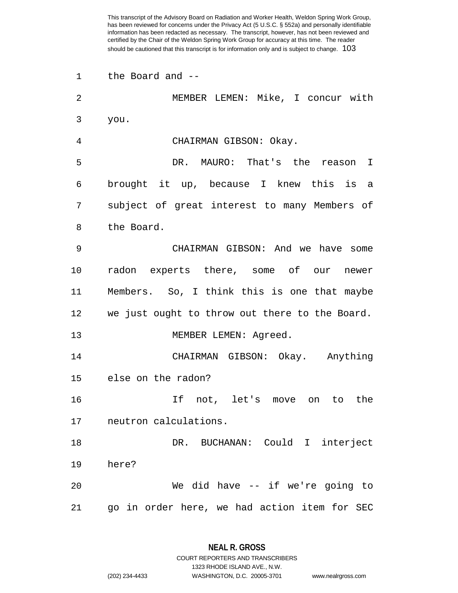1 the Board and -- 2 MEMBER LEMEN: Mike, I concur with 3 you. 4 CHAIRMAN GIBSON: Okay. 5 DR. MAURO: That's the reason I 6 brought it up, because I knew this is a 7 subject of great interest to many Members of 8 the Board. 9 CHAIRMAN GIBSON: And we have some 10 radon experts there, some of our newer 11 Members. So, I think this is one that maybe 12 we just ought to throw out there to the Board. 13 MEMBER LEMEN: Agreed. 14 CHAIRMAN GIBSON: Okay. Anything 15 else on the radon? 16 If not, let's move on to the 17 neutron calculations. 18 DR. BUCHANAN: Could I interject 19 here? 20 We did have -- if we're going to 21 go in order here, we had action item for SEC

> **NEAL R. GROSS** COURT REPORTERS AND TRANSCRIBERS

1323 RHODE ISLAND AVE., N.W. (202) 234-4433 WASHINGTON, D.C. 20005-3701 www.nealrgross.com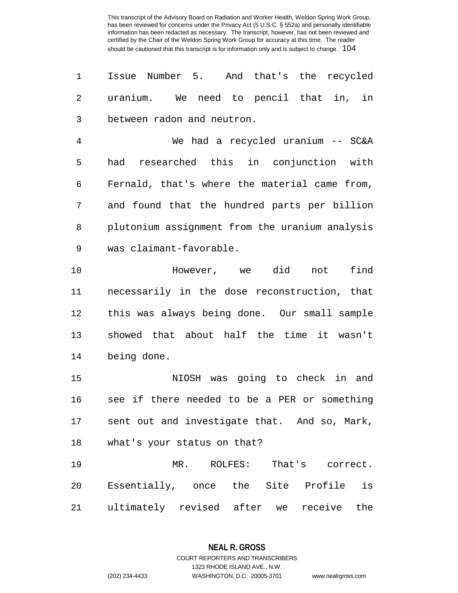1 Issue Number 5. And that's the recycled 2 uranium. We need to pencil that in, in 3 between radon and neutron.

4 We had a recycled uranium -- SC&A 5 had researched this in conjunction with 6 Fernald, that's where the material came from, 7 and found that the hundred parts per billion 8 plutonium assignment from the uranium analysis 9 was claimant-favorable.

10 However, we did not find 11 necessarily in the dose reconstruction, that 12 this was always being done. Our small sample 13 showed that about half the time it wasn't 14 being done.

15 NIOSH was going to check in and 16 see if there needed to be a PER or something 17 sent out and investigate that. And so, Mark, 18 what's your status on that?

19 MR. ROLFES: That's correct. 20 Essentially, once the Site Profile is 21 ultimately revised after we receive the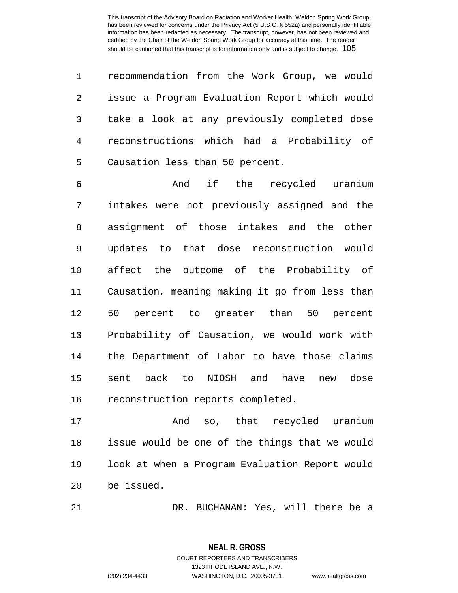1 recommendation from the Work Group, we would 2 issue a Program Evaluation Report which would 3 take a look at any previously completed dose 4 reconstructions which had a Probability of 5 Causation less than 50 percent.

6 And if the recycled uranium 7 intakes were not previously assigned and the 8 assignment of those intakes and the other 9 updates to that dose reconstruction would 10 affect the outcome of the Probability of 11 Causation, meaning making it go from less than 12 50 percent to greater than 50 percent 13 Probability of Causation, we would work with 14 the Department of Labor to have those claims 15 sent back to NIOSH and have new dose 16 reconstruction reports completed.

17 And so, that recycled uranium 18 issue would be one of the things that we would 19 look at when a Program Evaluation Report would 20 be issued.

21 DR. BUCHANAN: Yes, will there be a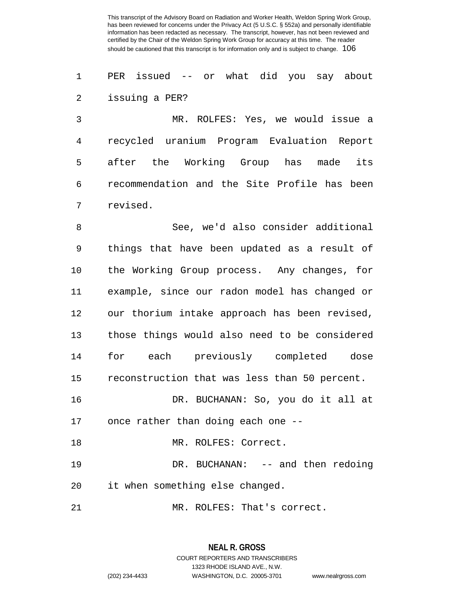1 PER issued -- or what did you say about 2 issuing a PER?

3 MR. ROLFES: Yes, we would issue a 4 recycled uranium Program Evaluation Report 5 after the Working Group has made its 6 recommendation and the Site Profile has been 7 revised.

8 See, we'd also consider additional 9 things that have been updated as a result of 10 the Working Group process. Any changes, for 11 example, since our radon model has changed or 12 our thorium intake approach has been revised, 13 those things would also need to be considered 14 for each previously completed dose 15 reconstruction that was less than 50 percent. 16 DR. BUCHANAN: So, you do it all at 17 once rather than doing each one -- 18 MR. ROLFES: Correct. 19 DR. BUCHANAN: -- and then redoing 20 it when something else changed. 21 MR. ROLFES: That's correct.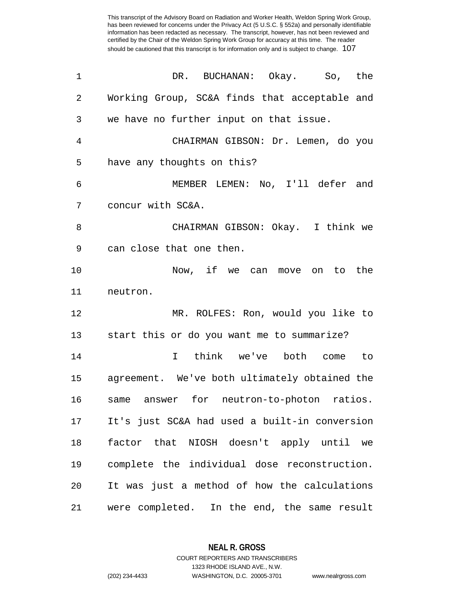| 1  | DR. BUCHANAN: Okay. So, the                   |
|----|-----------------------------------------------|
| 2  | Working Group, SC&A finds that acceptable and |
| 3  | we have no further input on that issue.       |
| 4  | CHAIRMAN GIBSON: Dr. Lemen, do you            |
| 5  | have any thoughts on this?                    |
| 6  | MEMBER LEMEN: No, I'll defer and              |
| 7  | concur with SC&A.                             |
| 8  | CHAIRMAN GIBSON: Okay. I think we             |
| 9  | can close that one then.                      |
| 10 | Now, if we can move on<br>to the              |
| 11 | neutron.                                      |
| 12 | MR. ROLFES: Ron, would you like to            |
| 13 | start this or do you want me to summarize?    |
| 14 | I think we've both come to                    |
| 15 | agreement. We've both ultimately obtained the |
| 16 | same answer for neutron-to-photon ratios.     |
| 17 | It's just SC&A had used a built-in conversion |
| 18 | factor that NIOSH doesn't apply until we      |
| 19 | complete the individual dose reconstruction.  |
| 20 | It was just a method of how the calculations  |
| 21 | were completed. In the end, the same result   |

**NEAL R. GROSS** COURT REPORTERS AND TRANSCRIBERS

1323 RHODE ISLAND AVE., N.W. (202) 234-4433 WASHINGTON, D.C. 20005-3701 www.nealrgross.com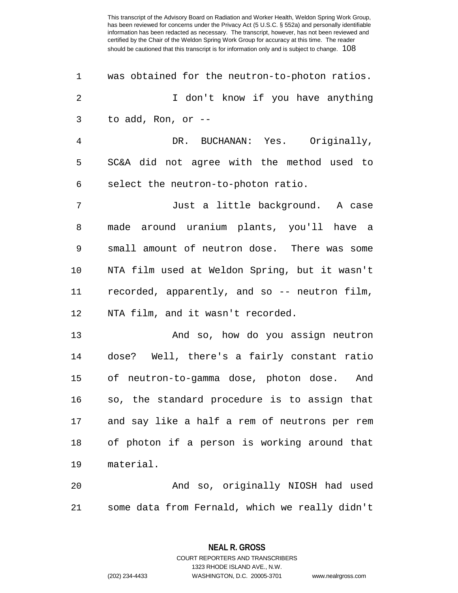| 1              | was obtained for the neutron-to-photon ratios. |
|----------------|------------------------------------------------|
| $\overline{2}$ | I don't know if you have anything              |
| 3              | to add, Ron, or --                             |
| $\overline{4}$ | DR. BUCHANAN: Yes. Originally,                 |
| 5              | SC&A did not agree with the method used to     |
| 6              | select the neutron-to-photon ratio.            |
| 7              | Just a little background. A case               |
| 8              | made around uranium plants, you'll have a      |
| 9              | small amount of neutron dose. There was some   |
| 10             | NTA film used at Weldon Spring, but it wasn't  |
| 11             | recorded, apparently, and so -- neutron film,  |
| 12             | NTA film, and it wasn't recorded.              |
| 13             | And so, how do you assign neutron              |
| 14             | dose? Well, there's a fairly constant ratio    |
| 15             | of neutron-to-gamma dose, photon dose. And     |
| 16             | so, the standard procedure is to assign that   |
| 17             | and say like a half a rem of neutrons per rem  |
| 18             | of photon if a person is working around that   |
| 19             | material.                                      |
| 20             | And so, originally NIOSH had used              |
| 21             | some data from Fernald, which we really didn't |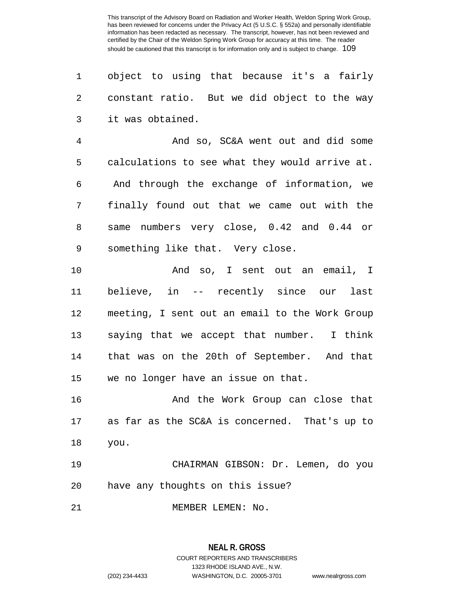1 object to using that because it's a fairly 2 constant ratio. But we did object to the way 3 it was obtained.

4 And so, SC&A went out and did some 5 calculations to see what they would arrive at. 6 And through the exchange of information, we 7 finally found out that we came out with the 8 same numbers very close, 0.42 and 0.44 or 9 something like that. Very close.

10 And so, I sent out an email, I 11 believe, in -- recently since our last 12 meeting, I sent out an email to the Work Group 13 saying that we accept that number. I think 14 that was on the 20th of September. And that 15 we no longer have an issue on that.

16 And the Work Group can close that 17 as far as the SC&A is concerned. That's up to 18 you.

19 CHAIRMAN GIBSON: Dr. Lemen, do you 20 have any thoughts on this issue?

21 MEMBER LEMEN: No.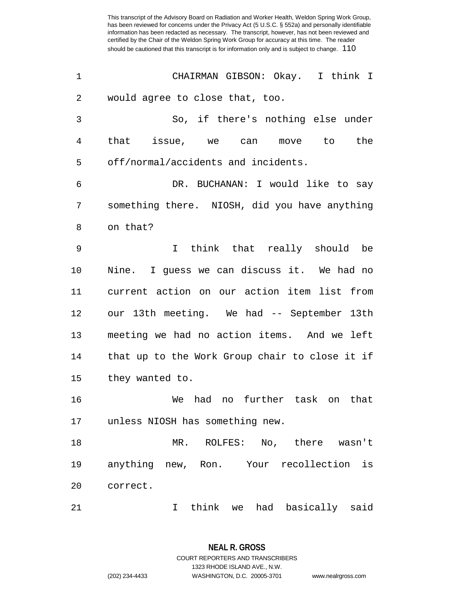| 1  | CHAIRMAN GIBSON: Okay. I think I               |
|----|------------------------------------------------|
| 2  | would agree to close that, too.                |
| 3  | So, if there's nothing else under              |
| 4  | that issue, we can move to the                 |
| 5  | off/normal/accidents and incidents.            |
| 6  | DR. BUCHANAN: I would like to say              |
| 7  | something there. NIOSH, did you have anything  |
| 8  | on that?                                       |
| 9  | I think that really should be                  |
| 10 | Nine. I guess we can discuss it. We had no     |
| 11 | current action on our action item list from    |
| 12 | our 13th meeting. We had -- September 13th     |
| 13 | meeting we had no action items. And we left    |
| 14 | that up to the Work Group chair to close it if |
| 15 | they wanted to.                                |
| 16 | no further task on that<br>We had              |
| 17 | unless NIOSH has something new.                |
| 18 | MR. ROLFES: No, there wasn't                   |
| 19 | anything new, Ron. Your recollection is        |
| 20 | correct.                                       |
| 21 | think<br>basically said<br>had<br>I.<br>we     |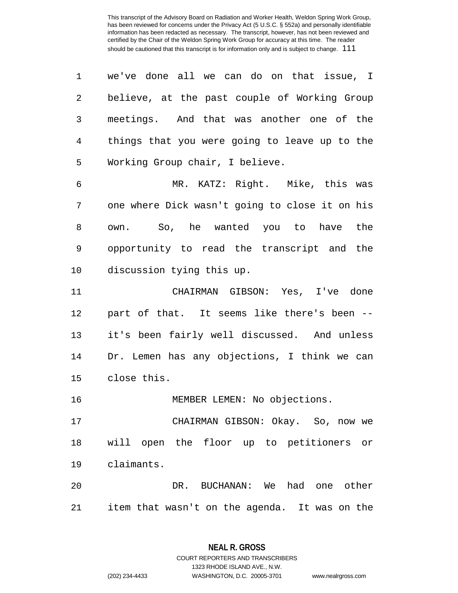| $\mathbf{1}$   | we've done all we can do on that issue, I      |
|----------------|------------------------------------------------|
| $\overline{2}$ | believe, at the past couple of Working Group   |
| 3              | meetings. And that was another one of the      |
| 4              | things that you were going to leave up to the  |
| 5              | Working Group chair, I believe.                |
| 6              | MR. KATZ: Right. Mike, this was                |
| 7              | one where Dick wasn't going to close it on his |
| 8              | own. So, he wanted you to have the             |
| 9              | opportunity to read the transcript and the     |

10 discussion tying this up.

11 CHAIRMAN GIBSON: Yes, I've done 12 part of that. It seems like there's been -- 13 it's been fairly well discussed. And unless 14 Dr. Lemen has any objections, I think we can 15 close this.

16 MEMBER LEMEN: No objections.

17 CHAIRMAN GIBSON: Okay. So, now we 18 will open the floor up to petitioners or 19 claimants.

20 DR. BUCHANAN: We had one other 21 item that wasn't on the agenda. It was on the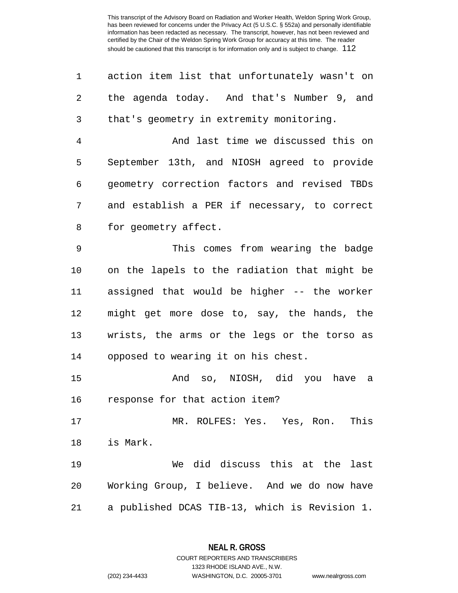| 1  | action item list that unfortunately wasn't on |
|----|-----------------------------------------------|
| 2  | the agenda today. And that's Number 9, and    |
| 3  | that's geometry in extremity monitoring.      |
| 4  | And last time we discussed this on            |
| 5  | September 13th, and NIOSH agreed to provide   |
| 6  | geometry correction factors and revised TBDs  |
| 7  | and establish a PER if necessary, to correct  |
| 8  | for geometry affect.                          |
| 9  | This comes from wearing the badge             |
| 10 | on the lapels to the radiation that might be  |
| 11 | assigned that would be higher -- the worker   |
| 12 | might get more dose to, say, the hands, the   |
| 13 | wrists, the arms or the legs or the torso as  |
| 14 | opposed to wearing it on his chest.           |
| 15 | And so, NIOSH, did you have a                 |
| 16 | response for that action item?                |
| 17 | MR. ROLFES: Yes. Yes, Ron. This               |
| 18 | is Mark.                                      |
| 19 | We did discuss this at the<br>last            |
| 20 | Working Group, I believe. And we do now have  |
| 21 | a published DCAS TIB-13, which is Revision 1. |

**NEAL R. GROSS** COURT REPORTERS AND TRANSCRIBERS

1323 RHODE ISLAND AVE., N.W.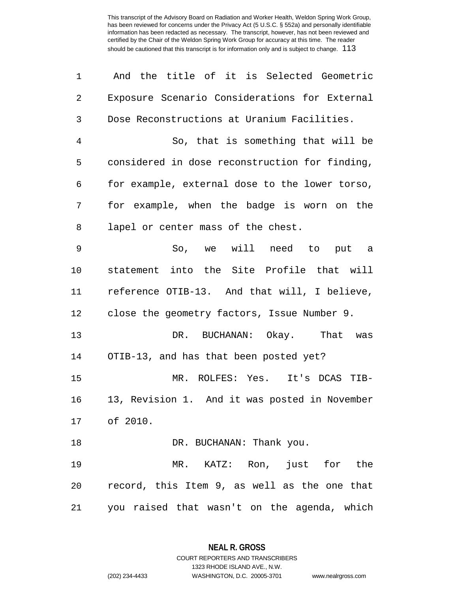| $\mathbf 1$ | And the title of it is Selected Geometric      |
|-------------|------------------------------------------------|
| 2           | Exposure Scenario Considerations for External  |
| 3           | Dose Reconstructions at Uranium Facilities.    |
| 4           | So, that is something that will be             |
| 5           | considered in dose reconstruction for finding, |
| 6           | for example, external dose to the lower torso, |
| 7           | for example, when the badge is worn on the     |
| 8           | lapel or center mass of the chest.             |
| 9           | So, we will need to put a                      |
| 10          | statement into the Site Profile that will      |
| 11          | reference OTIB-13. And that will, I believe,   |
| 12          | close the geometry factors, Issue Number 9.    |
| 13          | DR. BUCHANAN: Okay. That was                   |
| 14          | OTIB-13, and has that been posted yet?         |
| 15          | MR. ROLFES: Yes. It's DCAS TIB-                |
| 16          | 13, Revision 1. And it was posted in November  |
|             | 17 of 2010.                                    |
| 18          | DR. BUCHANAN: Thank you.                       |
| 19          | MR. KATZ: Ron, just for the                    |
| 20          | record, this Item 9, as well as the one that   |
| 21          | you raised that wasn't on the agenda, which    |

**NEAL R. GROSS** COURT REPORTERS AND TRANSCRIBERS

1323 RHODE ISLAND AVE., N.W.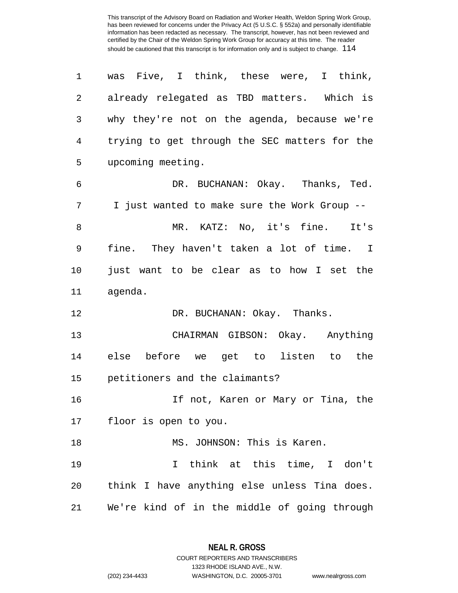1 was Five, I think, these were, I think, 2 already relegated as TBD matters. Which is 3 why they're not on the agenda, because we're 4 trying to get through the SEC matters for the 5 upcoming meeting. 6 DR. BUCHANAN: Okay. Thanks, Ted. 7 I just wanted to make sure the Work Group -- 8 MR. KATZ: No, it's fine. It's 9 fine. They haven't taken a lot of time. I 10 just want to be clear as to how I set the 11 agenda. 12 DR. BUCHANAN: Okay. Thanks. 13 CHAIRMAN GIBSON: Okay. Anything 14 else before we get to listen to the 15 petitioners and the claimants? 16 If not, Karen or Mary or Tina, the 17 floor is open to you. 18 MS. JOHNSON: This is Karen. 19 I think at this time, I don't 20 think I have anything else unless Tina does. 21 We're kind of in the middle of going through

> **NEAL R. GROSS** COURT REPORTERS AND TRANSCRIBERS

1323 RHODE ISLAND AVE., N.W. (202) 234-4433 WASHINGTON, D.C. 20005-3701 www.nealrgross.com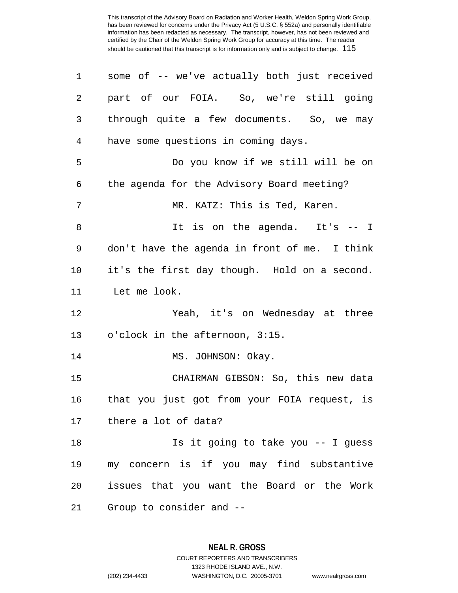| $\mathbf 1$    | some of -- we've actually both just received  |
|----------------|-----------------------------------------------|
| 2              | part of our FOIA. So, we're still going       |
| 3              | through quite a few documents. So, we may     |
| $\overline{4}$ | have some questions in coming days.           |
| 5              | Do you know if we still will be on            |
| 6              | the agenda for the Advisory Board meeting?    |
| $\overline{7}$ | MR. KATZ: This is Ted, Karen.                 |
| 8              | It is on the agenda. It's $-$ I               |
| 9              | don't have the agenda in front of me. I think |
| 10             | it's the first day though. Hold on a second.  |
| 11             | Let me look.                                  |
| 12             | Yeah, it's on Wednesday at three              |
| 13             | o'clock in the afternoon, 3:15.               |
| 14             | MS. JOHNSON: Okay.                            |
| 15             | CHAIRMAN GIBSON: So, this new data            |
| 16             | that you just got from your FOIA request, is  |
| 17             | there a lot of data?                          |
| 18             | Is it going to take you -- I guess            |
| 19             | my concern is if you may find substantive     |
| 20             | issues that you want the Board or the Work    |
| 21             | Group to consider and --                      |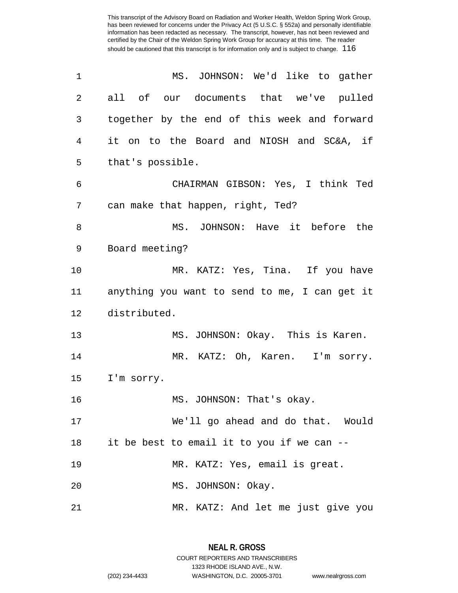| 1  | MS. JOHNSON: We'd like to gather              |
|----|-----------------------------------------------|
| 2  | all of our documents that we've pulled        |
| 3  | together by the end of this week and forward  |
| 4  | it on to the Board and NIOSH and SC&A, if     |
| 5  | that's possible.                              |
| 6  | CHAIRMAN GIBSON: Yes, I think Ted             |
| 7  | can make that happen, right, Ted?             |
| 8  | MS. JOHNSON: Have it before the               |
| 9  | Board meeting?                                |
| 10 | MR. KATZ: Yes, Tina. If you have              |
| 11 | anything you want to send to me, I can get it |
| 12 | distributed.                                  |
| 13 | MS. JOHNSON: Okay. This is Karen.             |
| 14 | MR. KATZ: Oh, Karen. I'm sorry.               |
| 15 | I'm sorry.                                    |
| 16 | MS. JOHNSON: That's okay.                     |
| 17 | We'll go ahead and do that. Would             |
| 18 | it be best to email it to you if we can --    |
| 19 | MR. KATZ: Yes, email is great.                |
| 20 | MS. JOHNSON: Okay.                            |
| 21 | MR. KATZ: And let me just give you            |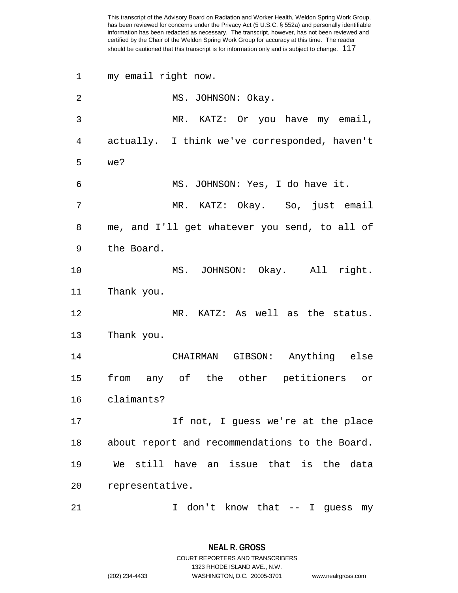1 my email right now. 2 MS. JOHNSON: Okay. 3 MR. KATZ: Or you have my email, 4 actually. I think we've corresponded, haven't 5 we? 6 MS. JOHNSON: Yes, I do have it. 7 MR. KATZ: Okay. So, just email 8 me, and I'll get whatever you send, to all of 9 the Board. 10 MS. JOHNSON: Okay. All right. 11 Thank you. 12 MR. KATZ: As well as the status. 13 Thank you. 14 CHAIRMAN GIBSON: Anything else 15 from any of the other petitioners or 16 claimants? 17 If not, I guess we're at the place 18 about report and recommendations to the Board. 19 We still have an issue that is the data 20 representative. 21 I don't know that -- I guess my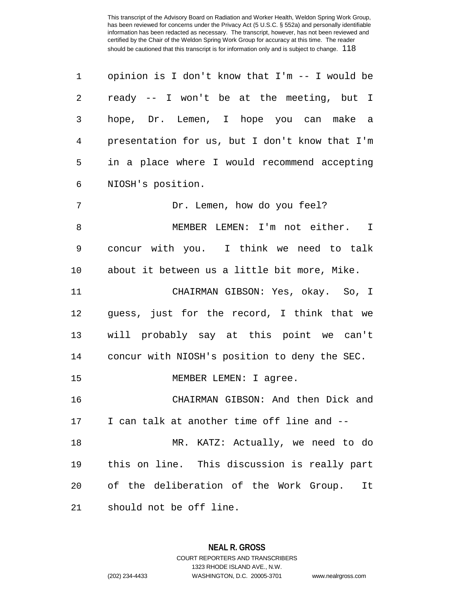| 1  | opinion is I don't know that I'm -- I would be |
|----|------------------------------------------------|
| 2  | ready -- I won't be at the meeting, but I      |
| 3  | hope, Dr. Lemen, I hope you can make a         |
| 4  | presentation for us, but I don't know that I'm |
| 5  | in a place where I would recommend accepting   |
| 6  | NIOSH's position.                              |
| 7  | Dr. Lemen, how do you feel?                    |
| 8  | MEMBER LEMEN: I'm not either. I                |
| 9  | concur with you. I think we need to talk       |
| 10 | about it between us a little bit more, Mike.   |
| 11 | CHAIRMAN GIBSON: Yes, okay. So, I              |
| 12 | guess, just for the record, I think that we    |
| 13 | will probably say at this point we can't       |
| 14 | concur with NIOSH's position to deny the SEC.  |
| 15 | MEMBER LEMEN: I agree.                         |
| 16 | CHAIRMAN GIBSON: And then Dick and             |
| 17 | I can talk at another time off line and --     |
| 18 | MR. KATZ: Actually, we need to do              |
| 19 | this on line. This discussion is really part   |
| 20 | of the deliberation of the Work Group.<br>It   |
| 21 | should not be off line.                        |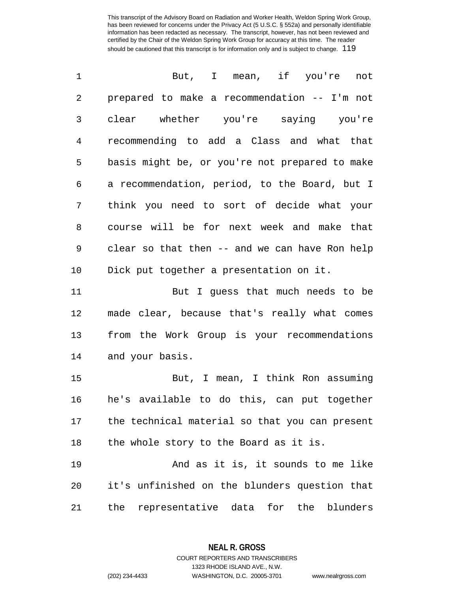1 But, I mean, if you're not 2 prepared to make a recommendation -- I'm not 3 clear whether you're saying you're 4 recommending to add a Class and what that 5 basis might be, or you're not prepared to make 6 a recommendation, period, to the Board, but I 7 think you need to sort of decide what your 8 course will be for next week and make that 9 clear so that then -- and we can have Ron help 10 Dick put together a presentation on it. 11 But I guess that much needs to be 12 made clear, because that's really what comes 13 from the Work Group is your recommendations 14 and your basis. 15 But, I mean, I think Ron assuming 16 he's available to do this, can put together 17 the technical material so that you can present 18 the whole story to the Board as it is. 19 And as it is, it sounds to me like

21 the representative data for the blunders

20 it's unfinished on the blunders question that

**NEAL R. GROSS** COURT REPORTERS AND TRANSCRIBERS

1323 RHODE ISLAND AVE., N.W.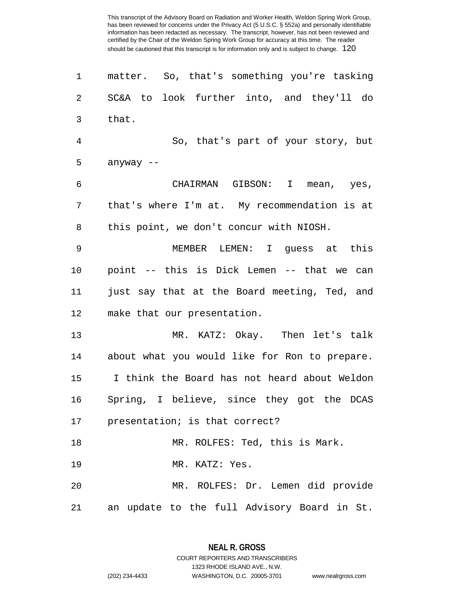1 matter. So, that's something you're tasking 2 SC&A to look further into, and they'll do 3 that. 4 So, that's part of your story, but 5 anyway -- 6 CHAIRMAN GIBSON: I mean, yes, 7 that's where I'm at. My recommendation is at 8 this point, we don't concur with NIOSH. 9 MEMBER LEMEN: I guess at this 10 point -- this is Dick Lemen -- that we can 11 just say that at the Board meeting, Ted, and 12 make that our presentation. 13 MR. KATZ: Okay. Then let's talk 14 about what you would like for Ron to prepare. 15 I think the Board has not heard about Weldon 16 Spring, I believe, since they got the DCAS 17 presentation; is that correct? 18 MR. ROLFES: Ted, this is Mark. 19 MR. KATZ: Yes. 20 MR. ROLFES: Dr. Lemen did provide 21 an update to the full Advisory Board in St.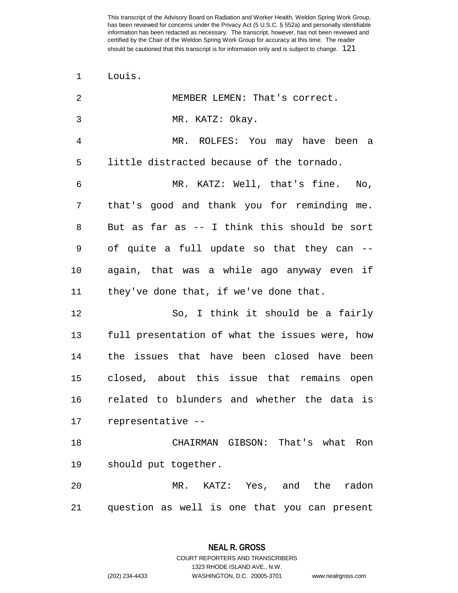1 Louis.

| 2              | MEMBER LEMEN: That's correct.                  |
|----------------|------------------------------------------------|
| $\mathfrak{Z}$ | MR. KATZ: Okay.                                |
| 4              | MR. ROLFES: You may have been a                |
| 5              | little distracted because of the tornado.      |
| 6              | MR. KATZ: Well, that's fine. No,               |
| 7              | that's good and thank you for reminding me.    |
| 8              | But as far as -- I think this should be sort   |
| 9              | of quite a full update so that they can --     |
| 10             | again, that was a while ago anyway even if     |
| 11             | they've done that, if we've done that.         |
| 12             | So, I think it should be a fairly              |
| 13             | full presentation of what the issues were, how |
| 14             | the issues that have been closed have been     |
| 15             | closed, about this issue that remains open     |
| 16             | related to blunders and whether the data is    |
| 17             | representative --                              |
| 18             | CHAIRMAN GIBSON: That's what Ron               |
| 19             | should put together.                           |
| 20             | MR. KATZ: Yes, and the radon                   |
| 21             | question as well is one that you can present   |

**NEAL R. GROSS** COURT REPORTERS AND TRANSCRIBERS

1323 RHODE ISLAND AVE., N.W.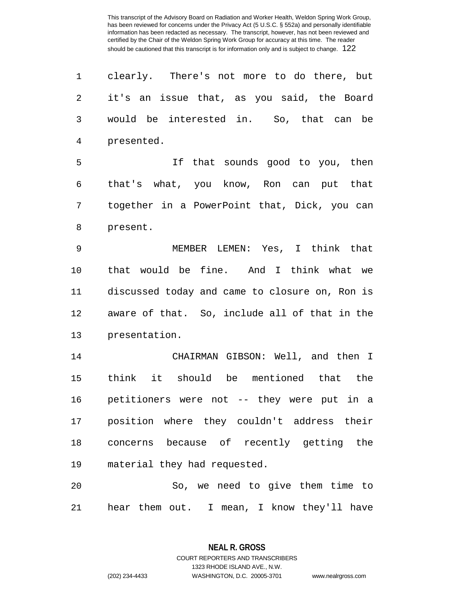| 1  | clearly. There's not more to do there, but     |
|----|------------------------------------------------|
| 2  | it's an issue that, as you said, the Board     |
| 3  | would be interested in. So, that can be        |
| 4  | presented.                                     |
| 5  | If that sounds good to you, then               |
| 6  | that's what, you know, Ron can put that        |
| 7  | together in a PowerPoint that, Dick, you can   |
| 8  | present.                                       |
| 9  | MEMBER LEMEN: Yes, I think that                |
| 10 | that would be fine. And I think what we        |
| 11 | discussed today and came to closure on, Ron is |
| 12 | aware of that. So, include all of that in the  |
| 13 | presentation.                                  |
| 14 | CHAIRMAN GIBSON: Well, and then I              |
| 15 | think it should be mentioned that the          |
| 16 | petitioners were not -- they were put in a     |
| 17 | position where they couldn't address their     |
| 18 | concerns because of recently getting the       |
| 19 | material they had requested.                   |
| 20 | So, we need to give them time to               |
| 21 | hear them out. I mean, I know they'll have     |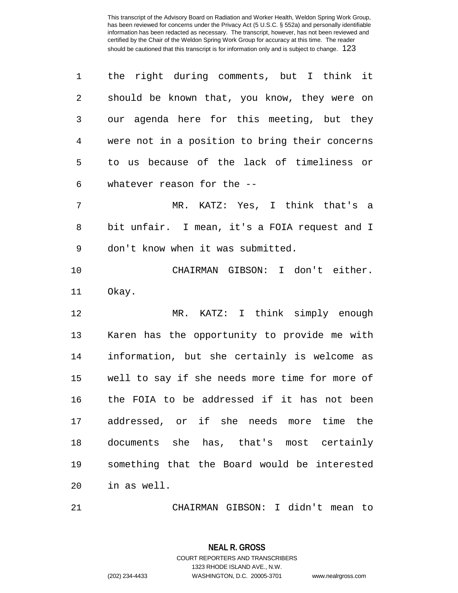| should be known that, you know, they were on   |
|------------------------------------------------|
| our agenda here for this meeting, but they     |
| were not in a position to bring their concerns |
| to us because of the lack of timeliness or     |
|                                                |
| MR. KATZ: Yes, I think that's a                |
| bit unfair. I mean, it's a FOIA request and I  |
|                                                |
| CHAIRMAN GIBSON: I don't either.               |
|                                                |
|                                                |
| MR. KATZ: I think simply enough                |
| Karen has the opportunity to provide me with   |
| information, but she certainly is welcome as   |
| well to say if she needs more time for more of |
| the FOIA to be addressed if it has not been    |
| addressed, or if she needs more time the       |
| documents she has, that's most certainly       |
| something that the Board would be interested   |
|                                                |

21 CHAIRMAN GIBSON: I didn't mean to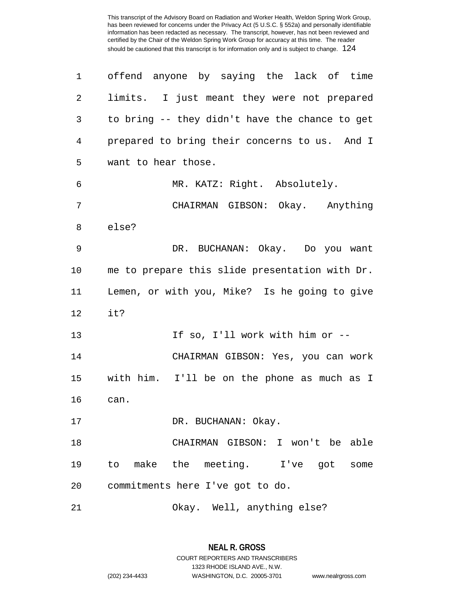| 1  | offend anyone by saying the lack of time       |
|----|------------------------------------------------|
| 2  | limits. I just meant they were not prepared    |
| 3  | to bring -- they didn't have the chance to get |
| 4  | prepared to bring their concerns to us. And I  |
| 5  | want to hear those.                            |
| 6  | MR. KATZ: Right. Absolutely.                   |
| 7  | CHAIRMAN GIBSON: Okay. Anything                |
| 8  | else?                                          |
| 9  | DR. BUCHANAN: Okay. Do you want                |
| 10 | me to prepare this slide presentation with Dr. |
| 11 | Lemen, or with you, Mike? Is he going to give  |
| 12 | it?                                            |
| 13 | If so, I'll work with him or --                |
| 14 | CHAIRMAN GIBSON: Yes, you can work             |
| 15 | with him. I'll be on the phone as much as I    |
| 16 | can.                                           |
| 17 | DR. BUCHANAN: Okay.                            |
| 18 | CHAIRMAN GIBSON: I won't be able               |
| 19 | to make the meeting. I've got some             |
| 20 | commitments here I've got to do.               |
| 21 | Okay. Well, anything else?                     |